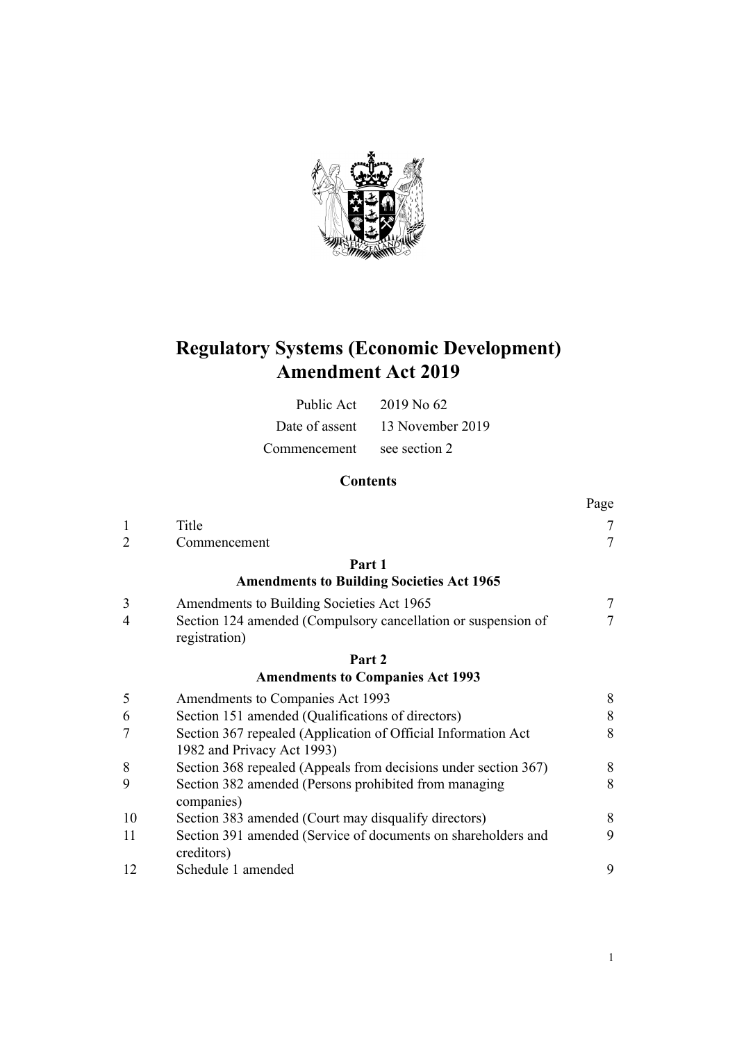

# **Regulatory Systems (Economic Development) Amendment Act 2019**

| Public Act                 | 2019 No 62                      |
|----------------------------|---------------------------------|
|                            | Date of assent 13 November 2019 |
| Commencement see section 2 |                                 |

# **Contents**

|                |                                                                                             | Page           |
|----------------|---------------------------------------------------------------------------------------------|----------------|
| $\mathbf{1}$   | Title                                                                                       | 7              |
| $\overline{2}$ | Commencement                                                                                | $\overline{7}$ |
|                | Part 1                                                                                      |                |
|                | <b>Amendments to Building Societies Act 1965</b>                                            |                |
| 3              | Amendments to Building Societies Act 1965                                                   | 7              |
| $\overline{4}$ | Section 124 amended (Compulsory cancellation or suspension of<br>registration)              | 7              |
|                | Part 2                                                                                      |                |
|                | <b>Amendments to Companies Act 1993</b>                                                     |                |
| 5              | Amendments to Companies Act 1993                                                            | 8              |
| 6              | Section 151 amended (Qualifications of directors)                                           | 8              |
| 7              | Section 367 repealed (Application of Official Information Act<br>1982 and Privacy Act 1993) | 8              |
| 8              | Section 368 repealed (Appeals from decisions under section 367)                             | 8              |
| 9              | Section 382 amended (Persons prohibited from managing<br>companies)                         | 8              |
| 10             | Section 383 amended (Court may disqualify directors)                                        | 8              |
| 11             | Section 391 amended (Service of documents on shareholders and<br>creditors)                 | 9              |
| 12             | Schedule 1 amended                                                                          | 9              |
|                |                                                                                             |                |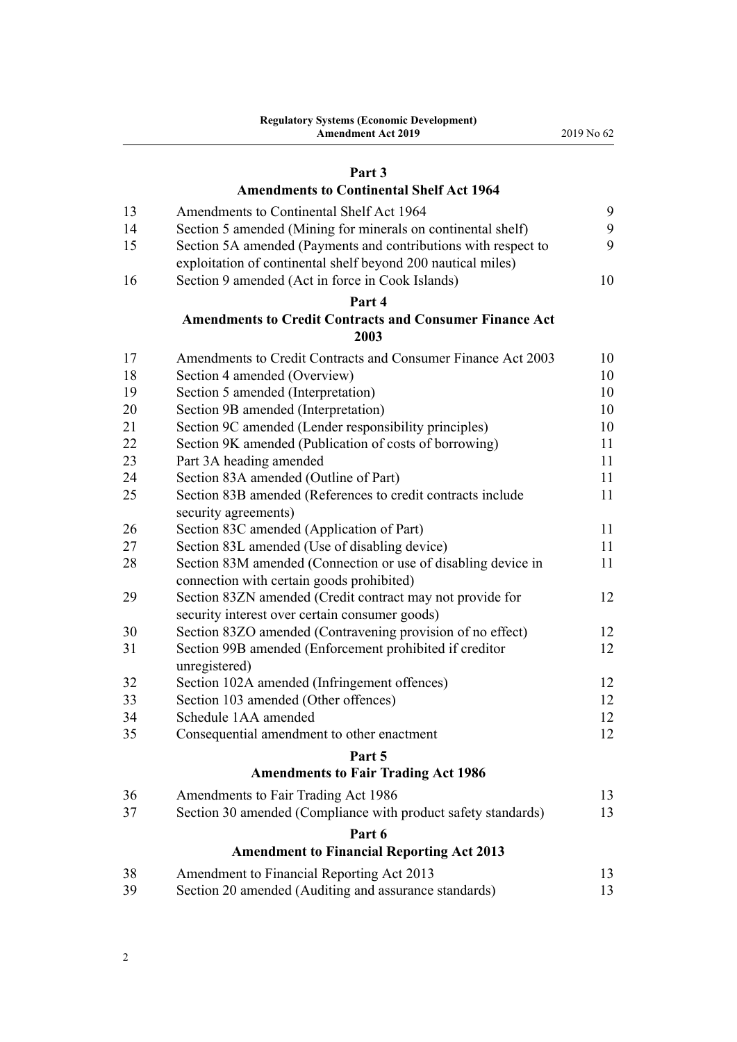# **[Part 3](#page-8-0)**

# **[Amendments to Continental Shelf Act 1964](#page-8-0)**

| 13 | Amendments to Continental Shelf Act 1964                       | 9  |
|----|----------------------------------------------------------------|----|
| 14 | Section 5 amended (Mining for minerals on continental shelf)   | 9  |
| 15 | Section 5A amended (Payments and contributions with respect to | 9  |
|    | exploitation of continental shelf beyond 200 nautical miles)   |    |
| 16 | Section 9 amended (Act in force in Cook Islands)               | 10 |
|    | Part 4                                                         |    |
|    | <b>Amendments to Credit Contracts and Consumer Finance Act</b> |    |
|    | 2003                                                           |    |
| 17 | Amendments to Credit Contracts and Consumer Finance Act 2003   | 10 |
| 18 | Section 4 amended (Overview)                                   | 10 |
| 19 | Section 5 amended (Interpretation)                             | 10 |
| 20 | Section 9B amended (Interpretation)                            | 10 |
| 21 | Section 9C amended (Lender responsibility principles)          | 10 |
| 22 | Section 9K amended (Publication of costs of borrowing)         | 11 |
| 23 | Part 3A heading amended                                        | 11 |
| 24 | Section 83A amended (Outline of Part)                          | 11 |
| 25 | Section 83B amended (References to credit contracts include    | 11 |
|    | security agreements)                                           |    |
| 26 | Section 83C amended (Application of Part)                      | 11 |
| 27 | Section 83L amended (Use of disabling device)                  | 11 |
| 28 | Section 83M amended (Connection or use of disabling device in  | 11 |
|    | connection with certain goods prohibited)                      |    |
| 29 | Section 83ZN amended (Credit contract may not provide for      | 12 |
|    | security interest over certain consumer goods)                 |    |
| 30 | Section 83ZO amended (Contravening provision of no effect)     | 12 |
| 31 | Section 99B amended (Enforcement prohibited if creditor        | 12 |
|    | unregistered)                                                  |    |
| 32 | Section 102A amended (Infringement offences)                   | 12 |
| 33 | Section 103 amended (Other offences)                           | 12 |
| 34 | Schedule 1AA amended                                           | 12 |
| 35 | Consequential amendment to other enactment                     | 12 |
|    | Part 5                                                         |    |
|    | <b>Amendments to Fair Trading Act 1986</b>                     |    |
| 36 | Amendments to Fair Trading Act 1986                            | 13 |
| 37 | Section 30 amended (Compliance with product safety standards)  | 13 |
|    | Part 6                                                         |    |
|    | <b>Amendment to Financial Reporting Act 2013</b>               |    |
| 38 | Amendment to Financial Reporting Act 2013                      | 13 |
| 39 | Section 20 amended (Auditing and assurance standards)          | 13 |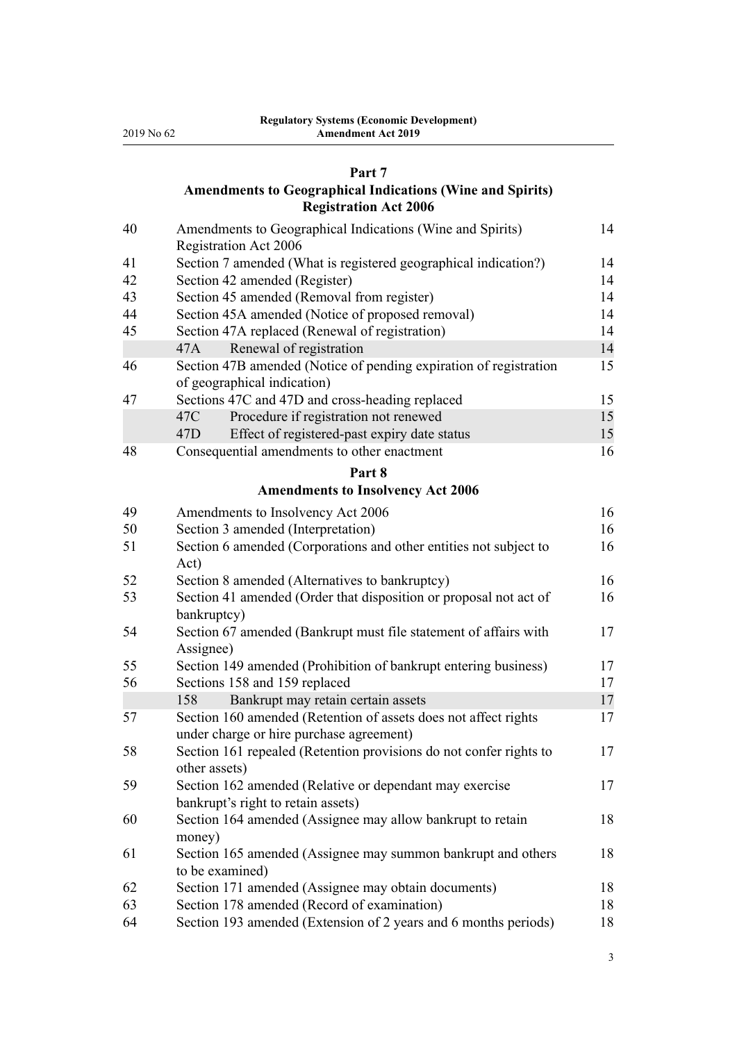#### **[Part 7](#page-13-0)**

# **[Amendments to Geographical Indications \(Wine and Spirits\)](#page-13-0) [Registration Act 2006](#page-13-0)**

| 40 | Amendments to Geographical Indications (Wine and Spirits)<br><b>Registration Act 2006</b>                   | 14 |
|----|-------------------------------------------------------------------------------------------------------------|----|
| 41 | Section 7 amended (What is registered geographical indication?)                                             | 14 |
| 42 | Section 42 amended (Register)                                                                               | 14 |
| 43 | Section 45 amended (Removal from register)                                                                  | 14 |
| 44 | Section 45A amended (Notice of proposed removal)                                                            | 14 |
| 45 | Section 47A replaced (Renewal of registration)                                                              | 14 |
|    | Renewal of registration<br>47A                                                                              | 14 |
| 46 | Section 47B amended (Notice of pending expiration of registration                                           | 15 |
|    | of geographical indication)                                                                                 |    |
| 47 | Sections 47C and 47D and cross-heading replaced                                                             | 15 |
|    | 47C<br>Procedure if registration not renewed                                                                | 15 |
|    | Effect of registered-past expiry date status<br>47D                                                         | 15 |
| 48 | Consequential amendments to other enactment                                                                 | 16 |
|    | Part 8                                                                                                      |    |
|    | <b>Amendments to Insolvency Act 2006</b>                                                                    |    |
| 49 | Amendments to Insolvency Act 2006                                                                           | 16 |
| 50 | Section 3 amended (Interpretation)                                                                          | 16 |
| 51 | Section 6 amended (Corporations and other entities not subject to                                           | 16 |
|    | Act)                                                                                                        |    |
| 52 | Section 8 amended (Alternatives to bankruptcy)                                                              | 16 |
| 53 | Section 41 amended (Order that disposition or proposal not act of                                           | 16 |
|    | bankruptcy)                                                                                                 |    |
| 54 | Section 67 amended (Bankrupt must file statement of affairs with<br>Assignee)                               | 17 |
| 55 | Section 149 amended (Prohibition of bankrupt entering business)                                             | 17 |
| 56 | Sections 158 and 159 replaced                                                                               | 17 |
|    | Bankrupt may retain certain assets<br>158                                                                   | 17 |
| 57 | Section 160 amended (Retention of assets does not affect rights<br>under charge or hire purchase agreement) | 17 |
| 58 | Section 161 repealed (Retention provisions do not confer rights to<br>other assets)                         | 17 |
| 59 | Section 162 amended (Relative or dependant may exercise                                                     | 17 |
|    | bankrupt's right to retain assets)                                                                          |    |
| 60 | Section 164 amended (Assignee may allow bankrupt to retain<br>money)                                        | 18 |
| 61 | Section 165 amended (Assignee may summon bankrupt and others<br>to be examined)                             | 18 |
| 62 | Section 171 amended (Assignee may obtain documents)                                                         | 18 |
| 63 | Section 178 amended (Record of examination)                                                                 | 18 |
| 64 | Section 193 amended (Extension of 2 years and 6 months periods)                                             | 18 |
|    |                                                                                                             |    |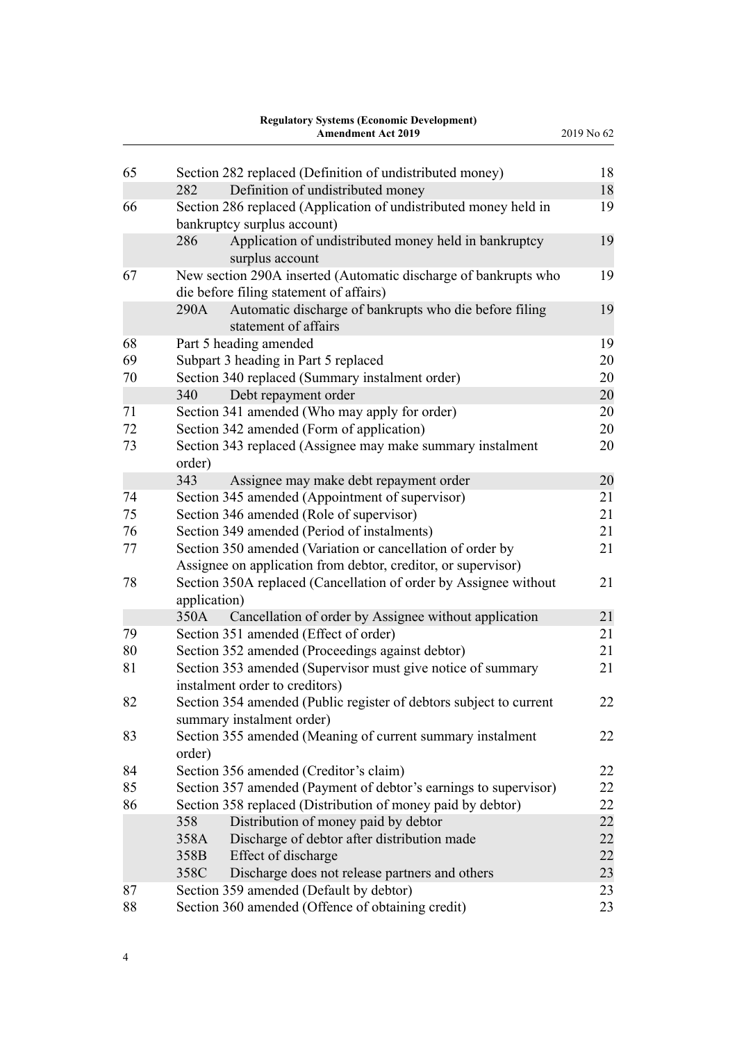|    | <b>Regulatory Systems (Economic Development)</b><br><b>Amendment Act 2019</b>                              | 2019 No 62 |
|----|------------------------------------------------------------------------------------------------------------|------------|
| 65 | Section 282 replaced (Definition of undistributed money)                                                   | 18         |
|    | 282<br>Definition of undistributed money                                                                   | 18         |
| 66 | Section 286 replaced (Application of undistributed money held in                                           | 19         |
|    | bankruptcy surplus account)                                                                                |            |
|    | Application of undistributed money held in bankruptcy<br>286<br>surplus account                            | 19         |
| 67 | New section 290A inserted (Automatic discharge of bankrupts who<br>die before filing statement of affairs) | 19         |
|    | Automatic discharge of bankrupts who die before filing<br>290A<br>statement of affairs                     | 19         |
| 68 | Part 5 heading amended                                                                                     | 19         |
| 69 | Subpart 3 heading in Part 5 replaced                                                                       | 20         |
| 70 | Section 340 replaced (Summary instalment order)                                                            | 20         |
|    | 340<br>Debt repayment order                                                                                | 20         |
| 71 | Section 341 amended (Who may apply for order)                                                              | 20         |
| 72 | Section 342 amended (Form of application)                                                                  | 20         |
| 73 | Section 343 replaced (Assignee may make summary instalment<br>order)                                       | 20         |
|    | 343<br>Assignee may make debt repayment order                                                              | 20         |
| 74 | Section 345 amended (Appointment of supervisor)                                                            | 21         |
| 75 | Section 346 amended (Role of supervisor)                                                                   | 21         |
| 76 | Section 349 amended (Period of instalments)                                                                | 21         |
| 77 | Section 350 amended (Variation or cancellation of order by                                                 | 21         |
|    | Assignee on application from debtor, creditor, or supervisor)                                              |            |
| 78 | Section 350A replaced (Cancellation of order by Assignee without<br>application)                           | 21         |
|    | Cancellation of order by Assignee without application<br>350A                                              | 21         |
| 79 | Section 351 amended (Effect of order)                                                                      | 21         |
| 80 | Section 352 amended (Proceedings against debtor)                                                           | 21         |
| 81 | Section 353 amended (Supervisor must give notice of summary<br>instalment order to creditors)              | 21         |
| 82 | Section 354 amended (Public register of debtors subject to current<br>summary instalment order)            | 22         |
| 83 | Section 355 amended (Meaning of current summary instalment<br>order)                                       | 22         |
| 84 | Section 356 amended (Creditor's claim)                                                                     | 22         |
| 85 | Section 357 amended (Payment of debtor's earnings to supervisor)                                           | 22         |
| 86 | Section 358 replaced (Distribution of money paid by debtor)                                                | 22         |
|    | Distribution of money paid by debtor<br>358                                                                | 22         |
|    | Discharge of debtor after distribution made<br>358A                                                        | 22         |
|    | Effect of discharge<br>358B                                                                                | 22         |
|    | Discharge does not release partners and others<br>358C                                                     | 23         |
| 87 | Section 359 amended (Default by debtor)                                                                    | 23         |
| 88 | Section 360 amended (Offence of obtaining credit)                                                          | 23         |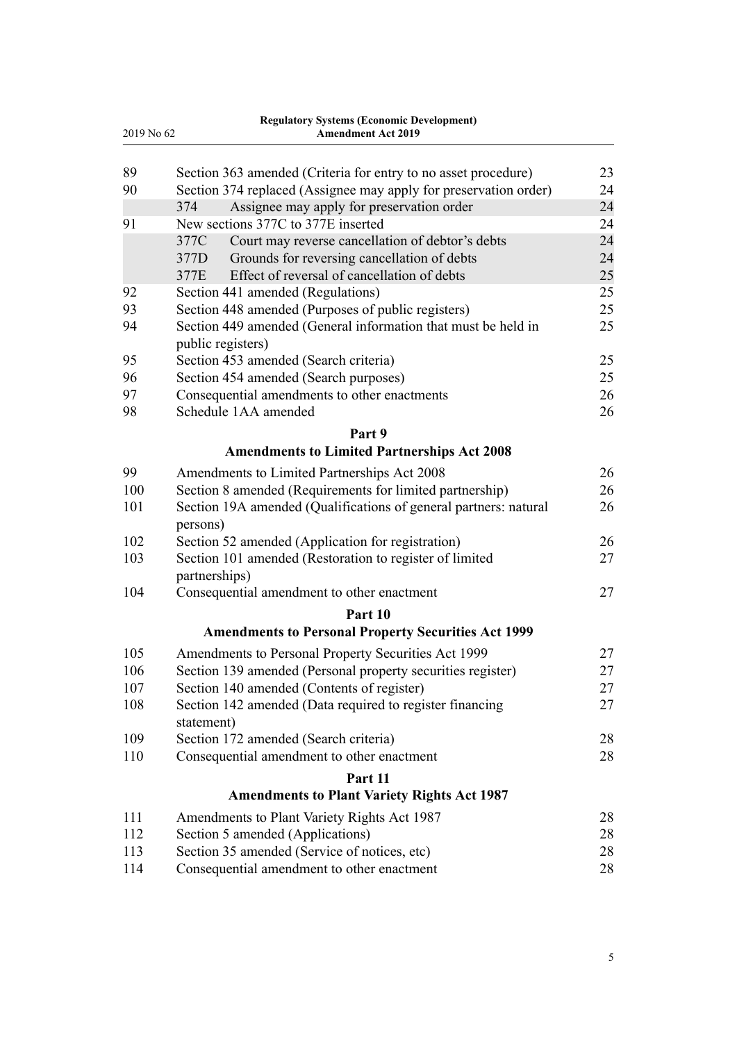| <b>Regulatory Systems (Economic Development)</b> |                                                                  |    |
|--------------------------------------------------|------------------------------------------------------------------|----|
| 2019 No 62                                       | <b>Amendment Act 2019</b>                                        |    |
| 89                                               | Section 363 amended (Criteria for entry to no asset procedure)   | 23 |
| 90                                               | Section 374 replaced (Assignee may apply for preservation order) | 24 |
|                                                  | 374<br>Assignee may apply for preservation order                 | 24 |
| 91                                               | New sections 377C to 377E inserted                               | 24 |
|                                                  | 377C<br>Court may reverse cancellation of debtor's debts         | 24 |
|                                                  | 377D<br>Grounds for reversing cancellation of debts              | 24 |
|                                                  | Effect of reversal of cancellation of debts<br>377E              | 25 |
| 92                                               | Section 441 amended (Regulations)                                | 25 |
| 93                                               | Section 448 amended (Purposes of public registers)               | 25 |
| 94                                               | Section 449 amended (General information that must be held in    | 25 |
|                                                  | public registers)                                                |    |
| 95                                               | Section 453 amended (Search criteria)                            | 25 |
| 96                                               | Section 454 amended (Search purposes)                            | 25 |
| 97                                               | Consequential amendments to other enactments                     | 26 |
| 98                                               | Schedule 1AA amended                                             | 26 |
|                                                  | Part 9                                                           |    |
|                                                  | <b>Amendments to Limited Partnerships Act 2008</b>               |    |
| 99                                               | Amendments to Limited Partnerships Act 2008                      | 26 |
| 100                                              | Section 8 amended (Requirements for limited partnership)         | 26 |
| 101                                              | Section 19A amended (Qualifications of general partners: natural | 26 |
|                                                  | persons)                                                         |    |
| 102                                              | Section 52 amended (Application for registration)                | 26 |
| 103                                              | Section 101 amended (Restoration to register of limited          | 27 |
|                                                  | partnerships)                                                    |    |
| 104                                              | Consequential amendment to other enactment                       | 27 |
|                                                  | Part 10                                                          |    |
|                                                  | <b>Amendments to Personal Property Securities Act 1999</b>       |    |
| 105                                              | Amendments to Personal Property Securities Act 1999              | 27 |
| 106                                              | Section 139 amended (Personal property securities register)      | 27 |
| 107                                              | Section 140 amended (Contents of register)                       | 27 |
| 108                                              | Section 142 amended (Data required to register financing         | 27 |
|                                                  | statement)                                                       |    |
| 109                                              | Section 172 amended (Search criteria)                            | 28 |
| 110                                              | Consequential amendment to other enactment                       | 28 |
|                                                  | Part 11                                                          |    |
|                                                  | <b>Amendments to Plant Variety Rights Act 1987</b>               |    |
| 111                                              | Amendments to Plant Variety Rights Act 1987                      | 28 |
| 112                                              | Section 5 amended (Applications)                                 | 28 |
| 113                                              | Section 35 amended (Service of notices, etc)                     | 28 |
| 114                                              | Consequential amendment to other enactment                       | 28 |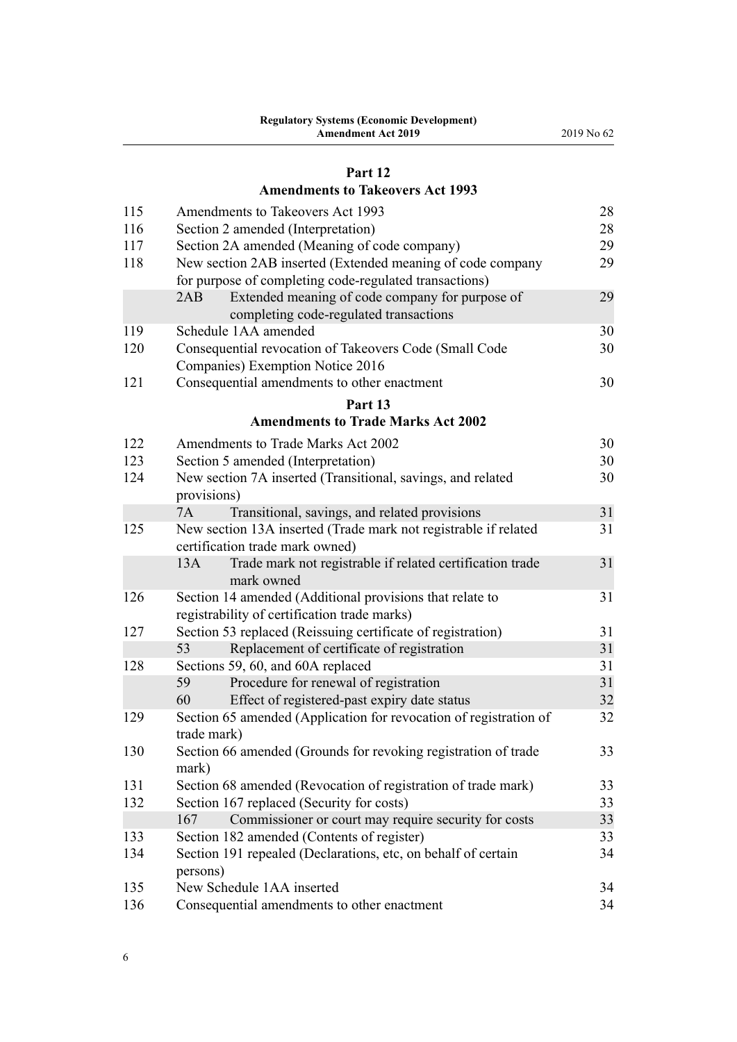# **[Part 12](#page-27-0) [Amendments to Takeovers Act 1993](#page-27-0)**

| 115 | Amendments to Takeovers Act 1993                                  | 28 |
|-----|-------------------------------------------------------------------|----|
| 116 | Section 2 amended (Interpretation)                                | 28 |
| 117 | Section 2A amended (Meaning of code company)                      | 29 |
| 118 | New section 2AB inserted (Extended meaning of code company        | 29 |
|     | for purpose of completing code-regulated transactions)            |    |
|     | Extended meaning of code company for purpose of<br>2AB            | 29 |
|     | completing code-regulated transactions                            |    |
| 119 | Schedule 1AA amended                                              | 30 |
| 120 | Consequential revocation of Takeovers Code (Small Code            | 30 |
|     | Companies) Exemption Notice 2016                                  |    |
| 121 | Consequential amendments to other enactment                       | 30 |
|     | Part 13                                                           |    |
|     | <b>Amendments to Trade Marks Act 2002</b>                         |    |
| 122 | Amendments to Trade Marks Act 2002                                | 30 |
| 123 | Section 5 amended (Interpretation)                                | 30 |
| 124 | New section 7A inserted (Transitional, savings, and related       | 30 |
|     | provisions)                                                       |    |
|     | 7A<br>Transitional, savings, and related provisions               | 31 |
| 125 | New section 13A inserted (Trade mark not registrable if related   | 31 |
|     | certification trade mark owned)                                   |    |
|     | Trade mark not registrable if related certification trade<br>13A  | 31 |
|     | mark owned                                                        |    |
| 126 | Section 14 amended (Additional provisions that relate to          | 31 |
|     | registrability of certification trade marks)                      |    |
| 127 | Section 53 replaced (Reissuing certificate of registration)       | 31 |
|     | 53<br>Replacement of certificate of registration                  | 31 |
| 128 | Sections 59, 60, and 60A replaced                                 | 31 |
|     | Procedure for renewal of registration<br>59                       | 31 |
|     | Effect of registered-past expiry date status<br>60                | 32 |
| 129 | Section 65 amended (Application for revocation of registration of | 32 |
|     | trade mark)                                                       |    |
| 130 | Section 66 amended (Grounds for revoking registration of trade    | 33 |
|     | mark)                                                             |    |
| 131 | Section 68 amended (Revocation of registration of trade mark)     | 33 |
| 132 | Section 167 replaced (Security for costs)                         | 33 |
|     | 167<br>Commissioner or court may require security for costs       | 33 |
| 133 | Section 182 amended (Contents of register)                        | 33 |
| 134 | Section 191 repealed (Declarations, etc, on behalf of certain     | 34 |
|     | persons)                                                          |    |
| 135 | New Schedule 1AA inserted                                         | 34 |
| 136 | Consequential amendments to other enactment                       | 34 |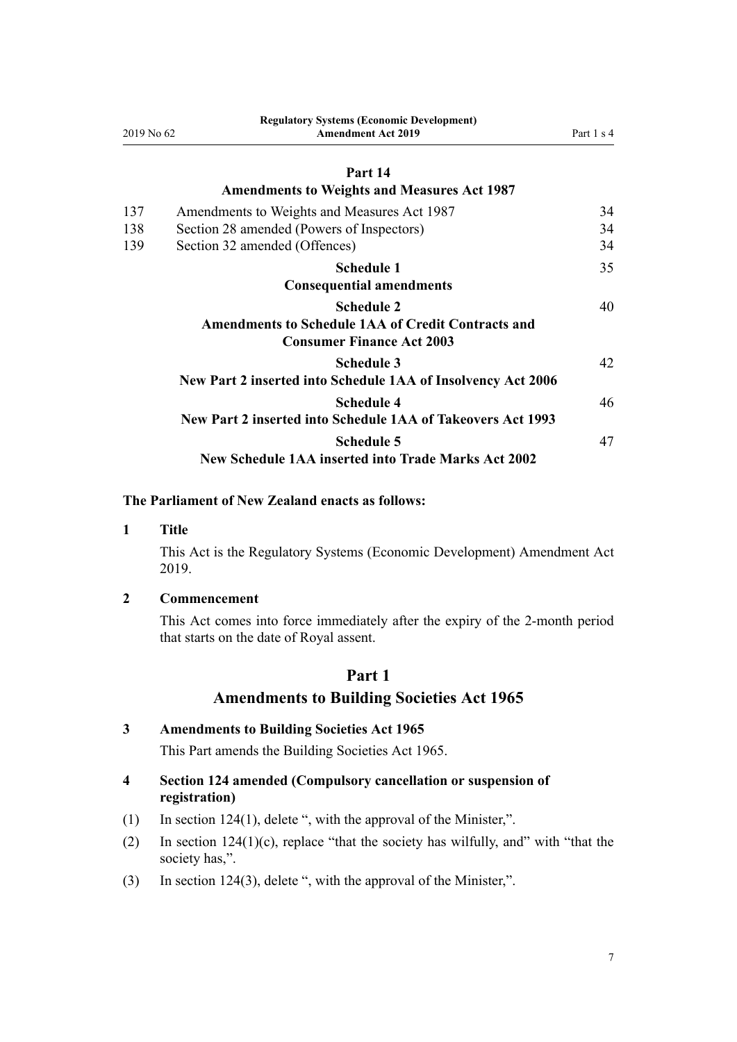<span id="page-6-0"></span>

| Regulatory Systems (Economic Development)<br><b>Amendment Act 2019</b><br>2019 No 62 | Part 1 s 4                                                                                                            |  |
|--------------------------------------------------------------------------------------|-----------------------------------------------------------------------------------------------------------------------|--|
| Part 14                                                                              |                                                                                                                       |  |
| <b>Amendments to Weights and Measures Act 1987</b>                                   |                                                                                                                       |  |
| Amendments to Weights and Measures Act 1987                                          | 34                                                                                                                    |  |
| Section 28 amended (Powers of Inspectors)                                            | 34                                                                                                                    |  |
| Section 32 amended (Offences)                                                        | 34                                                                                                                    |  |
| <b>Schedule 1</b>                                                                    | 35                                                                                                                    |  |
| <b>Consequential amendments</b>                                                      |                                                                                                                       |  |
| <b>Schedule 2</b>                                                                    | 40                                                                                                                    |  |
| <b>Amendments to Schedule 1AA of Credit Contracts and</b>                            |                                                                                                                       |  |
|                                                                                      |                                                                                                                       |  |
|                                                                                      | 42                                                                                                                    |  |
|                                                                                      |                                                                                                                       |  |
| <b>Schedule 4</b>                                                                    | 46                                                                                                                    |  |
| New Part 2 inserted into Schedule 1AA of Takeovers Act 1993                          |                                                                                                                       |  |
| <b>Schedule 5</b>                                                                    | 47                                                                                                                    |  |
| <b>New Schedule 1AA inserted into Trade Marks Act 2002</b>                           |                                                                                                                       |  |
|                                                                                      | <b>Consumer Finance Act 2003</b><br><b>Schedule 3</b><br>New Part 2 inserted into Schedule 1AA of Insolvency Act 2006 |  |

**Regulatory Systems (Economic Development)**

# **The Parliament of New Zealand enacts as follows:**

#### **1 Title**

This Act is the Regulatory Systems (Economic Development) Amendment Act 2019.

#### **2 Commencement**

This Act comes into force immediately after the expiry of the 2-month period that starts on the date of Royal assent.

# **Part 1**

# **Amendments to Building Societies Act 1965**

# **3 Amendments to Building Societies Act 1965**

This Part amends the [Building Societies Act 1965.](http://legislation.govt.nz/pdflink.aspx?id=DLM367767)

# **4 Section 124 amended (Compulsory cancellation or suspension of registration)**

- (1) In [section 124\(1\),](http://legislation.govt.nz/pdflink.aspx?id=DLM372387) delete ", with the approval of the Minister,".
- (2) In [section 124\(1\)\(c\)](http://legislation.govt.nz/pdflink.aspx?id=DLM372387), replace "that the society has wilfully, and" with "that the society has,".
- (3) In [section 124\(3\),](http://legislation.govt.nz/pdflink.aspx?id=DLM372387) delete ", with the approval of the Minister,".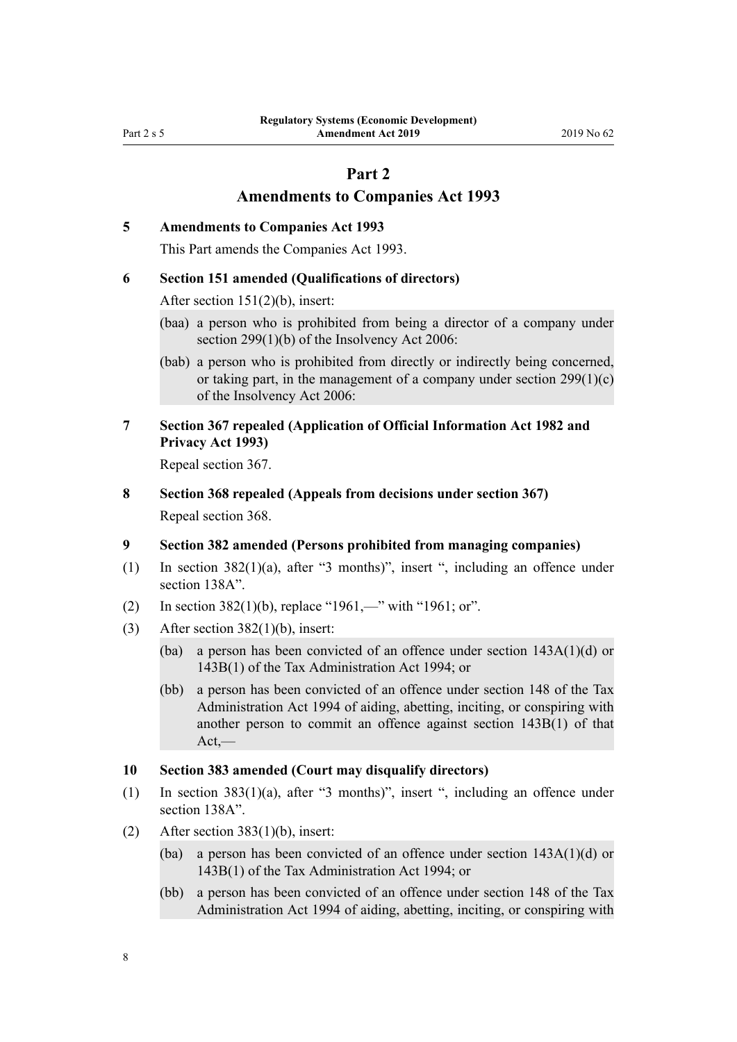# **Part 2**

# **Amendments to Companies Act 1993**

#### <span id="page-7-0"></span>**5 Amendments to Companies Act 1993**

This Part amends the [Companies Act 1993.](http://legislation.govt.nz/pdflink.aspx?id=DLM319569)

### **6 Section 151 amended (Qualifications of directors)**

After [section 151\(2\)\(b\),](http://legislation.govt.nz/pdflink.aspx?id=DLM320690) insert:

(baa) a person who is prohibited from being a director of a company under section 299(1)(b) of the Insolvency Act 2006:

(bab) a person who is prohibited from directly or indirectly being concerned, or taking part, in the management of a company under section  $299(1)(c)$ of the Insolvency Act 2006:

### **7 Section 367 repealed (Application of Official Information Act 1982 and Privacy Act 1993)**

Repeal [section 367.](http://legislation.govt.nz/pdflink.aspx?id=DLM323222)

**8 Section 368 repealed (Appeals from decisions under section 367)** Repeal [section 368.](http://legislation.govt.nz/pdflink.aspx?id=DLM323224)

#### **9 Section 382 amended (Persons prohibited from managing companies)**

- (1) In [section 382\(1\)\(a\)](http://legislation.govt.nz/pdflink.aspx?id=DLM323249), after "3 months)", insert ", including an offence under section 138A".
- (2) In [section 382\(1\)\(b\)](http://legislation.govt.nz/pdflink.aspx?id=DLM323249), replace "1961,—" with "1961; or".
- (3) After section  $382(1)(b)$ , insert:
	- (ba) a person has been convicted of an offence under section 143A(1)(d) or 143B(1) of the Tax Administration Act 1994; or
	- (bb) a person has been convicted of an offence under section 148 of the Tax Administration Act 1994 of aiding, abetting, inciting, or conspiring with another person to commit an offence against section 143B(1) of that  $Act,$ —

#### **10 Section 383 amended (Court may disqualify directors)**

- (1) In [section 383\(1\)\(a\)](http://legislation.govt.nz/pdflink.aspx?id=DLM323252), after "3 months)", insert ", including an offence under section 138A".
- (2) After [section 383\(1\)\(b\),](http://legislation.govt.nz/pdflink.aspx?id=DLM323252) insert:
	- (ba) a person has been convicted of an offence under section 143A(1)(d) or 143B(1) of the Tax Administration Act 1994; or
	- (bb) a person has been convicted of an offence under section 148 of the Tax Administration Act 1994 of aiding, abetting, inciting, or conspiring with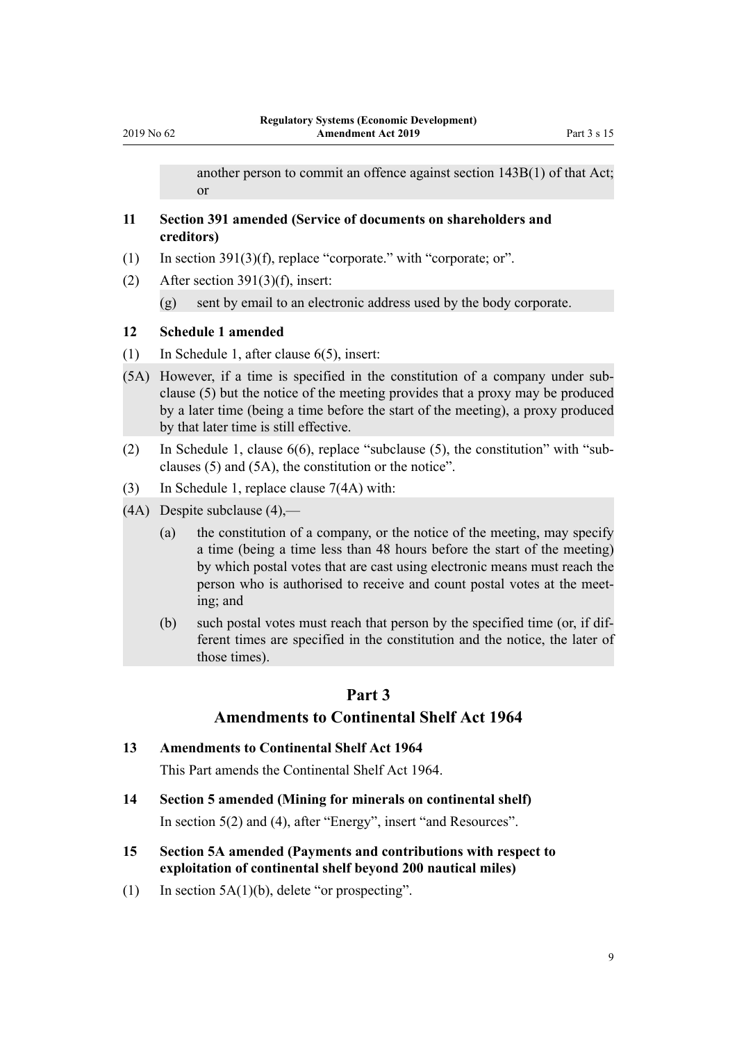another person to commit an offence against section 143B(1) of that Act; or

### <span id="page-8-0"></span>**11 Section 391 amended (Service of documents on shareholders and creditors)**

- (1) In [section 391\(3\)\(f\)](http://legislation.govt.nz/pdflink.aspx?id=DLM323276), replace "corporate." with "corporate; or".
- (2) After [section 391\(3\)\(f\),](http://legislation.govt.nz/pdflink.aspx?id=DLM323276) insert:

(g) sent by email to an electronic address used by the body corporate.

# **12 Schedule 1 amended**

- (1) In Schedule 1, after [clause 6\(5\),](http://legislation.govt.nz/pdflink.aspx?id=DLM323297) insert:
- (5A) However, if a time is specified in the constitution of a company under subclause (5) but the notice of the meeting provides that a proxy may be produced by a later time (being a time before the start of the meeting), a proxy produced by that later time is still effective.
- (2) In Schedule 1, [clause 6\(6\)](http://legislation.govt.nz/pdflink.aspx?id=DLM323297), replace "subclause (5), the constitution" with "subclauses (5) and (5A), the constitution or the notice".
- (3) In Schedule 1, replace [clause 7\(4A\)](http://legislation.govt.nz/pdflink.aspx?id=DLM323299) with:
- (4A) Despite subclause (4),—
	- (a) the constitution of a company, or the notice of the meeting, may specify a time (being a time less than 48 hours before the start of the meeting) by which postal votes that are cast using electronic means must reach the person who is authorised to receive and count postal votes at the meeting; and
	- (b) such postal votes must reach that person by the specified time (or, if different times are specified in the constitution and the notice, the later of those times).

### **Part 3**

## **Amendments to Continental Shelf Act 1964**

#### **13 Amendments to Continental Shelf Act 1964**

This Part amends the [Continental Shelf Act 1964](http://legislation.govt.nz/pdflink.aspx?id=DLM351638).

**14 Section 5 amended (Mining for minerals on continental shelf)**

In [section 5\(2\) and \(4\)](http://legislation.govt.nz/pdflink.aspx?id=DLM351671), after "Energy", insert "and Resources".

- **15 Section 5A amended (Payments and contributions with respect to exploitation of continental shelf beyond 200 nautical miles)**
- (1) In section  $5A(1)(b)$ , delete "or prospecting".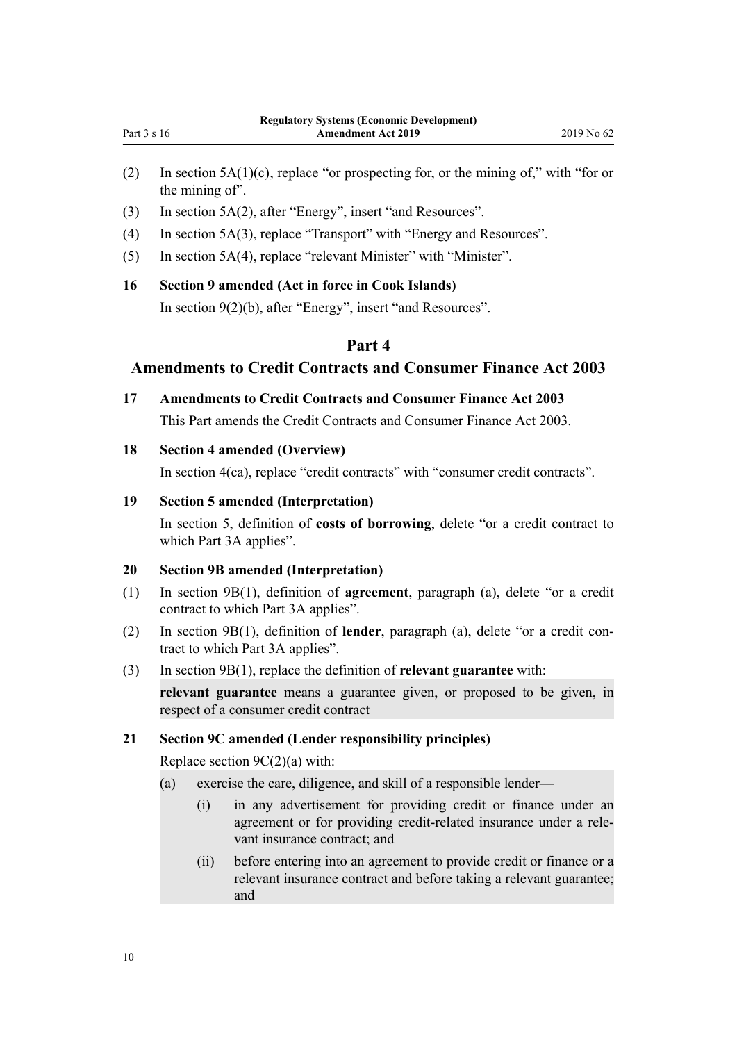- <span id="page-9-0"></span>(2) In [section 5A\(1\)\(c\)](http://legislation.govt.nz/pdflink.aspx?id=DLM351675), replace "or prospecting for, or the mining of," with "for or the mining of".
- (3) In [section 5A\(2\),](http://legislation.govt.nz/pdflink.aspx?id=DLM351675) after "Energy", insert "and Resources".
- (4) In [section 5A\(3\),](http://legislation.govt.nz/pdflink.aspx?id=DLM351675) replace "Transport" with "Energy and Resources".
- (5) In [section 5A\(4\),](http://legislation.govt.nz/pdflink.aspx?id=DLM351675) replace "relevant Minister" with "Minister".

# **16 Section 9 amended (Act in force in Cook Islands)**

In [section 9\(2\)\(b\),](http://legislation.govt.nz/pdflink.aspx?id=DLM351685) after "Energy", insert "and Resources".

# **Part 4**

# **Amendments to Credit Contracts and Consumer Finance Act 2003**

**17 Amendments to Credit Contracts and Consumer Finance Act 2003**

This Part amends the [Credit Contracts and Consumer Finance Act 2003.](http://legislation.govt.nz/pdflink.aspx?id=DLM211511)

# **18 Section 4 amended (Overview)**

In [section 4\(ca\),](http://legislation.govt.nz/pdflink.aspx?id=DLM211519) replace "credit contracts" with "consumer credit contracts".

# **19 Section 5 amended (Interpretation)**

In [section 5,](http://legislation.govt.nz/pdflink.aspx?id=DLM211520) definition of **costs of borrowing**, delete "or a credit contract to which Part 3A applies".

### **20 Section 9B amended (Interpretation)**

- (1) In [section 9B\(1\),](http://legislation.govt.nz/pdflink.aspx?id=DLM6501304) definition of **agreement**, paragraph (a), delete "or a credit contract to which Part 3A applies".
- (2) In [section 9B\(1\),](http://legislation.govt.nz/pdflink.aspx?id=DLM6501304) definition of **lender**, paragraph (a), delete "or a credit contract to which Part 3A applies".
- (3) In [section 9B\(1\),](http://legislation.govt.nz/pdflink.aspx?id=DLM6501304) replace the definition of **relevant guarantee** with:

**relevant guarantee** means a guarantee given, or proposed to be given, in respect of a consumer credit contract

### **21 Section 9C amended (Lender responsibility principles)**

Replace section  $9C(2)(a)$  with:

- (a) exercise the care, diligence, and skill of a responsible lender—
	- (i) in any advertisement for providing credit or finance under an agreement or for providing credit-related insurance under a relevant insurance contract; and
	- (ii) before entering into an agreement to provide credit or finance or a relevant insurance contract and before taking a relevant guarantee; and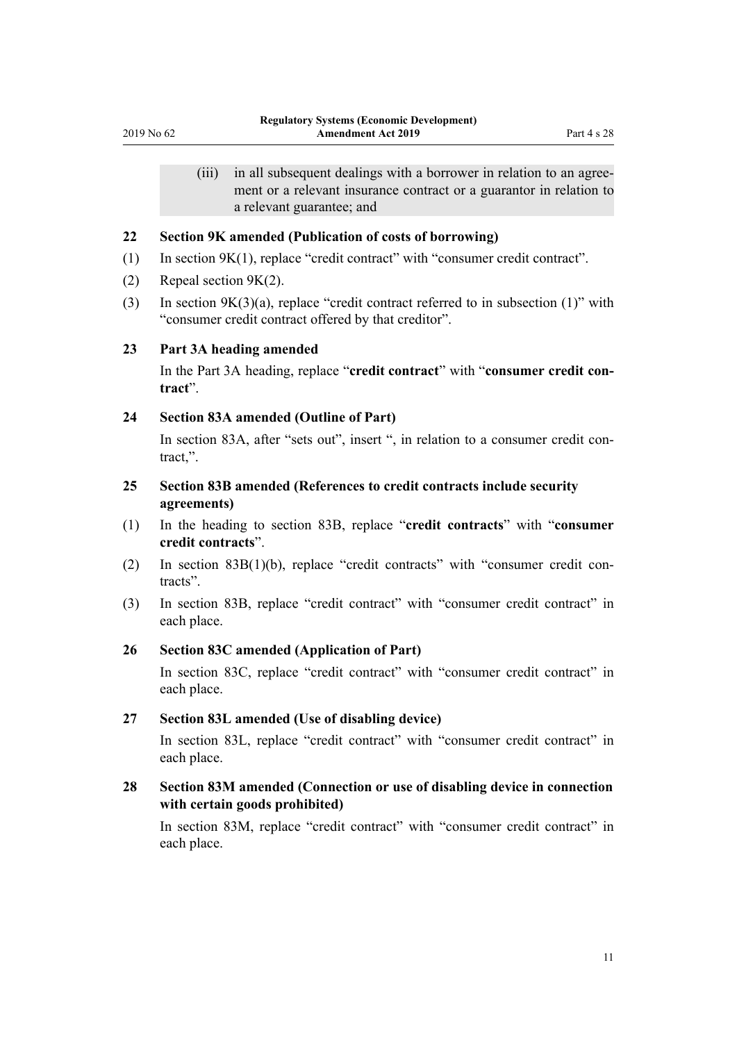<span id="page-10-0"></span>(iii) in all subsequent dealings with a borrower in relation to an agreement or a relevant insurance contract or a guarantor in relation to a relevant guarantee; and

#### **22 Section 9K amended (Publication of costs of borrowing)**

- (1) In [section 9K\(1\),](http://legislation.govt.nz/pdflink.aspx?id=DLM6501329) replace "credit contract" with "consumer credit contract".
- (2) Repeal [section 9K\(2\).](http://legislation.govt.nz/pdflink.aspx?id=DLM6501329)
- (3) In [section 9K\(3\)\(a\),](http://legislation.govt.nz/pdflink.aspx?id=DLM6501329) replace "credit contract referred to in subsection (1)" with "consumer credit contract offered by that creditor".

### **23 Part 3A heading amended**

In the [Part 3A](http://legislation.govt.nz/pdflink.aspx?id=DLM6501334) heading, replace "**credit contract**" with "**consumer credit contract**".

#### **24 Section 83A amended (Outline of Part)**

In [section 83A,](http://legislation.govt.nz/pdflink.aspx?id=DLM6501336) after "sets out", insert ", in relation to a consumer credit contract."

# **25 Section 83B amended (References to credit contracts include security agreements)**

- (1) In the heading to [section 83B](http://legislation.govt.nz/pdflink.aspx?id=DLM6501337), replace "**credit contracts**" with "**consumer credit contracts**".
- (2) In [section 83B\(1\)\(b\)](http://legislation.govt.nz/pdflink.aspx?id=DLM6501337), replace "credit contracts" with "consumer credit contracts".
- (3) In [section 83B](http://legislation.govt.nz/pdflink.aspx?id=DLM6501337), replace "credit contract" with "consumer credit contract" in each place.

### **26 Section 83C amended (Application of Part)**

In [section 83C](http://legislation.govt.nz/pdflink.aspx?id=DLM6501338), replace "credit contract" with "consumer credit contract" in each place.

#### **27 Section 83L amended (Use of disabling device)**

In [section 83L,](http://legislation.govt.nz/pdflink.aspx?id=DLM6501356) replace "credit contract" with "consumer credit contract" in each place.

# **28 Section 83M amended (Connection or use of disabling device in connection with certain goods prohibited)**

In [section 83M](http://legislation.govt.nz/pdflink.aspx?id=DLM6501361), replace "credit contract" with "consumer credit contract" in each place.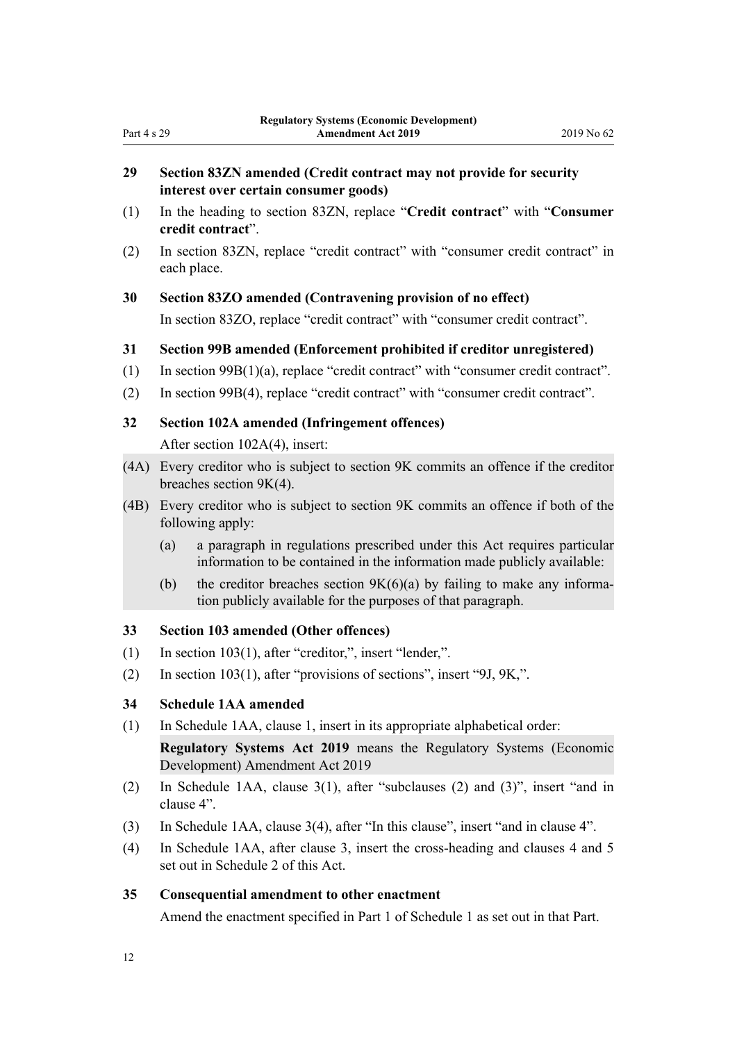#### <span id="page-11-0"></span>Part 4 s 29

# **29 Section 83ZN amended (Credit contract may not provide for security interest over certain consumer goods)**

- (1) In the heading to [section 83ZN](http://legislation.govt.nz/pdflink.aspx?id=DLM6501408), replace "**Credit contract**" with "**Consumer credit contract**".
- (2) In [section 83ZN](http://legislation.govt.nz/pdflink.aspx?id=DLM6501408), replace "credit contract" with "consumer credit contract" in each place.

### **30 Section 83ZO amended (Contravening provision of no effect)**

In [section 83ZO,](http://legislation.govt.nz/pdflink.aspx?id=DLM6501409) replace "credit contract" with "consumer credit contract".

## **31 Section 99B amended (Enforcement prohibited if creditor unregistered)**

- (1) In [section 99B\(1\)\(a\)](http://legislation.govt.nz/pdflink.aspx?id=DLM6503343), replace "credit contract" with "consumer credit contract".
- (2) In [section 99B\(4\),](http://legislation.govt.nz/pdflink.aspx?id=DLM6503343) replace "credit contract" with "consumer credit contract".

### **32 Section 102A amended (Infringement offences)**

After [section 102A\(4\),](http://legislation.govt.nz/pdflink.aspx?id=DLM6503373) insert:

- (4A) Every creditor who is subject to section 9K commits an offence if the creditor breaches section 9K(4).
- (4B) Every creditor who is subject to section 9K commits an offence if both of the following apply:
	- (a) a paragraph in regulations prescribed under this Act requires particular information to be contained in the information made publicly available:
	- (b) the creditor breaches section  $9K(6)(a)$  by failing to make any information publicly available for the purposes of that paragraph.

# **33 Section 103 amended (Other offences)**

- (1) In section  $103(1)$ , after "creditor,", insert "lender,".
- (2) In [section 103\(1\),](http://legislation.govt.nz/pdflink.aspx?id=DLM213185) after "provisions of sections", insert "9J, 9K,".

# **34 Schedule 1AA amended**

(1) In Schedule 1AA, [clause 1](http://legislation.govt.nz/pdflink.aspx?id=DLM6150839), insert in its appropriate alphabetical order:

**Regulatory Systems Act 2019** means the Regulatory Systems (Economic Development) Amendment Act 2019

- (2) In Schedule 1AA, [clause 3\(1\),](http://legislation.govt.nz/pdflink.aspx?id=DLM6150846) after "subclauses (2) and (3)", insert "and in clause 4".
- (3) In Schedule 1AA, [clause 3\(4\),](http://legislation.govt.nz/pdflink.aspx?id=DLM6150846) after "In this clause", insert "and in clause 4".
- (4) In Schedule 1AA, after [clause 3,](http://legislation.govt.nz/pdflink.aspx?id=DLM6150846) insert the cross-heading and clauses 4 and 5 set out in [Schedule 2](#page-39-0) of this Act.

# **35 Consequential amendment to other enactment**

Amend the enactment specified in [Part 1](#page-34-0) of Schedule 1 as set out in that Part.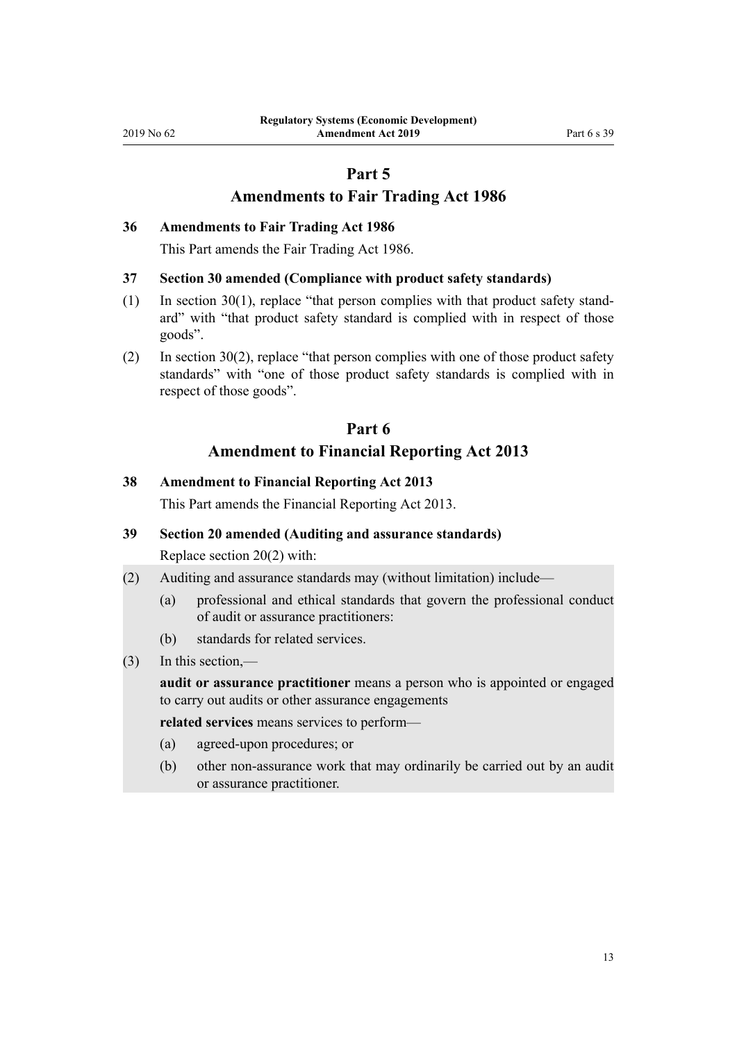# **Part 5**

# **Amendments to Fair Trading Act 1986**

#### <span id="page-12-0"></span>**36 Amendments to Fair Trading Act 1986**

This Part amends the [Fair Trading Act 1986.](http://legislation.govt.nz/pdflink.aspx?id=DLM96438)

#### **37 Section 30 amended (Compliance with product safety standards)**

- (1) In [section 30\(1\),](http://legislation.govt.nz/pdflink.aspx?id=DLM96966) replace "that person complies with that product safety standard" with "that product safety standard is complied with in respect of those goods".
- (2) In [section 30\(2\)](http://legislation.govt.nz/pdflink.aspx?id=DLM96966), replace "that person complies with one of those product safety standards" with "one of those product safety standards is complied with in respect of those goods".

# **Part 6 Amendment to Financial Reporting Act 2013**

# **38 Amendment to Financial Reporting Act 2013**

This Part amends the [Financial Reporting Act 2013.](http://legislation.govt.nz/pdflink.aspx?id=DLM4632802)

#### **39 Section 20 amended (Auditing and assurance standards)**

Replace [section 20\(2\)](http://legislation.govt.nz/pdflink.aspx?id=DLM4632913) with:

- (2) Auditing and assurance standards may (without limitation) include—
	- (a) professional and ethical standards that govern the professional conduct of audit or assurance practitioners:
	- (b) standards for related services.
- (3) In this section,—

**audit or assurance practitioner** means a person who is appointed or engaged to carry out audits or other assurance engagements

**related services** means services to perform—

- (a) agreed-upon procedures; or
- (b) other non-assurance work that may ordinarily be carried out by an audit or assurance practitioner.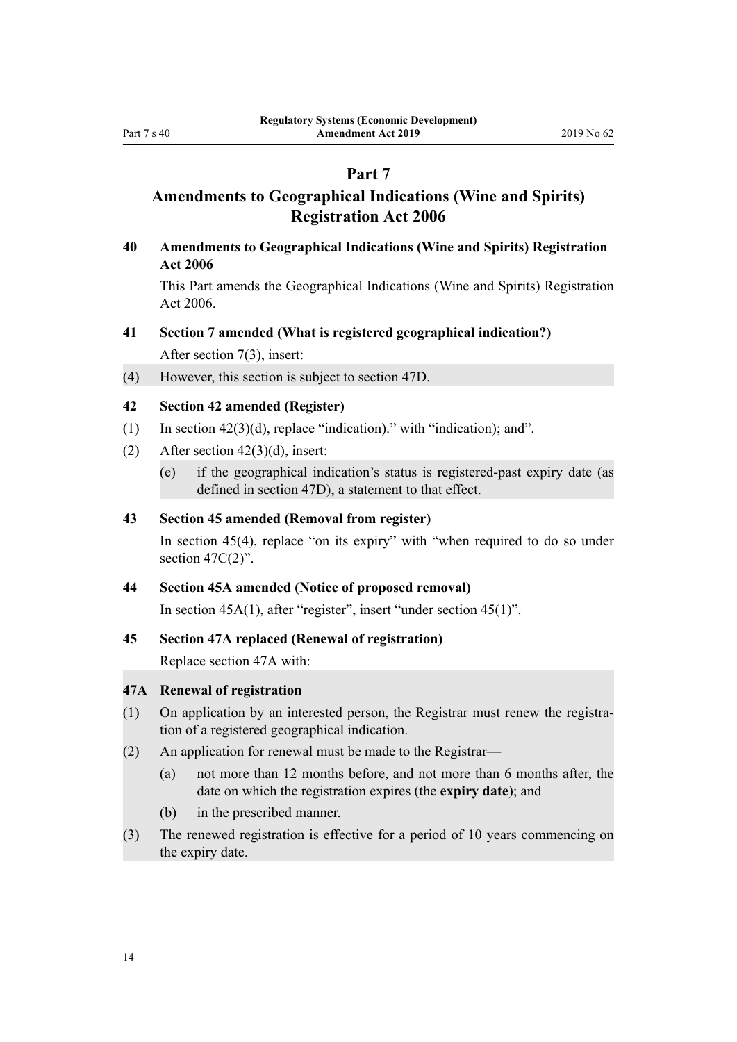# **Part 7**

# <span id="page-13-0"></span>**Amendments to Geographical Indications (Wine and Spirits) Registration Act 2006**

**40 Amendments to Geographical Indications (Wine and Spirits) Registration Act 2006**

This Part amends the [Geographical Indications \(Wine and Spirits\) Registration](http://legislation.govt.nz/pdflink.aspx?id=DLM390755) [Act 2006.](http://legislation.govt.nz/pdflink.aspx?id=DLM390755)

- **41 Section 7 amended (What is registered geographical indication?)** After [section 7\(3\),](http://legislation.govt.nz/pdflink.aspx?id=DLM390819) insert:
- (4) However, this section is subject to section 47D.

#### **42 Section 42 amended (Register)**

- (1) In section  $42(3)(d)$ , replace "indication)." with "indication); and".
- (2) After section  $42(3)(d)$ , insert:
	- (e) if the geographical indication's status is registered-past expiry date (as defined in section 47D), a statement to that effect.

# **43 Section 45 amended (Removal from register)**

In [section 45\(4\),](http://legislation.govt.nz/pdflink.aspx?id=DLM390872) replace "on its expiry" with "when required to do so under section  $47C(2)$ ".

#### **44 Section 45A amended (Notice of proposed removal)**

In [section 45A\(1\)](http://legislation.govt.nz/pdflink.aspx?id=DLM7050179), after "register", insert "under section 45(1)".

#### **45 Section 47A replaced (Renewal of registration)**

Replace [section 47A](http://legislation.govt.nz/pdflink.aspx?id=DLM7051601) with:

#### **47A Renewal of registration**

- (1) On application by an interested person, the Registrar must renew the registration of a registered geographical indication.
- (2) An application for renewal must be made to the Registrar—
	- (a) not more than 12 months before, and not more than 6 months after, the date on which the registration expires (the **expiry date**); and
	- (b) in the prescribed manner.
- (3) The renewed registration is effective for a period of 10 years commencing on the expiry date.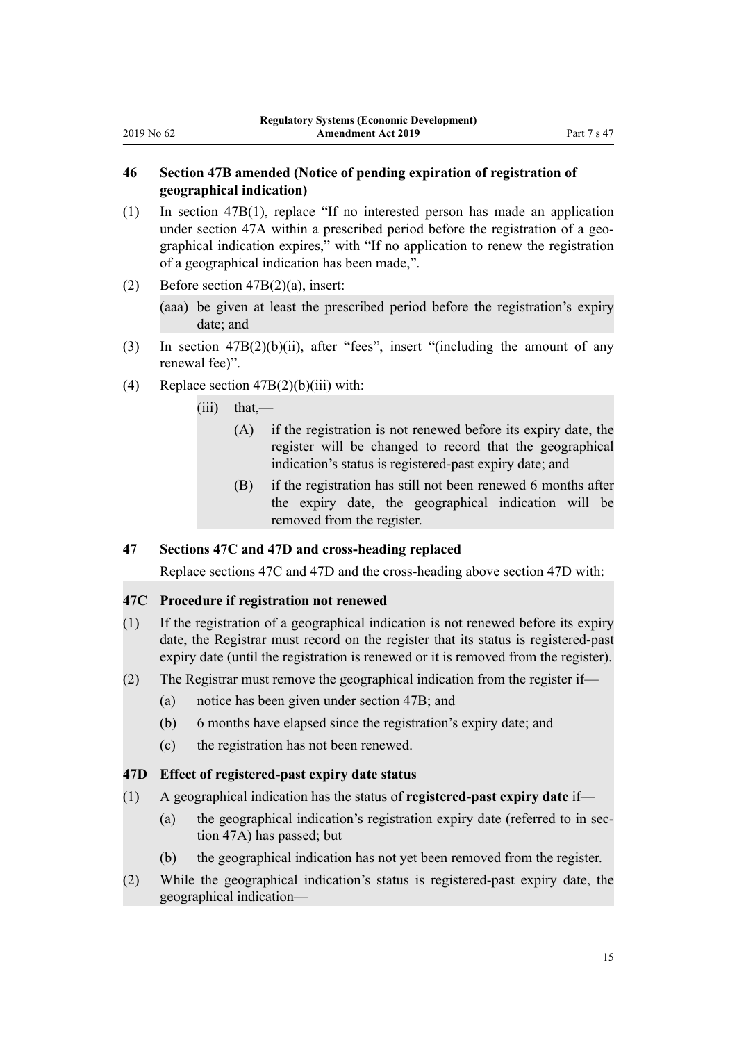# <span id="page-14-0"></span>**46 Section 47B amended (Notice of pending expiration of registration of geographical indication)**

- (1) In [section 47B\(1\),](http://legislation.govt.nz/pdflink.aspx?id=DLM7051603) replace "If no interested person has made an application under section 47A within a prescribed period before the registration of a geographical indication expires," with "If no application to renew the registration of a geographical indication has been made,".
- (2) Before [section 47B\(2\)\(a\)](http://legislation.govt.nz/pdflink.aspx?id=DLM7051603), insert:

(aaa) be given at least the prescribed period before the registration's expiry date; and

- (3) In section  $47B(2)(b)(ii)$ , after "fees", insert "(including the amount of any renewal fee)".
- (4) Replace section  $47B(2)(b)(iii)$  with:

 $(iii)$  that,—

- (A) if the registration is not renewed before its expiry date, the register will be changed to record that the geographical indication's status is registered-past expiry date; and
- (B) if the registration has still not been renewed 6 months after the expiry date, the geographical indication will be removed from the register.

# **47 Sections 47C and 47D and cross-heading replaced**

Replace [sections 47C](http://legislation.govt.nz/pdflink.aspx?id=DLM7051604) and [47D](http://legislation.govt.nz/pdflink.aspx?id=DLM7051606) and the cross-heading above section 47D with:

#### **47C Procedure if registration not renewed**

- (1) If the registration of a geographical indication is not renewed before its expiry date, the Registrar must record on the register that its status is registered-past expiry date (until the registration is renewed or it is removed from the register).
- (2) The Registrar must remove the geographical indication from the register if—
	- (a) notice has been given under section 47B; and
	- (b) 6 months have elapsed since the registration's expiry date; and
	- (c) the registration has not been renewed.

#### **47D Effect of registered-past expiry date status**

- (1) A geographical indication has the status of **registered-past expiry date** if—
	- (a) the geographical indication's registration expiry date (referred to in section 47A) has passed; but
	- (b) the geographical indication has not yet been removed from the register.
- (2) While the geographical indication's status is registered-past expiry date, the geographical indication—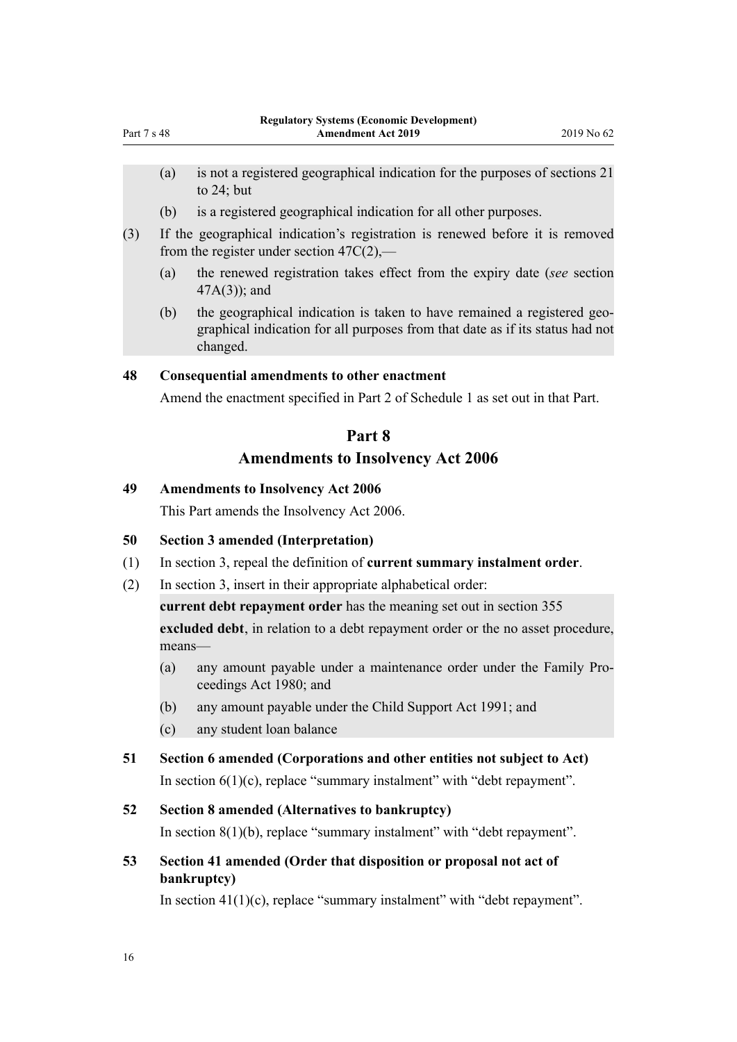- <span id="page-15-0"></span>(a) is not a registered geographical indication for the purposes of sections 21 to 24; but
- (b) is a registered geographical indication for all other purposes.
- (3) If the geographical indication's registration is renewed before it is removed from the register under section  $47C(2)$ ,—
	- (a) the renewed registration takes effect from the expiry date (*see* section 47A(3)); and
	- (b) the geographical indication is taken to have remained a registered geographical indication for all purposes from that date as if its status had not changed.

### **48 Consequential amendments to other enactment**

Amend the enactment specified in [Part 2](#page-34-0) of Schedule 1 as set out in that Part.

# **Part 8 Amendments to Insolvency Act 2006**

#### **49 Amendments to Insolvency Act 2006**

This Part amends the [Insolvency Act 2006.](http://legislation.govt.nz/pdflink.aspx?id=DLM385298)

### **50 Section 3 amended (Interpretation)**

- (1) In [section 3,](http://legislation.govt.nz/pdflink.aspx?id=DLM385805) repeal the definition of **current summary instalment order**.
- (2) In [section 3,](http://legislation.govt.nz/pdflink.aspx?id=DLM385805) insert in their appropriate alphabetical order:

**current debt repayment order** has the meaning set out in section 355

**excluded debt**, in relation to a debt repayment order or the no asset procedure, means—

- (a) any amount payable under a maintenance order under the Family Proceedings Act 1980; and
- (b) any amount payable under the Child Support Act 1991; and
- (c) any student loan balance
- **51 Section 6 amended (Corporations and other entities not subject to Act)**

In section  $6(1)(c)$ , replace "summary instalment" with "debt repayment".

### **52 Section 8 amended (Alternatives to bankruptcy)**

In [section 8\(1\)\(b\),](http://legislation.govt.nz/pdflink.aspx?id=DLM385867) replace "summary instalment" with "debt repayment".

**53 Section 41 amended (Order that disposition or proposal not act of bankruptcy)**

In section  $41(1)(c)$ , replace "summary instalment" with "debt repayment".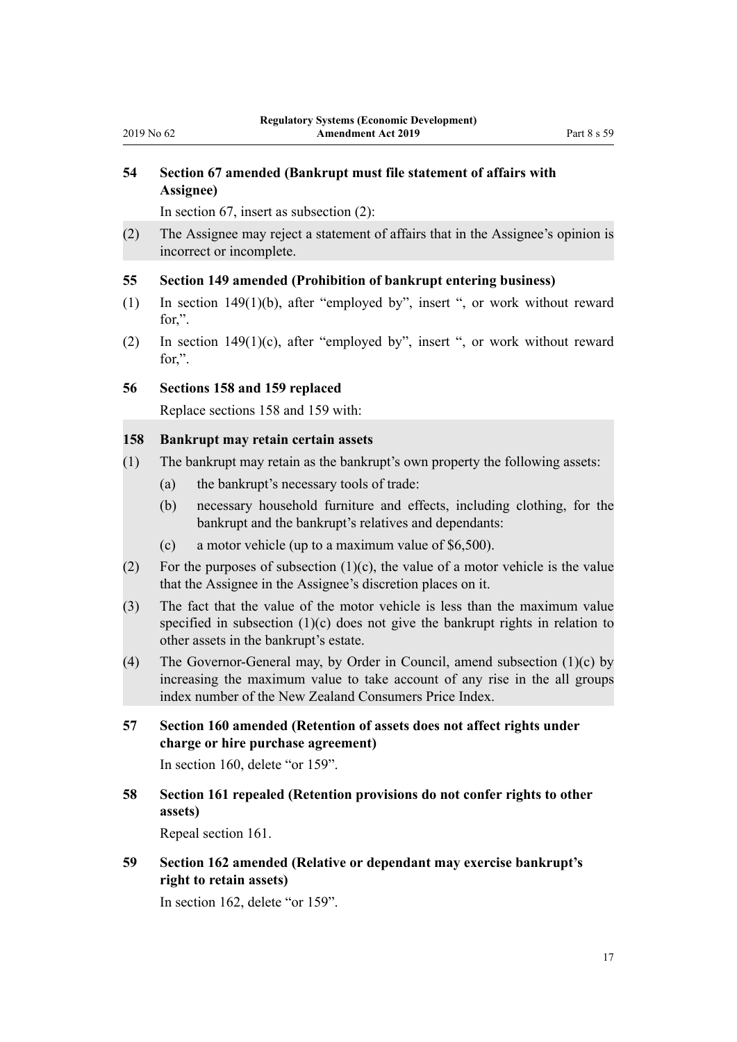# <span id="page-16-0"></span>**54 Section 67 amended (Bankrupt must file statement of affairs with Assignee)**

In [section 67,](http://legislation.govt.nz/pdflink.aspx?id=DLM385957) insert as subsection (2):

(2) The Assignee may reject a statement of affairs that in the Assignee's opinion is incorrect or incomplete.

# **55 Section 149 amended (Prohibition of bankrupt entering business)**

- (1) In [section 149\(1\)\(b\)](http://legislation.govt.nz/pdflink.aspx?id=DLM386479), after "employed by", insert ", or work without reward for,".
- (2) In [section 149\(1\)\(c\),](http://legislation.govt.nz/pdflink.aspx?id=DLM386479) after "employed by", insert ", or work without reward for,".

### **56 Sections 158 and 159 replaced**

Replace [sections 158](http://legislation.govt.nz/pdflink.aspx?id=DLM386496) and [159](http://legislation.govt.nz/pdflink.aspx?id=DLM386498) with:

### **158 Bankrupt may retain certain assets**

- (1) The bankrupt may retain as the bankrupt's own property the following assets:
	- (a) the bankrupt's necessary tools of trade:
	- (b) necessary household furniture and effects, including clothing, for the bankrupt and the bankrupt's relatives and dependants:
	- (c) a motor vehicle (up to a maximum value of \$6,500).
- (2) For the purposes of subsection  $(1)(c)$ , the value of a motor vehicle is the value that the Assignee in the Assignee's discretion places on it.
- (3) The fact that the value of the motor vehicle is less than the maximum value specified in subsection (1)(c) does not give the bankrupt rights in relation to other assets in the bankrupt's estate.
- (4) The Governor-General may, by Order in Council, amend subsection (1)(c) by increasing the maximum value to take account of any rise in the all groups index number of the New Zealand Consumers Price Index.
- **57 Section 160 amended (Retention of assets does not affect rights under charge or hire purchase agreement)**

In [section 160](http://legislation.govt.nz/pdflink.aspx?id=DLM386499), delete "or 159".

**58 Section 161 repealed (Retention provisions do not confer rights to other assets)**

Repeal [section 161.](http://legislation.govt.nz/pdflink.aspx?id=DLM386900)

**59 Section 162 amended (Relative or dependant may exercise bankrupt's right to retain assets)**

In [section 162](http://legislation.govt.nz/pdflink.aspx?id=DLM386901), delete "or 159".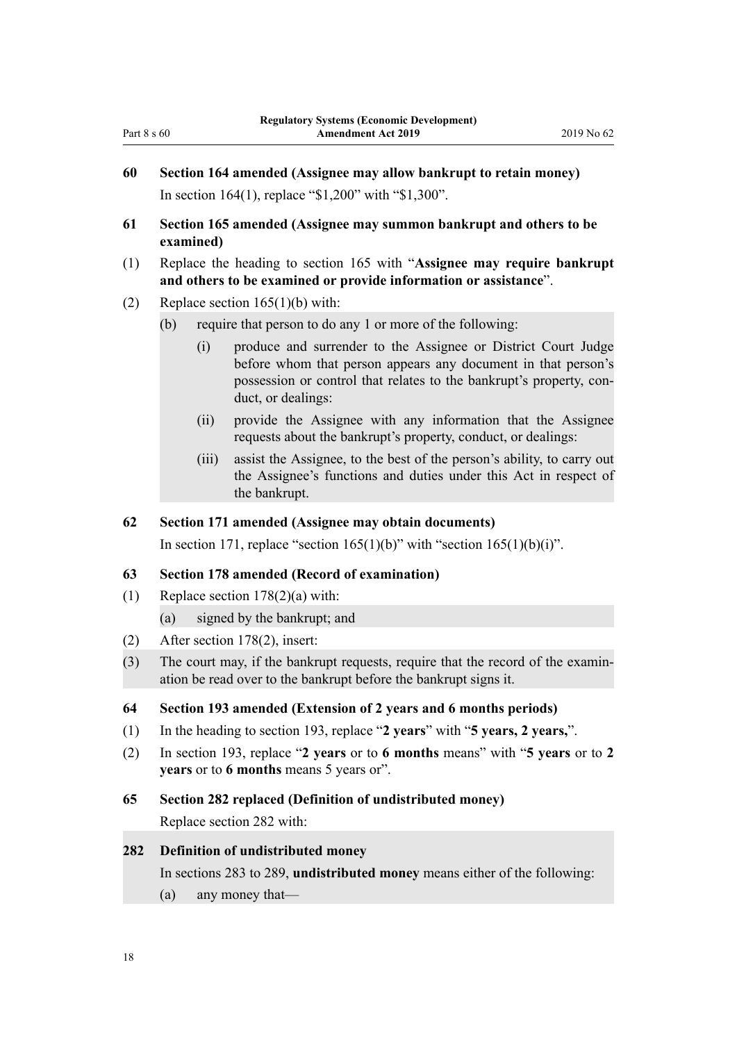- <span id="page-17-0"></span>**60 Section 164 amended (Assignee may allow bankrupt to retain money)** In [section 164\(1\),](http://legislation.govt.nz/pdflink.aspx?id=DLM386903) replace "\$1,200" with "\$1,300".
- **61 Section 165 amended (Assignee may summon bankrupt and others to be examined)**
- (1) Replace the heading to [section 165](http://legislation.govt.nz/pdflink.aspx?id=DLM386906) with "**Assignee may require bankrupt and others to be examined or provide information or assistance**".
- (2) Replace section  $165(1)(b)$  with:
	- (b) require that person to do any 1 or more of the following:
		- (i) produce and surrender to the Assignee or District Court Judge before whom that person appears any document in that person's possession or control that relates to the bankrupt's property, conduct, or dealings:
		- (ii) provide the Assignee with any information that the Assignee requests about the bankrupt's property, conduct, or dealings:
		- (iii) assist the Assignee, to the best of the person's ability, to carry out the Assignee's functions and duties under this Act in respect of the bankrupt.

#### **62 Section 171 amended (Assignee may obtain documents)**

In [section 171](http://legislation.govt.nz/pdflink.aspx?id=DLM386913), replace "section  $165(1)(b)$ " with "section  $165(1)(b)(i)$ ".

#### **63 Section 178 amended (Record of examination)**

- (1) Replace section  $178(2)(a)$  with:
	- (a) signed by the bankrupt; and
- (2) After [section 178\(2\)](http://legislation.govt.nz/pdflink.aspx?id=DLM386922), insert:
- (3) The court may, if the bankrupt requests, require that the record of the examination be read over to the bankrupt before the bankrupt signs it.

#### **64 Section 193 amended (Extension of 2 years and 6 months periods)**

- (1) In the heading to [section 193](http://legislation.govt.nz/pdflink.aspx?id=DLM386948), replace "**2 years**" with "**5 years, 2 years,**".
- (2) In [section 193,](http://legislation.govt.nz/pdflink.aspx?id=DLM386948) replace "**2 years** or to **6 months** means" with "**5 years** or to **2 years** or to **6 months** means 5 years or".
- **65 Section 282 replaced (Definition of undistributed money)**

Replace [section 282](http://legislation.govt.nz/pdflink.aspx?id=DLM387508) with:

#### **282 Definition of undistributed money**

In sections 283 to 289, **undistributed money** means either of the following:

(a) any money that—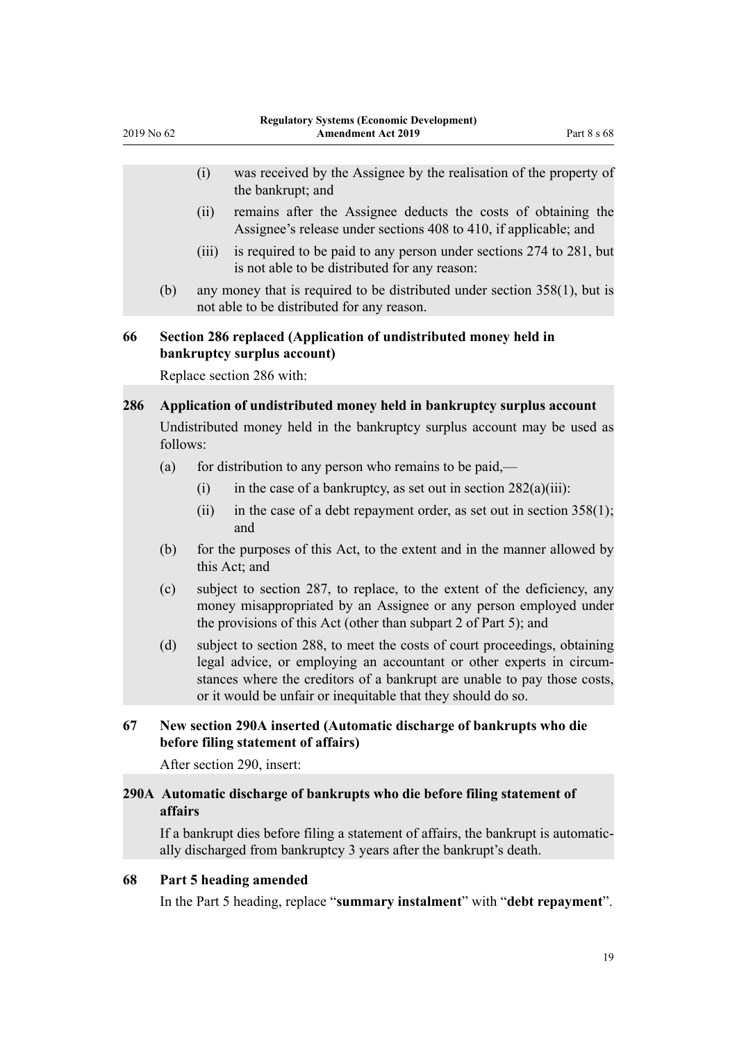<span id="page-18-0"></span>

| 2019 No 62 |          | <b>Regulatory Systems (Economic Development)</b><br><b>Amendment Act 2019</b> |                                                                                                                                   | Part 8 s 68 |
|------------|----------|-------------------------------------------------------------------------------|-----------------------------------------------------------------------------------------------------------------------------------|-------------|
|            |          | (i)                                                                           | was received by the Assignee by the realisation of the property of<br>the bankrupt; and                                           |             |
|            |          | (ii)                                                                          | remains after the Assignee deducts the costs of obtaining the<br>Assignee's release under sections 408 to 410, if applicable; and |             |
|            |          | (iii)                                                                         | is required to be paid to any person under sections 274 to 281, but<br>is not able to be distributed for any reason:              |             |
|            | (b)      |                                                                               | any money that is required to be distributed under section $358(1)$ , but is<br>not able to be distributed for any reason.        |             |
| 66         |          |                                                                               | Section 286 replaced (Application of undistributed money held in<br>bankruptcy surplus account)                                   |             |
|            |          |                                                                               | Replace section 286 with:                                                                                                         |             |
| 286        |          |                                                                               | Application of undistributed money held in bankruptcy surplus account                                                             |             |
|            | follows: |                                                                               | Undistributed money held in the bankruptcy surplus account may be used as                                                         |             |
|            | (a)      |                                                                               | for distribution to any person who remains to be paid,—                                                                           |             |
|            |          | (i)                                                                           | in the case of a bankruptcy, as set out in section $282(a)(iii)$ :                                                                |             |
|            |          | (ii)                                                                          | in the case of a debt repayment order, as set out in section $358(1)$ ;<br>and                                                    |             |

- (b) for the purposes of this Act, to the extent and in the manner allowed by this Act; and
- (c) subject to section 287, to replace, to the extent of the deficiency, any money misappropriated by an Assignee or any person employed under the provisions of this Act (other than subpart 2 of Part 5); and
- (d) subject to section 288, to meet the costs of court proceedings, obtaining legal advice, or employing an accountant or other experts in circumstances where the creditors of a bankrupt are unable to pay those costs, or it would be unfair or inequitable that they should do so.

# **67 New section 290A inserted (Automatic discharge of bankrupts who die before filing statement of affairs)**

After [section 290](http://legislation.govt.nz/pdflink.aspx?id=DLM387520), insert:

# **290A Automatic discharge of bankrupts who die before filing statement of affairs**

If a bankrupt dies before filing a statement of affairs, the bankrupt is automatically discharged from bankruptcy 3 years after the bankrupt's death.

### **68 Part 5 heading amended**

In the [Part 5](http://legislation.govt.nz/pdflink.aspx?id=DLM387545) heading, replace "**summary instalment**" with "**debt repayment**".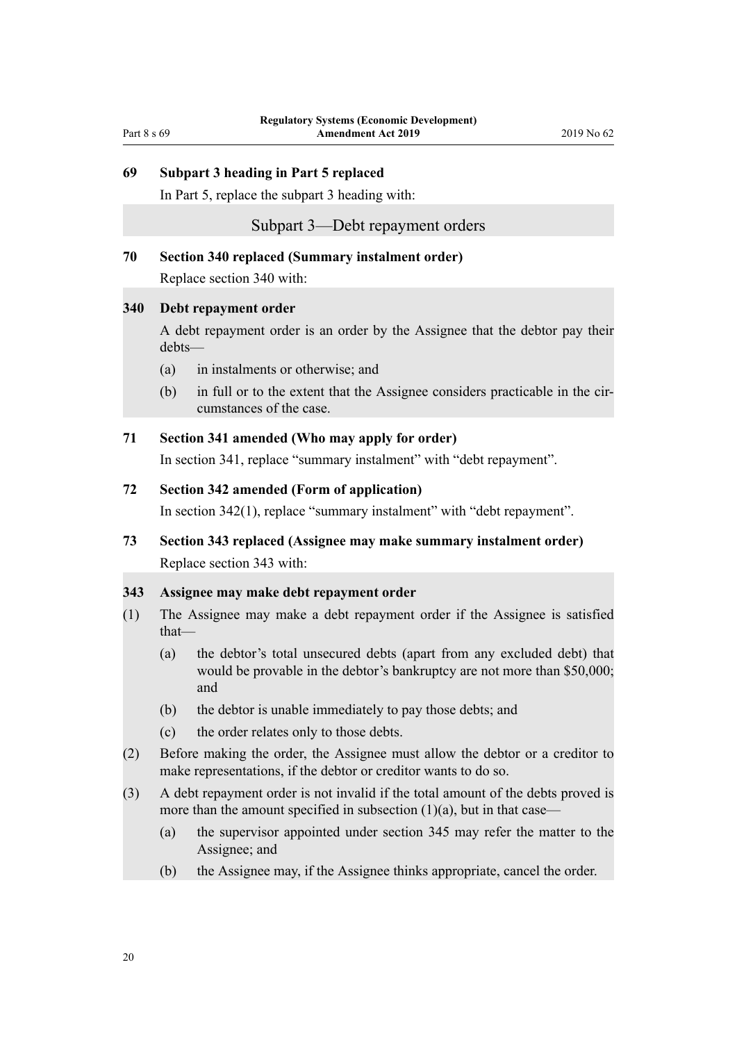# <span id="page-19-0"></span>**69 Subpart 3 heading in Part 5 replaced**

In Part 5, replace the [subpart 3](http://legislation.govt.nz/pdflink.aspx?id=DLM387583) heading with:

### Subpart 3—Debt repayment orders

# **70 Section 340 replaced (Summary instalment order)**

Replace [section 340](http://legislation.govt.nz/pdflink.aspx?id=DLM387584) with:

#### **340 Debt repayment order**

A debt repayment order is an order by the Assignee that the debtor pay their debts—

- (a) in instalments or otherwise; and
- (b) in full or to the extent that the Assignee considers practicable in the circumstances of the case.

#### **71 Section 341 amended (Who may apply for order)**

In [section 341](http://legislation.govt.nz/pdflink.aspx?id=DLM387585), replace "summary instalment" with "debt repayment".

#### **72 Section 342 amended (Form of application)**

In [section 342\(1\),](http://legislation.govt.nz/pdflink.aspx?id=DLM387586) replace "summary instalment" with "debt repayment".

# **73 Section 343 replaced (Assignee may make summary instalment order)** Replace [section 343](http://legislation.govt.nz/pdflink.aspx?id=DLM387587) with:

#### **343 Assignee may make debt repayment order**

- (1) The Assignee may make a debt repayment order if the Assignee is satisfied that—
	- (a) the debtor's total unsecured debts (apart from any excluded debt) that would be provable in the debtor's bankruptcy are not more than \$50,000; and
	- (b) the debtor is unable immediately to pay those debts; and
	- (c) the order relates only to those debts.
- (2) Before making the order, the Assignee must allow the debtor or a creditor to make representations, if the debtor or creditor wants to do so.
- (3) A debt repayment order is not invalid if the total amount of the debts proved is more than the amount specified in subsection  $(1)(a)$ , but in that case—
	- (a) the supervisor appointed under section 345 may refer the matter to the Assignee; and
	- (b) the Assignee may, if the Assignee thinks appropriate, cancel the order.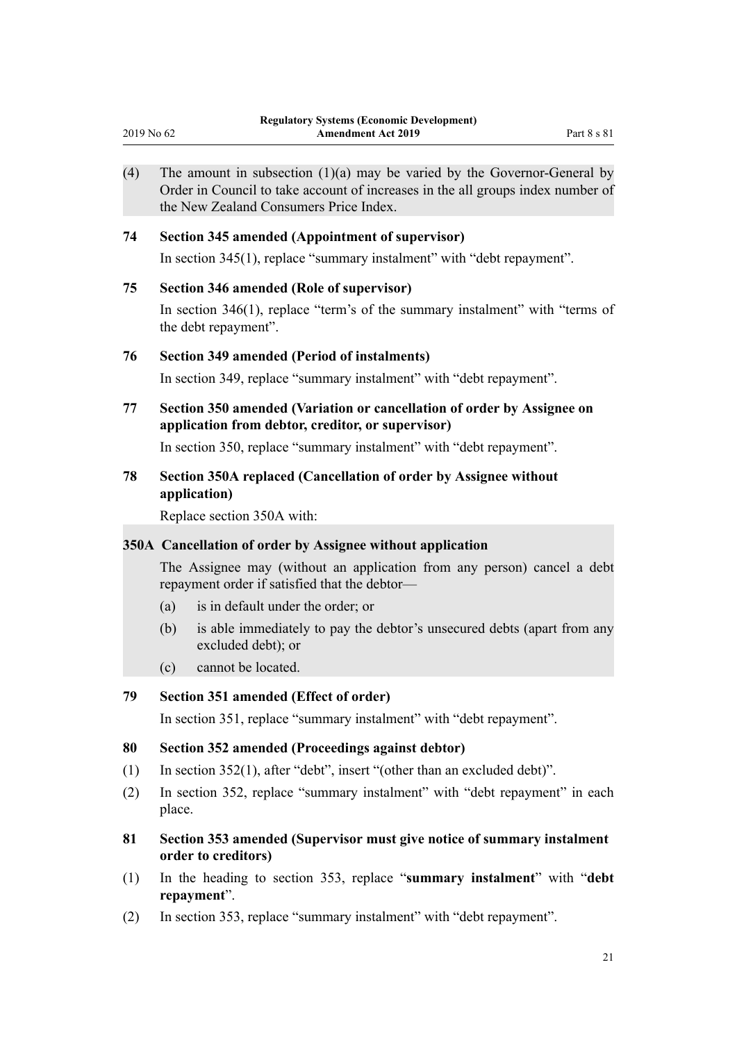<span id="page-20-0"></span>

| 2019 No 62 | <b>Regulatory Systems (Economic Development)</b><br><b>Amendment Act 2019</b><br>Part 8 s 81                                                                                                            |  |  |  |
|------------|---------------------------------------------------------------------------------------------------------------------------------------------------------------------------------------------------------|--|--|--|
| (4)        | The amount in subsection $(1)(a)$ may be varied by the Governor-General by<br>Order in Council to take account of increases in the all groups index number of<br>the New Zealand Consumers Price Index. |  |  |  |
| 74         | <b>Section 345 amended (Appointment of supervisor)</b>                                                                                                                                                  |  |  |  |
|            | In section 345(1), replace "summary instalment" with "debt repayment".                                                                                                                                  |  |  |  |
| 75         | <b>Section 346 amended (Role of supervisor)</b>                                                                                                                                                         |  |  |  |
|            | In section 346(1), replace "term's of the summary instalment" with "terms of<br>the debt repayment".                                                                                                    |  |  |  |
| 76         | <b>Section 349 amended (Period of instalments)</b>                                                                                                                                                      |  |  |  |
|            | In section 349, replace "summary instalment" with "debt repayment".                                                                                                                                     |  |  |  |
| 77         | Section 350 amended (Variation or cancellation of order by Assignee on<br>application from debtor, creditor, or supervisor)                                                                             |  |  |  |
|            | In section 350, replace "summary instalment" with "debt repayment".                                                                                                                                     |  |  |  |
| 78         | Section 350A replaced (Cancellation of order by Assignee without<br>application)                                                                                                                        |  |  |  |
|            | Replace section 350A with:                                                                                                                                                                              |  |  |  |
|            | 350A Cancellation of order by Assignee without application                                                                                                                                              |  |  |  |
|            | The Assignee may (without an application from any person) cancel a debt<br>repayment order if satisfied that the debtor—                                                                                |  |  |  |
|            | is in default under the order; or<br>(a)                                                                                                                                                                |  |  |  |
|            | is able immediately to pay the debtor's unsecured debts (apart from any<br>(b)<br>excluded debt); or                                                                                                    |  |  |  |
|            | cannot be located.<br>(c)                                                                                                                                                                               |  |  |  |
| 79         | Section 351 amended (Effect of order)                                                                                                                                                                   |  |  |  |
|            | In section 351, replace "summary instalment" with "debt repayment".                                                                                                                                     |  |  |  |
| 80         | Section 352 amended (Proceedings against debtor)                                                                                                                                                        |  |  |  |
| (1)        | In section $352(1)$ , after "debt", insert "(other than an excluded debt)".                                                                                                                             |  |  |  |
| (2)        | In section 352, replace "summary instalment" with "debt repayment" in each<br>place.                                                                                                                    |  |  |  |
| 81         | Section 353 amended (Supervisor must give notice of summary instalment<br>order to creditors)                                                                                                           |  |  |  |
| (1)        | the heading to costion 252 replace "commonly instalment" with "debt                                                                                                                                     |  |  |  |

- (1) In the heading to [section 353](http://legislation.govt.nz/pdflink.aspx?id=DLM387598), replace "**summary instalment**" with "**debt repayment**".
- (2) In [section 353](http://legislation.govt.nz/pdflink.aspx?id=DLM387598), replace "summary instalment" with "debt repayment".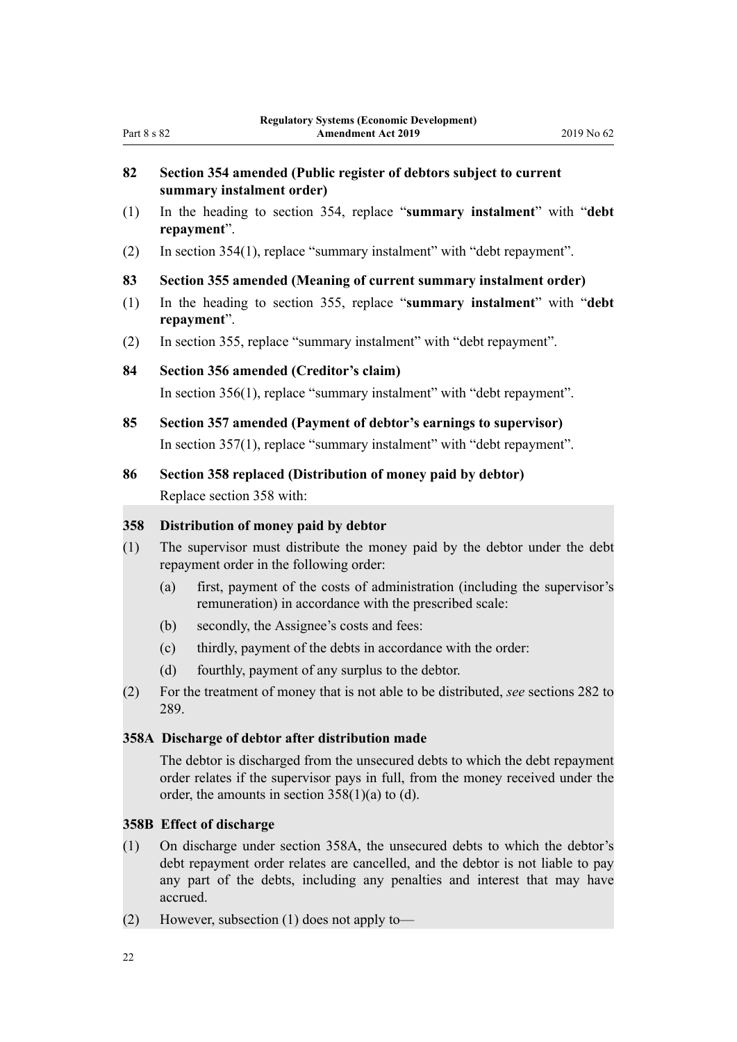# <span id="page-21-0"></span>**82 Section 354 amended (Public register of debtors subject to current summary instalment order)**

- (1) In the heading to [section 354](http://legislation.govt.nz/pdflink.aspx?id=DLM387599), replace "**summary instalment**" with "**debt repayment**".
- (2) In [section 354\(1\),](http://legislation.govt.nz/pdflink.aspx?id=DLM387599) replace "summary instalment" with "debt repayment".

# **83 Section 355 amended (Meaning of current summary instalment order)**

- (1) In the heading to [section 355](http://legislation.govt.nz/pdflink.aspx?id=DLM387700), replace "**summary instalment**" with "**debt repayment**".
- (2) In [section 355](http://legislation.govt.nz/pdflink.aspx?id=DLM387700), replace "summary instalment" with "debt repayment".

# **84 Section 356 amended (Creditor's claim)**

In [section 356\(1\),](http://legislation.govt.nz/pdflink.aspx?id=DLM387701) replace "summary instalment" with "debt repayment".

- **85 Section 357 amended (Payment of debtor's earnings to supervisor)** In [section 357\(1\),](http://legislation.govt.nz/pdflink.aspx?id=DLM387702) replace "summary instalment" with "debt repayment".
- **86 Section 358 replaced (Distribution of money paid by debtor)**

Replace [section 358](http://legislation.govt.nz/pdflink.aspx?id=DLM387703) with:

# **358 Distribution of money paid by debtor**

- (1) The supervisor must distribute the money paid by the debtor under the debt repayment order in the following order:
	- (a) first, payment of the costs of administration (including the supervisor's remuneration) in accordance with the prescribed scale:
	- (b) secondly, the Assignee's costs and fees:
	- (c) thirdly, payment of the debts in accordance with the order:
	- (d) fourthly, payment of any surplus to the debtor.
- (2) For the treatment of money that is not able to be distributed, *see* sections 282 to 289.

### **358A Discharge of debtor after distribution made**

The debtor is discharged from the unsecured debts to which the debt repayment order relates if the supervisor pays in full, from the money received under the order, the amounts in section 358(1)(a) to (d).

# **358B Effect of discharge**

- (1) On discharge under section 358A, the unsecured debts to which the debtor's debt repayment order relates are cancelled, and the debtor is not liable to pay any part of the debts, including any penalties and interest that may have accrued.
- (2) However, subsection (1) does not apply to—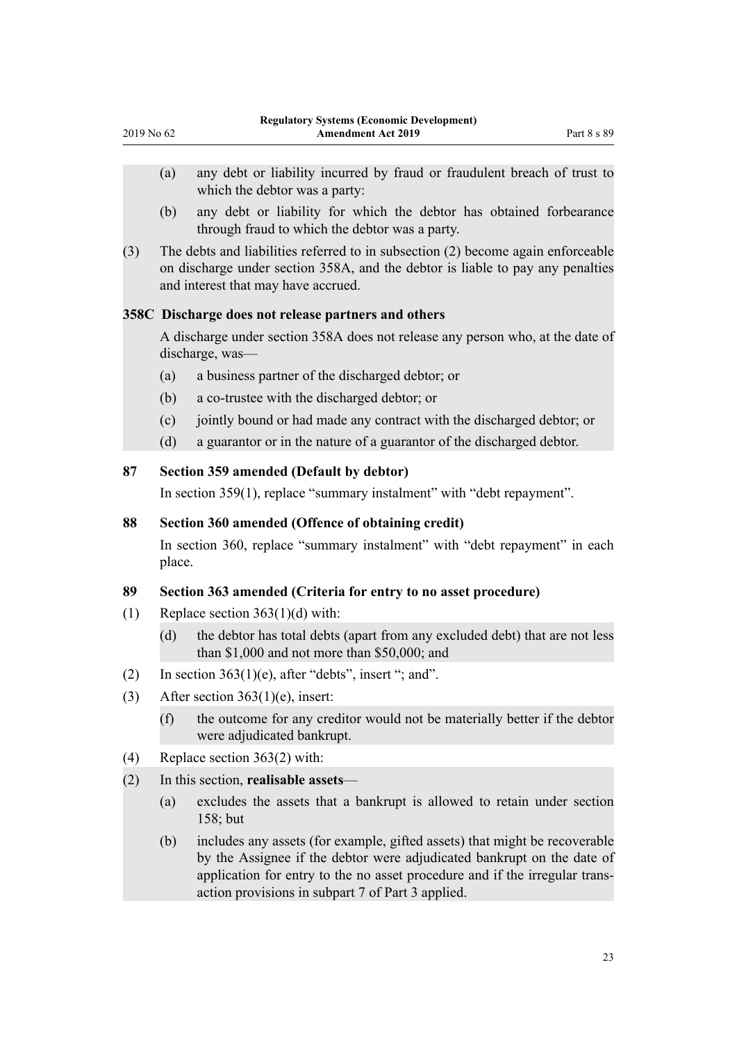- (a) any debt or liability incurred by fraud or fraudulent breach of trust to which the debtor was a party:
- (b) any debt or liability for which the debtor has obtained forbearance through fraud to which the debtor was a party.
- (3) The debts and liabilities referred to in subsection (2) become again enforceable on discharge under section 358A, and the debtor is liable to pay any penalties and interest that may have accrued.

# **358C Discharge does not release partners and others**

<span id="page-22-0"></span>2019 No 62

A discharge under section 358A does not release any person who, at the date of discharge, was—

- (a) a business partner of the discharged debtor; or
- (b) a co-trustee with the discharged debtor; or
- (c) jointly bound or had made any contract with the discharged debtor; or
- (d) a guarantor or in the nature of a guarantor of the discharged debtor.

# **87 Section 359 amended (Default by debtor)**

In [section 359\(1\),](http://legislation.govt.nz/pdflink.aspx?id=DLM387704) replace "summary instalment" with "debt repayment".

# **88 Section 360 amended (Offence of obtaining credit)**

In [section 360,](http://legislation.govt.nz/pdflink.aspx?id=DLM387705) replace "summary instalment" with "debt repayment" in each place.

### **89 Section 363 amended (Criteria for entry to no asset procedure)**

- (1) Replace section  $363(1)(d)$  with:
	- (d) the debtor has total debts (apart from any excluded debt) that are not less than \$1,000 and not more than \$50,000; and
- (2) In section  $363(1)(e)$ , after "debts", insert "; and".
- (3) After section  $363(1)(e)$ , insert:
	- (f) the outcome for any creditor would not be materially better if the debtor were adjudicated bankrupt.
- (4) Replace [section 363\(2\)](http://legislation.govt.nz/pdflink.aspx?id=DLM387711) with:
- (2) In this section, **realisable assets**
	- (a) excludes the assets that a bankrupt is allowed to retain under section 158; but
	- (b) includes any assets (for example, gifted assets) that might be recoverable by the Assignee if the debtor were adjudicated bankrupt on the date of application for entry to the no asset procedure and if the irregular transaction provisions in subpart 7 of Part 3 applied.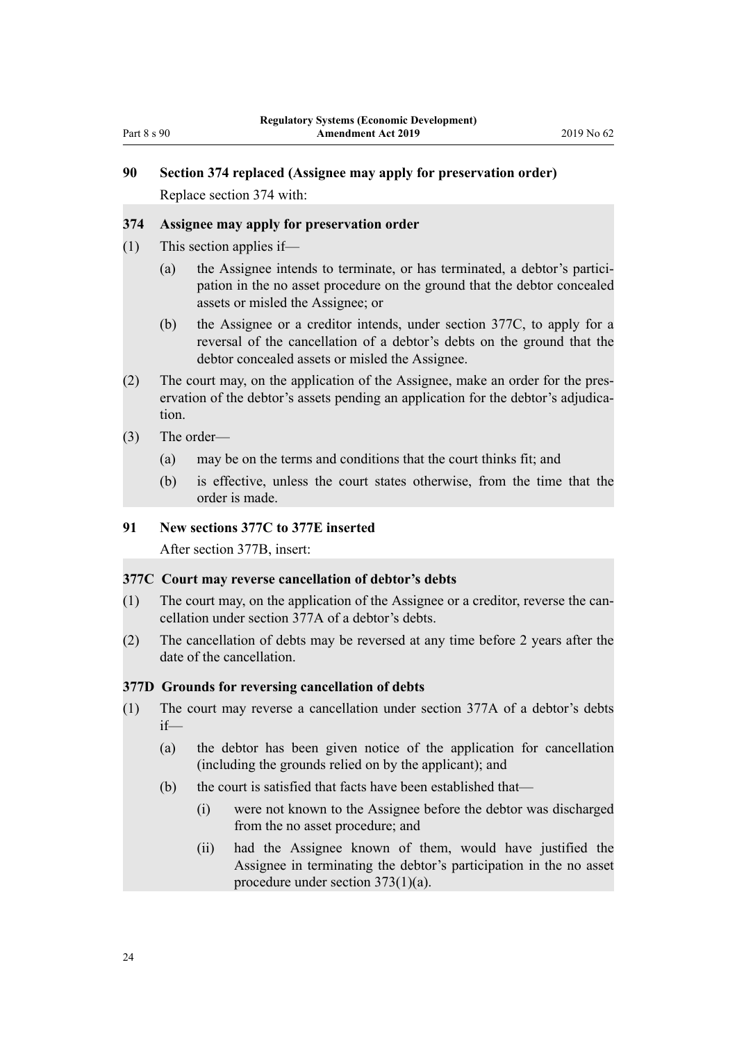# <span id="page-23-0"></span>**90 Section 374 replaced (Assignee may apply for preservation order)**

Replace [section 374](http://legislation.govt.nz/pdflink.aspx?id=DLM387728) with:

### **374 Assignee may apply for preservation order**

- (1) This section applies if—
	- (a) the Assignee intends to terminate, or has terminated, a debtor's participation in the no asset procedure on the ground that the debtor concealed assets or misled the Assignee; or
	- (b) the Assignee or a creditor intends, under section 377C, to apply for a reversal of the cancellation of a debtor's debts on the ground that the debtor concealed assets or misled the Assignee.
- (2) The court may, on the application of the Assignee, make an order for the preservation of the debtor's assets pending an application for the debtor's adjudication.
- (3) The order—
	- (a) may be on the terms and conditions that the court thinks fit; and
	- (b) is effective, unless the court states otherwise, from the time that the order is made.

## **91 New sections 377C to 377E inserted**

After [section 377B,](http://legislation.govt.nz/pdflink.aspx?id=DLM2551928) insert:

### **377C Court may reverse cancellation of debtor's debts**

- (1) The court may, on the application of the Assignee or a creditor, reverse the cancellation under section 377A of a debtor's debts.
- (2) The cancellation of debts may be reversed at any time before 2 years after the date of the cancellation.

# **377D Grounds for reversing cancellation of debts**

- (1) The court may reverse a cancellation under section 377A of a debtor's debts  $if$ —
	- (a) the debtor has been given notice of the application for cancellation (including the grounds relied on by the applicant); and
	- (b) the court is satisfied that facts have been established that—
		- (i) were not known to the Assignee before the debtor was discharged from the no asset procedure; and
		- (ii) had the Assignee known of them, would have justified the Assignee in terminating the debtor's participation in the no asset procedure under section 373(1)(a).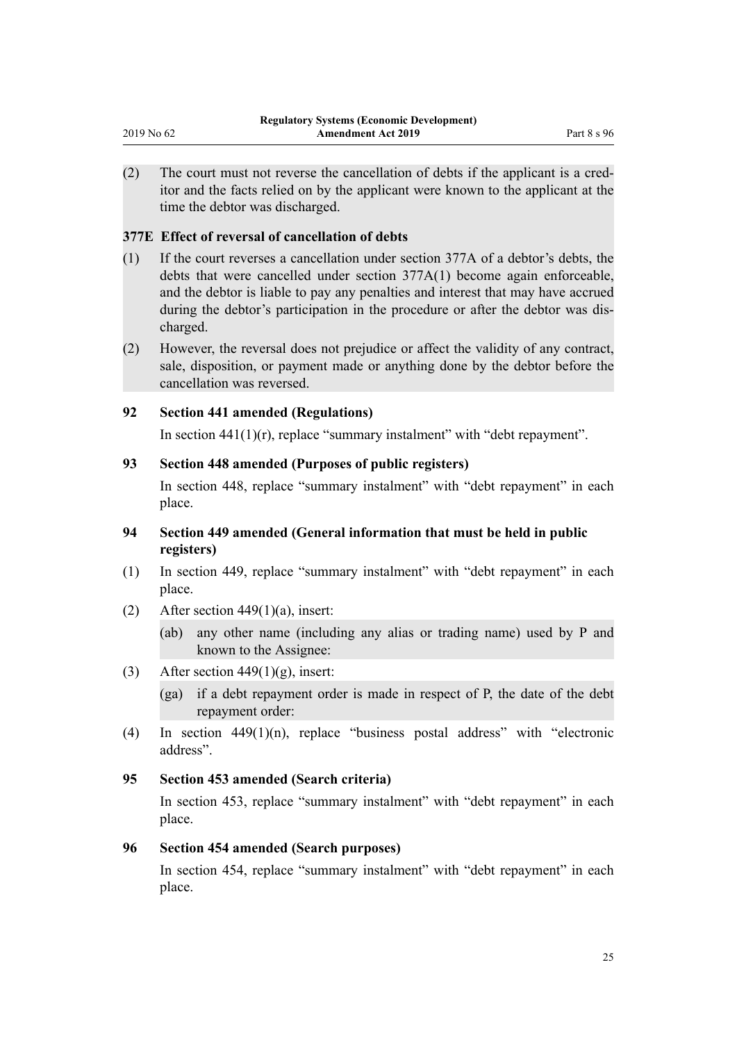(2) The court must not reverse the cancellation of debts if the applicant is a creditor and the facts relied on by the applicant were known to the applicant at the time the debtor was discharged.

# **377E Effect of reversal of cancellation of debts**

<span id="page-24-0"></span>2019 No 62

- (1) If the court reverses a cancellation under section 377A of a debtor's debts, the debts that were cancelled under section 377A(1) become again enforceable, and the debtor is liable to pay any penalties and interest that may have accrued during the debtor's participation in the procedure or after the debtor was discharged.
- (2) However, the reversal does not prejudice or affect the validity of any contract, sale, disposition, or payment made or anything done by the debtor before the cancellation was reversed.

# **92 Section 441 amended (Regulations)**

In section  $441(1)(r)$ , replace "summary instalment" with "debt repayment".

# **93 Section 448 amended (Purposes of public registers)**

In [section 448,](http://legislation.govt.nz/pdflink.aspx?id=DLM387861) replace "summary instalment" with "debt repayment" in each place.

# **94 Section 449 amended (General information that must be held in public registers)**

- (1) In [section 449,](http://legislation.govt.nz/pdflink.aspx?id=DLM387862) replace "summary instalment" with "debt repayment" in each place.
- (2) After section  $449(1)(a)$ , insert:

(ab) any other name (including any alias or trading name) used by P and known to the Assignee:

(3) After section  $449(1)(g)$ , insert:

(ga) if a debt repayment order is made in respect of P, the date of the debt repayment order:

(4) In [section 449\(1\)\(n\)](http://legislation.govt.nz/pdflink.aspx?id=DLM387862), replace "business postal address" with "electronic address".

# **95 Section 453 amended (Search criteria)**

In [section 453,](http://legislation.govt.nz/pdflink.aspx?id=DLM387869) replace "summary instalment" with "debt repayment" in each place.

### **96 Section 454 amended (Search purposes)**

In [section 454,](http://legislation.govt.nz/pdflink.aspx?id=DLM387872) replace "summary instalment" with "debt repayment" in each place.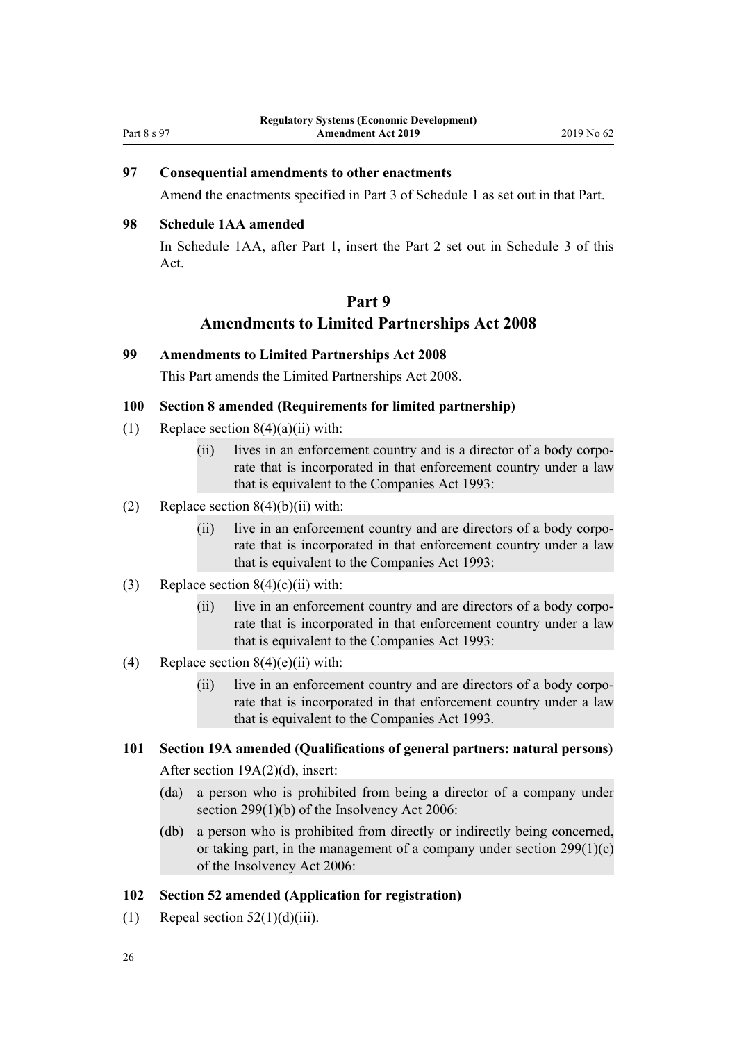# <span id="page-25-0"></span>**97 Consequential amendments to other enactments**

Amend the enactments specified in [Part 3](#page-35-0) of Schedule 1 as set out in that Part.

# **98 Schedule 1AA amended**

In Schedule 1AA, after [Part 1,](http://legislation.govt.nz/pdflink.aspx?id=DLM7203309) insert the Part 2 set out in [Schedule 3](#page-41-0) of this Act.

# **Part 9 Amendments to Limited Partnerships Act 2008**

#### **99 Amendments to Limited Partnerships Act 2008**

This Part amends the [Limited Partnerships Act 2008](http://legislation.govt.nz/pdflink.aspx?id=DLM1139100).

#### **100 Section 8 amended (Requirements for limited partnership)**

- (1) Replace [section 8\(4\)\(a\)\(ii\)](http://legislation.govt.nz/pdflink.aspx?id=DLM1139140) with:
	- (ii) lives in an enforcement country and is a director of a body corporate that is incorporated in that enforcement country under a law that is equivalent to the Companies Act 1993:
- (2) Replace section  $8(4)(b)(ii)$  with:
	- (ii) live in an enforcement country and are directors of a body corporate that is incorporated in that enforcement country under a law that is equivalent to the Companies Act 1993:
- (3) Replace section  $8(4)(c)(ii)$  with:
	- (ii) live in an enforcement country and are directors of a body corporate that is incorporated in that enforcement country under a law that is equivalent to the Companies Act 1993:

#### (4) Replace section  $8(4)(e)(ii)$  with:

- (ii) live in an enforcement country and are directors of a body corporate that is incorporated in that enforcement country under a law that is equivalent to the Companies Act 1993.
- **101 Section 19A amended (Qualifications of general partners: natural persons)** After [section 19A\(2\)\(d\)](http://legislation.govt.nz/pdflink.aspx?id=DLM6251328), insert:
	- (da) a person who is prohibited from being a director of a company under section 299(1)(b) of the Insolvency Act 2006:
	- (db) a person who is prohibited from directly or indirectly being concerned, or taking part, in the management of a company under section 299(1)(c) of the Insolvency Act 2006:

#### **102 Section 52 amended (Application for registration)**

(1) Repeal section  $52(1)(d)(iii)$ .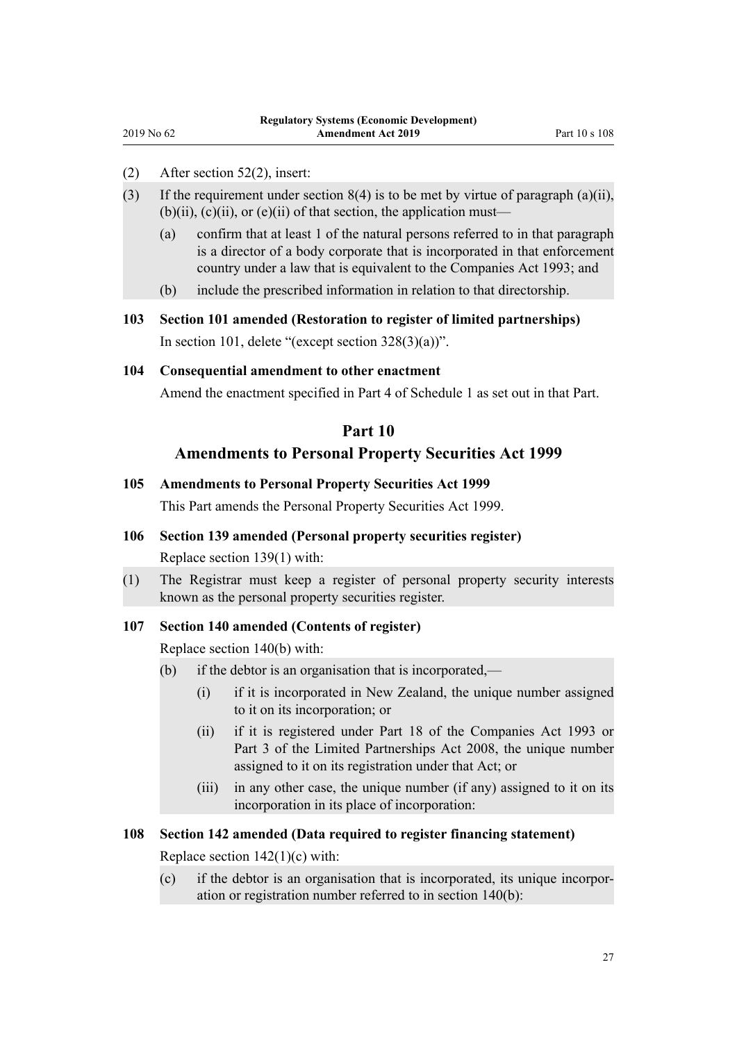(2) After [section 52\(2\),](http://legislation.govt.nz/pdflink.aspx?id=DLM1139206) insert:

<span id="page-26-0"></span>2019 No 62

- (3) If the requirement under section  $8(4)$  is to be met by virtue of paragraph (a)(ii),  $(b)(ii)$ ,  $(c)(ii)$ , or  $(e)(ii)$  of that section, the application must—
	- (a) confirm that at least 1 of the natural persons referred to in that paragraph is a director of a body corporate that is incorporated in that enforcement country under a law that is equivalent to the Companies Act 1993; and
	- (b) include the prescribed information in relation to that directorship.
- **103 Section 101 amended (Restoration to register of limited partnerships)** In [section 101](http://legislation.govt.nz/pdflink.aspx?id=DLM1139267), delete "(except section  $328(3)(a)$ )".

#### **104 Consequential amendment to other enactment**

Amend the enactment specified in [Part 4](#page-36-0) of Schedule 1 as set out in that Part.

# **Part 10 Amendments to Personal Property Securities Act 1999**

# **105 Amendments to Personal Property Securities Act 1999**

This Part amends the [Personal Property Securities Act 1999.](http://legislation.govt.nz/pdflink.aspx?id=DLM45599)

#### **106 Section 139 amended (Personal property securities register)**

Replace [section 139\(1\)](http://legislation.govt.nz/pdflink.aspx?id=DLM47156) with:

(1) The Registrar must keep a register of personal property security interests known as the personal property securities register.

#### **107 Section 140 amended (Contents of register)**

Replace [section 140\(b\)](http://legislation.govt.nz/pdflink.aspx?id=DLM47157) with:

- (b) if the debtor is an organisation that is incorporated,—
	- (i) if it is incorporated in New Zealand, the unique number assigned to it on its incorporation; or
	- (ii) if it is registered under Part 18 of the Companies Act 1993 or Part 3 of the Limited Partnerships Act 2008, the unique number assigned to it on its registration under that Act; or
	- (iii) in any other case, the unique number (if any) assigned to it on its incorporation in its place of incorporation:

### **108 Section 142 amended (Data required to register financing statement)**

Replace section  $142(1)(c)$  with:

(c) if the debtor is an organisation that is incorporated, its unique incorporation or registration number referred to in section 140(b):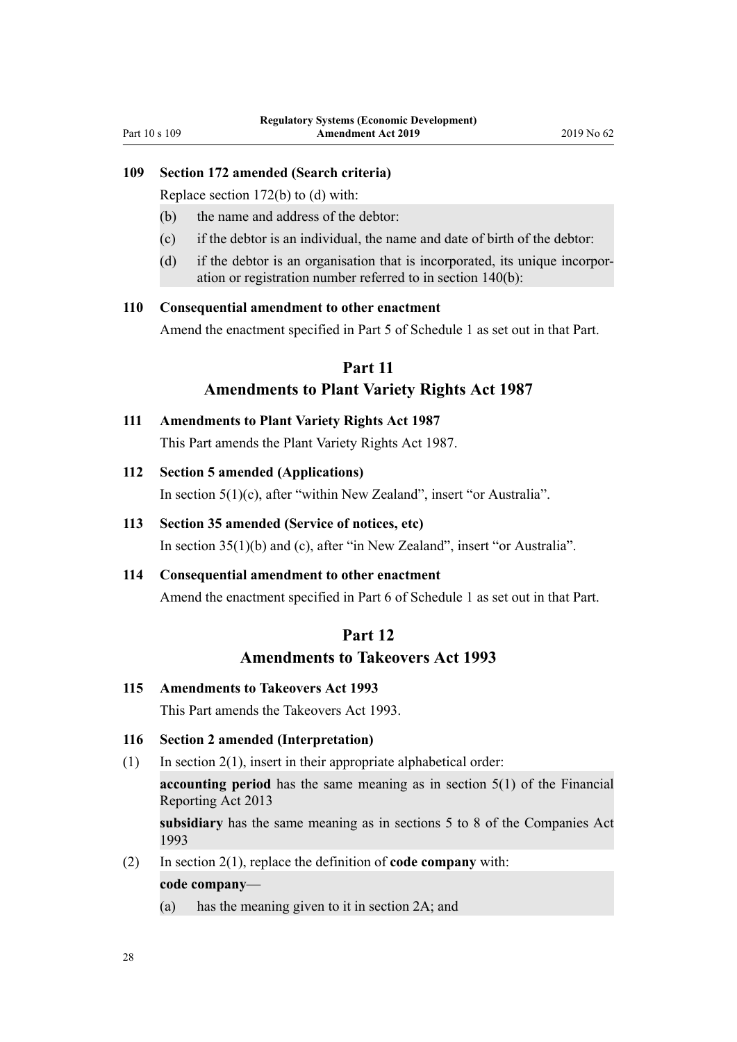## <span id="page-27-0"></span>**109 Section 172 amended (Search criteria)**

Replace [section 172\(b\) to \(d\)](http://legislation.govt.nz/pdflink.aspx?id=DLM47609) with:

- (b) the name and address of the debtor:
- (c) if the debtor is an individual, the name and date of birth of the debtor:
- (d) if the debtor is an organisation that is incorporated, its unique incorporation or registration number referred to in section 140(b):

#### **110 Consequential amendment to other enactment**

Amend the enactment specified in [Part 5](#page-36-0) of Schedule 1 as set out in that Part.

# **Part 11**

### **Amendments to Plant Variety Rights Act 1987**

**111 Amendments to Plant Variety Rights Act 1987** This Part amends the [Plant Variety Rights Act 1987.](http://legislation.govt.nz/pdflink.aspx?id=DLM100577)

#### **112 Section 5 amended (Applications)**

In [section 5\(1\)\(c\)](http://legislation.govt.nz/pdflink.aspx?id=DLM101043), after "within New Zealand", insert "or Australia".

# **113 Section 35 amended (Service of notices, etc)**

In [section 35\(1\)\(b\) and \(c\),](http://legislation.govt.nz/pdflink.aspx?id=DLM101095) after "in New Zealand", insert "or Australia".

#### **114 Consequential amendment to other enactment**

Amend the enactment specified in [Part 6](#page-36-0) of Schedule 1 as set out in that Part.

# **Part 12 Amendments to Takeovers Act 1993**

#### **115 Amendments to Takeovers Act 1993**

This Part amends the [Takeovers Act 1993](http://legislation.govt.nz/pdflink.aspx?id=DLM325508).

### **116 Section 2 amended (Interpretation)**

 $(1)$  In section  $2(1)$ , insert in their appropriate alphabetical order:

**accounting period** has the same meaning as in section 5(1) of the Financial Reporting Act 2013

**subsidiary** has the same meaning as in sections 5 to 8 of the Companies Act 1993

(2) In [section 2\(1\)](http://legislation.govt.nz/pdflink.aspx?id=DLM325516), replace the definition of **code company** with:

#### **code company**—

(a) has the meaning given to it in section 2A; and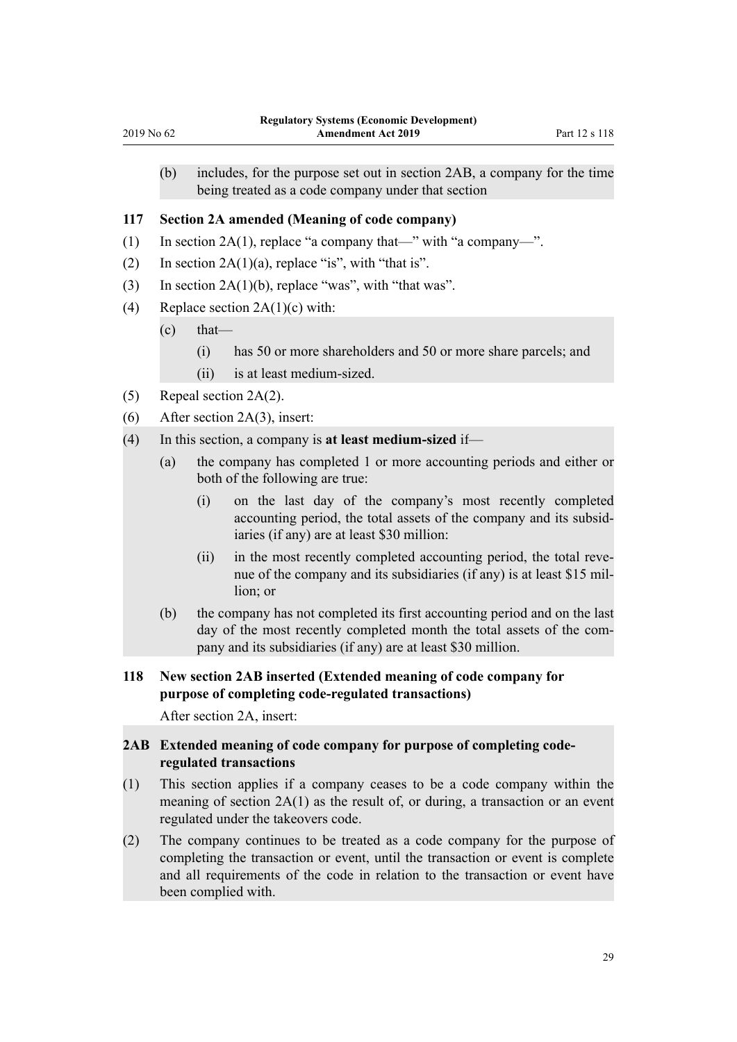<span id="page-28-0"></span>(b) includes, for the purpose set out in section 2AB, a company for the time being treated as a code company under that section

#### **117 Section 2A amended (Meaning of code company)**

- (1) In [section 2A\(1\),](http://legislation.govt.nz/pdflink.aspx?id=DLM4721602) replace "a company that—" with "a company—".
- (2) In section  $2A(1)(a)$ , replace "is", with "that is".
- (3) In section  $2A(1)(b)$ , replace "was", with "that was".
- (4) Replace section  $2A(1)(c)$  with:
	- $\text{(c)}$  that—
		- (i) has 50 or more shareholders and 50 or more share parcels; and
		- (ii) is at least medium-sized.
- (5) Repeal [section 2A\(2\).](http://legislation.govt.nz/pdflink.aspx?id=DLM4721602)
- (6) After [section 2A\(3\)](http://legislation.govt.nz/pdflink.aspx?id=DLM4721602), insert:
- (4) In this section, a company is **at least medium-sized** if—
	- (a) the company has completed 1 or more accounting periods and either or both of the following are true:
		- (i) on the last day of the company's most recently completed accounting period, the total assets of the company and its subsidiaries (if any) are at least \$30 million:
		- (ii) in the most recently completed accounting period, the total revenue of the company and its subsidiaries (if any) is at least \$15 million; or
	- (b) the company has not completed its first accounting period and on the last day of the most recently completed month the total assets of the company and its subsidiaries (if any) are at least \$30 million.

# **118 New section 2AB inserted (Extended meaning of code company for purpose of completing code-regulated transactions)**

After [section 2A,](http://legislation.govt.nz/pdflink.aspx?id=DLM4721602) insert:

# **2AB Extended meaning of code company for purpose of completing coderegulated transactions**

- (1) This section applies if a company ceases to be a code company within the meaning of section 2A(1) as the result of, or during, a transaction or an event regulated under the takeovers code.
- (2) The company continues to be treated as a code company for the purpose of completing the transaction or event, until the transaction or event is complete and all requirements of the code in relation to the transaction or event have been complied with.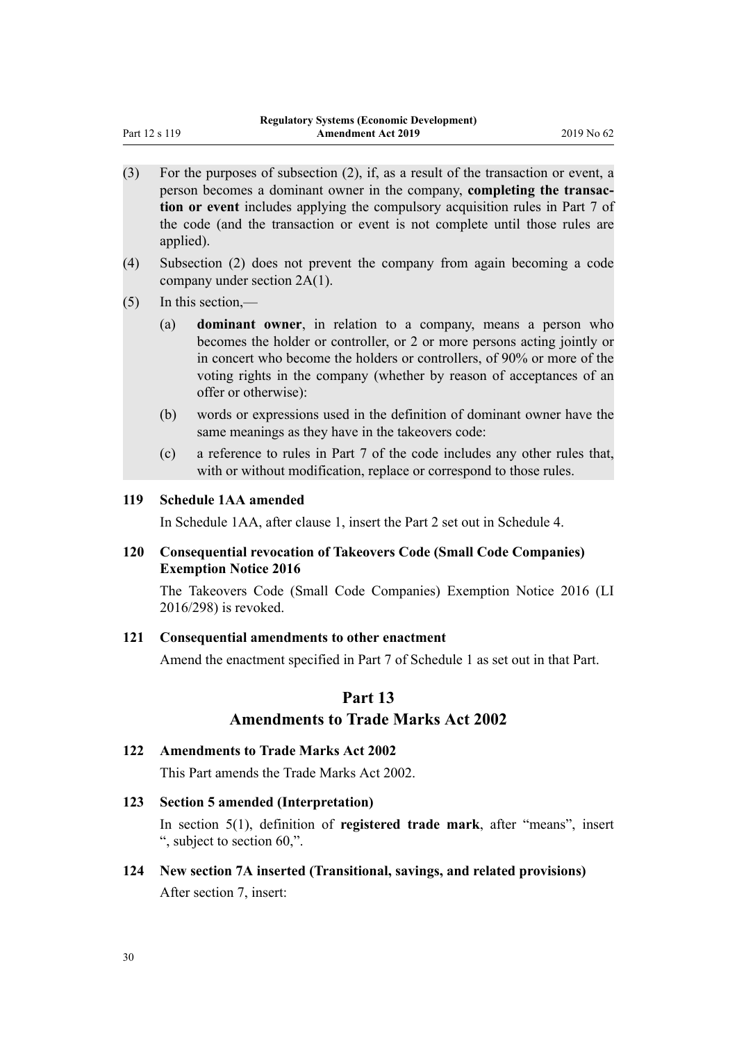- <span id="page-29-0"></span>(3) For the purposes of subsection (2), if, as a result of the transaction or event, a person becomes a dominant owner in the company, **completing the transaction or event** includes applying the compulsory acquisition rules in Part 7 of the code (and the transaction or event is not complete until those rules are applied).
- (4) Subsection (2) does not prevent the company from again becoming a code company under section 2A(1).
- (5) In this section,—
	- (a) **dominant owner**, in relation to a company, means a person who becomes the holder or controller, or 2 or more persons acting jointly or in concert who become the holders or controllers, of 90% or more of the voting rights in the company (whether by reason of acceptances of an offer or otherwise):
	- (b) words or expressions used in the definition of dominant owner have the same meanings as they have in the takeovers code:
	- (c) a reference to rules in Part 7 of the code includes any other rules that, with or without modification, replace or correspond to those rules.

### **119 Schedule 1AA amended**

In Schedule 1AA, after [clause 1](http://legislation.govt.nz/pdflink.aspx?id=DLM7205343), insert the Part 2 set out in [Schedule 4](#page-45-0).

#### **120 Consequential revocation of Takeovers Code (Small Code Companies) Exemption Notice 2016**

The [Takeovers Code \(Small Code Companies\) Exemption Notice 2016](http://legislation.govt.nz/pdflink.aspx?id=DLM7045920) (LI 2016/298) is revoked.

#### **121 Consequential amendments to other enactment**

Amend the enactment specified in [Part 7](#page-36-0) of Schedule 1 as set out in that Part.

# **Part 13 Amendments to Trade Marks Act 2002**

#### **122 Amendments to Trade Marks Act 2002**

This Part amends the [Trade Marks Act 2002.](http://legislation.govt.nz/pdflink.aspx?id=DLM164239)

#### **123 Section 5 amended (Interpretation)**

In [section 5\(1\)](http://legislation.govt.nz/pdflink.aspx?id=DLM164249), definition of **registered trade mark**, after "means", insert ", subject to section 60,".

**124 New section 7A inserted (Transitional, savings, and related provisions)** After [section 7,](http://legislation.govt.nz/pdflink.aspx?id=DLM164441) insert: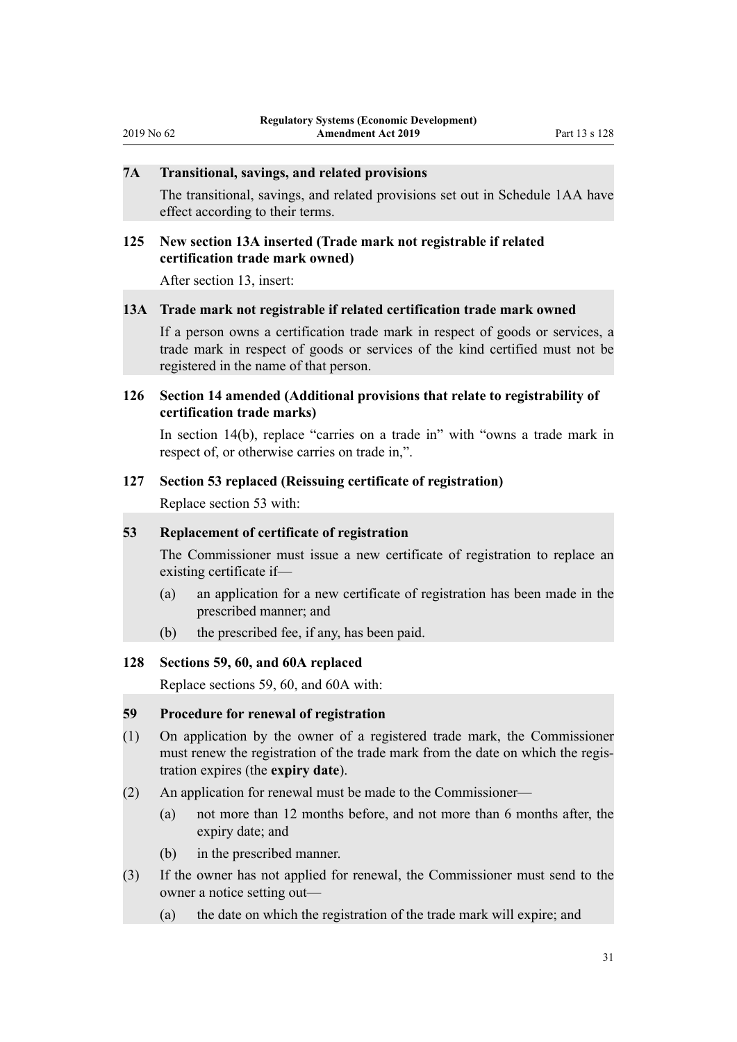## <span id="page-30-0"></span>**7A Transitional, savings, and related provisions**

The transitional, savings, and related provisions set out in Schedule 1AA have effect according to their terms.

### **125 New section 13A inserted (Trade mark not registrable if related certification trade mark owned)**

After [section 13](http://legislation.govt.nz/pdflink.aspx?id=DLM164454), insert:

#### **13A Trade mark not registrable if related certification trade mark owned**

If a person owns a certification trade mark in respect of goods or services, a trade mark in respect of goods or services of the kind certified must not be registered in the name of that person.

# **126 Section 14 amended (Additional provisions that relate to registrability of certification trade marks)**

In [section 14\(b\)](http://legislation.govt.nz/pdflink.aspx?id=DLM164455), replace "carries on a trade in" with "owns a trade mark in respect of, or otherwise carries on trade in,".

### **127 Section 53 replaced (Reissuing certificate of registration)**

Replace [section 53](http://legislation.govt.nz/pdflink.aspx?id=DLM164620) with:

#### **53 Replacement of certificate of registration**

The Commissioner must issue a new certificate of registration to replace an existing certificate if—

- (a) an application for a new certificate of registration has been made in the prescribed manner; and
- (b) the prescribed fee, if any, has been paid.

#### **128 Sections 59, 60, and 60A replaced**

Replace [sections 59,](http://legislation.govt.nz/pdflink.aspx?id=DLM164630) [60,](http://legislation.govt.nz/pdflink.aspx?id=DLM164631) and [60A](http://legislation.govt.nz/pdflink.aspx?id=DLM7389425) with:

#### **59 Procedure for renewal of registration**

- (1) On application by the owner of a registered trade mark, the Commissioner must renew the registration of the trade mark from the date on which the registration expires (the **expiry date**).
- (2) An application for renewal must be made to the Commissioner—
	- (a) not more than 12 months before, and not more than 6 months after, the expiry date; and
	- (b) in the prescribed manner.
- (3) If the owner has not applied for renewal, the Commissioner must send to the owner a notice setting out—
	- (a) the date on which the registration of the trade mark will expire; and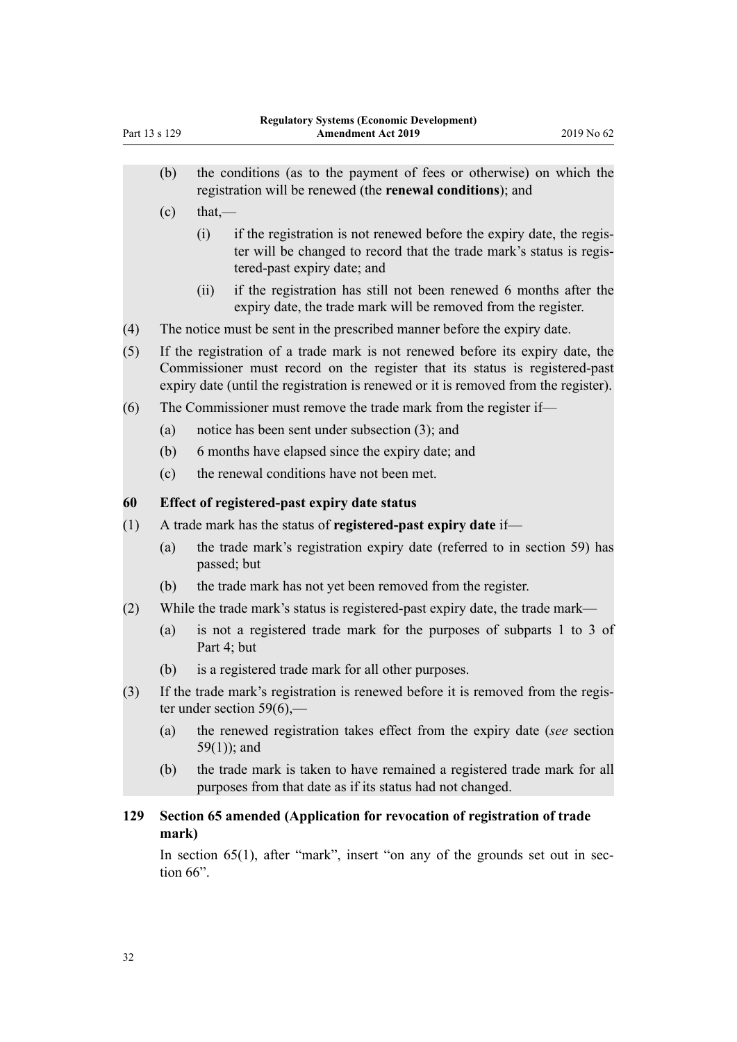- <span id="page-31-0"></span>(b) the conditions (as to the payment of fees or otherwise) on which the registration will be renewed (the **renewal conditions**); and
- $(c)$  that.—
	- (i) if the registration is not renewed before the expiry date, the register will be changed to record that the trade mark's status is registered-past expiry date; and
	- (ii) if the registration has still not been renewed 6 months after the expiry date, the trade mark will be removed from the register.
- (4) The notice must be sent in the prescribed manner before the expiry date.
- (5) If the registration of a trade mark is not renewed before its expiry date, the Commissioner must record on the register that its status is registered-past expiry date (until the registration is renewed or it is removed from the register).
- (6) The Commissioner must remove the trade mark from the register if—
	- (a) notice has been sent under subsection (3); and
	- (b) 6 months have elapsed since the expiry date; and
	- (c) the renewal conditions have not been met.

### **60 Effect of registered-past expiry date status**

- (1) A trade mark has the status of **registered-past expiry date** if—
	- (a) the trade mark's registration expiry date (referred to in section 59) has passed; but
	- (b) the trade mark has not yet been removed from the register.
- (2) While the trade mark's status is registered-past expiry date, the trade mark—
	- (a) is not a registered trade mark for the purposes of subparts 1 to 3 of Part 4; but
	- (b) is a registered trade mark for all other purposes.
- (3) If the trade mark's registration is renewed before it is removed from the register under section  $59(6)$ ,-
	- (a) the renewed registration takes effect from the expiry date (*see* section 59(1)); and
	- (b) the trade mark is taken to have remained a registered trade mark for all purposes from that date as if its status had not changed.

### **129 Section 65 amended (Application for revocation of registration of trade mark)**

In [section 65\(1\),](http://legislation.govt.nz/pdflink.aspx?id=DLM164639) after "mark", insert "on any of the grounds set out in section 66".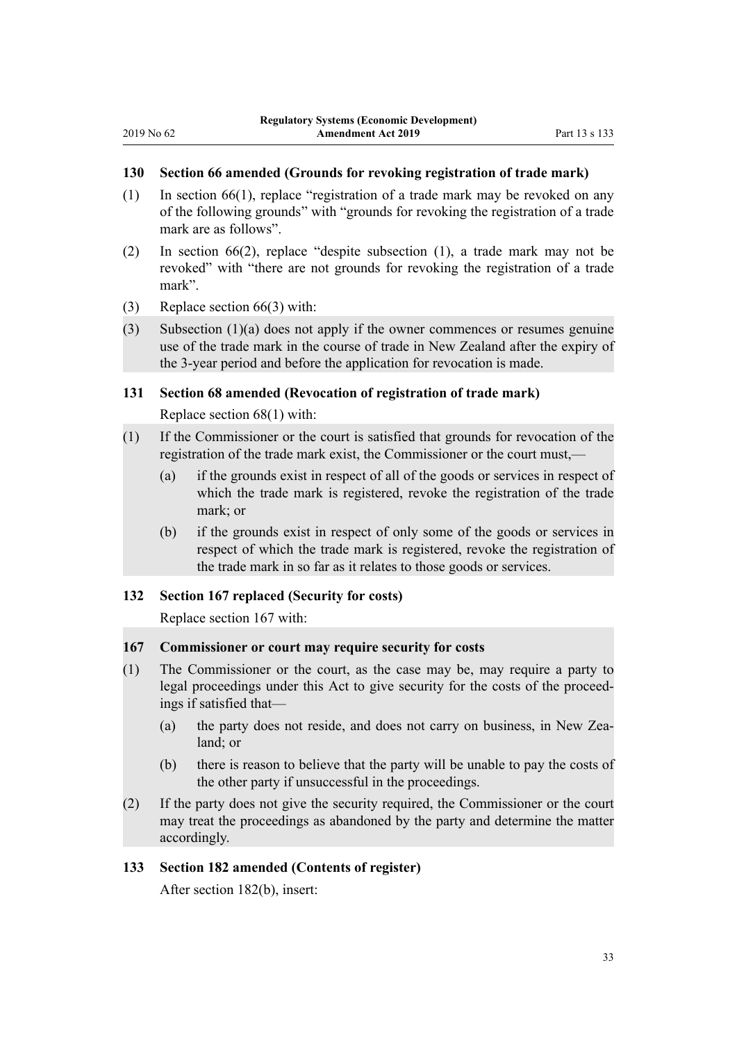## <span id="page-32-0"></span>**130 Section 66 amended (Grounds for revoking registration of trade mark)**

- (1) In [section 66\(1\),](http://legislation.govt.nz/pdflink.aspx?id=DLM164640) replace "registration of a trade mark may be revoked on any of the following grounds" with "grounds for revoking the registration of a trade mark are as follows".
- (2) In [section 66\(2\),](http://legislation.govt.nz/pdflink.aspx?id=DLM164640) replace "despite subsection (1), a trade mark may not be revoked" with "there are not grounds for revoking the registration of a trade mark".
- (3) Replace [section 66\(3\)](http://legislation.govt.nz/pdflink.aspx?id=DLM164640) with:
- (3) Subsection (1)(a) does not apply if the owner commences or resumes genuine use of the trade mark in the course of trade in New Zealand after the expiry of the 3-year period and before the application for revocation is made.

#### **131 Section 68 amended (Revocation of registration of trade mark)**

Replace [section 68\(1\)](http://legislation.govt.nz/pdflink.aspx?id=DLM164643) with:

- (1) If the Commissioner or the court is satisfied that grounds for revocation of the registration of the trade mark exist, the Commissioner or the court must,—
	- (a) if the grounds exist in respect of all of the goods or services in respect of which the trade mark is registered, revoke the registration of the trade mark; or
	- (b) if the grounds exist in respect of only some of the goods or services in respect of which the trade mark is registered, revoke the registration of the trade mark in so far as it relates to those goods or services.

### **132 Section 167 replaced (Security for costs)**

Replace [section 167](http://legislation.govt.nz/pdflink.aspx?id=DLM165201) with:

### **167 Commissioner or court may require security for costs**

- (1) The Commissioner or the court, as the case may be, may require a party to legal proceedings under this Act to give security for the costs of the proceedings if satisfied that—
	- (a) the party does not reside, and does not carry on business, in New Zealand; or
	- (b) there is reason to believe that the party will be unable to pay the costs of the other party if unsuccessful in the proceedings.
- (2) If the party does not give the security required, the Commissioner or the court may treat the proceedings as abandoned by the party and determine the matter accordingly.

#### **133 Section 182 amended (Contents of register)**

After [section 182\(b\)](http://legislation.govt.nz/pdflink.aspx?id=DLM165222), insert: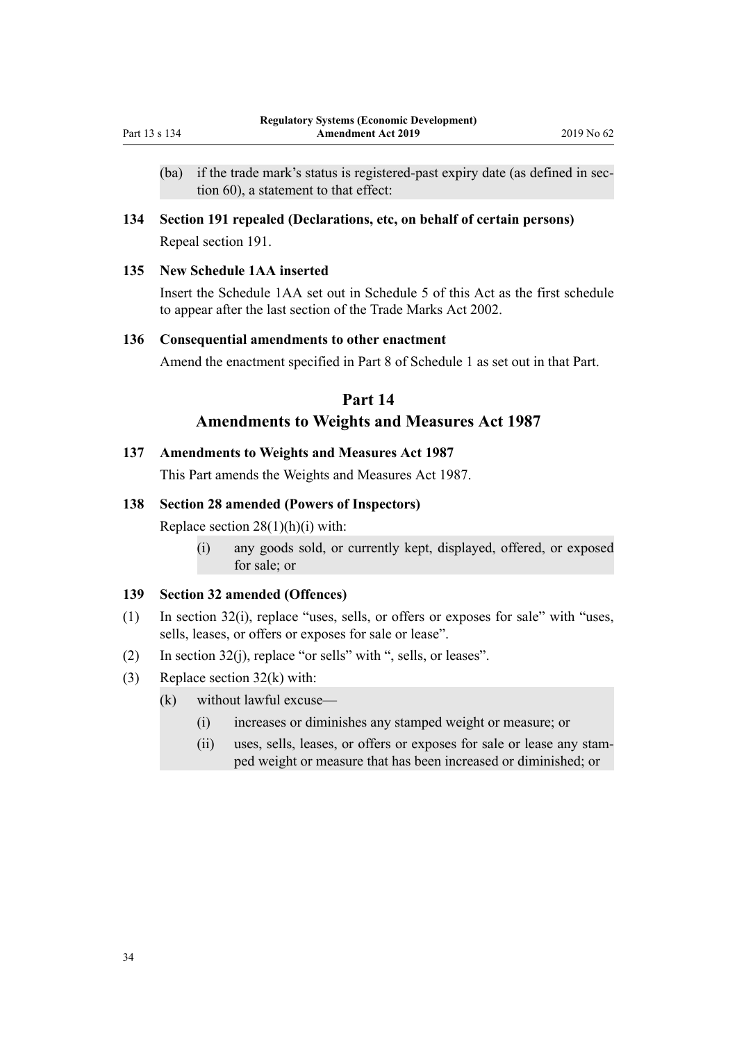- <span id="page-33-0"></span>(ba) if the trade mark's status is registered-past expiry date (as defined in section 60), a statement to that effect:
- **134 Section 191 repealed (Declarations, etc, on behalf of certain persons)** Repeal [section 191.](http://legislation.govt.nz/pdflink.aspx?id=DLM165238)

# **135 New Schedule 1AA inserted**

Insert the Schedule 1AA set out in [Schedule 5](#page-46-0) of this Act as the first schedule to appear after the last section of the [Trade Marks Act 2002](http://legislation.govt.nz/pdflink.aspx?id=DLM164239).

#### **136 Consequential amendments to other enactment**

Amend the enactment specified in [Part 8](#page-38-0) of Schedule 1 as set out in that Part.

# **Part 14**

# **Amendments to Weights and Measures Act 1987**

#### **137 Amendments to Weights and Measures Act 1987**

This Part amends the [Weights and Measures Act 1987](http://legislation.govt.nz/pdflink.aspx?id=DLM102241).

#### **138 Section 28 amended (Powers of Inspectors)**

Replace section  $28(1)(h)(i)$  with:

(i) any goods sold, or currently kept, displayed, offered, or exposed for sale; or

#### **139 Section 32 amended (Offences)**

- (1) In [section 32\(i\)](http://legislation.govt.nz/pdflink.aspx?id=DLM102939), replace "uses, sells, or offers or exposes for sale" with "uses, sells, leases, or offers or exposes for sale or lease".
- (2) In [section 32\(j\)](http://legislation.govt.nz/pdflink.aspx?id=DLM102939), replace "or sells" with ", sells, or leases".
- (3) Replace [section 32\(k\)](http://legislation.govt.nz/pdflink.aspx?id=DLM102939) with:
	- (k) without lawful excuse—
		- (i) increases or diminishes any stamped weight or measure; or
		- (ii) uses, sells, leases, or offers or exposes for sale or lease any stamped weight or measure that has been increased or diminished; or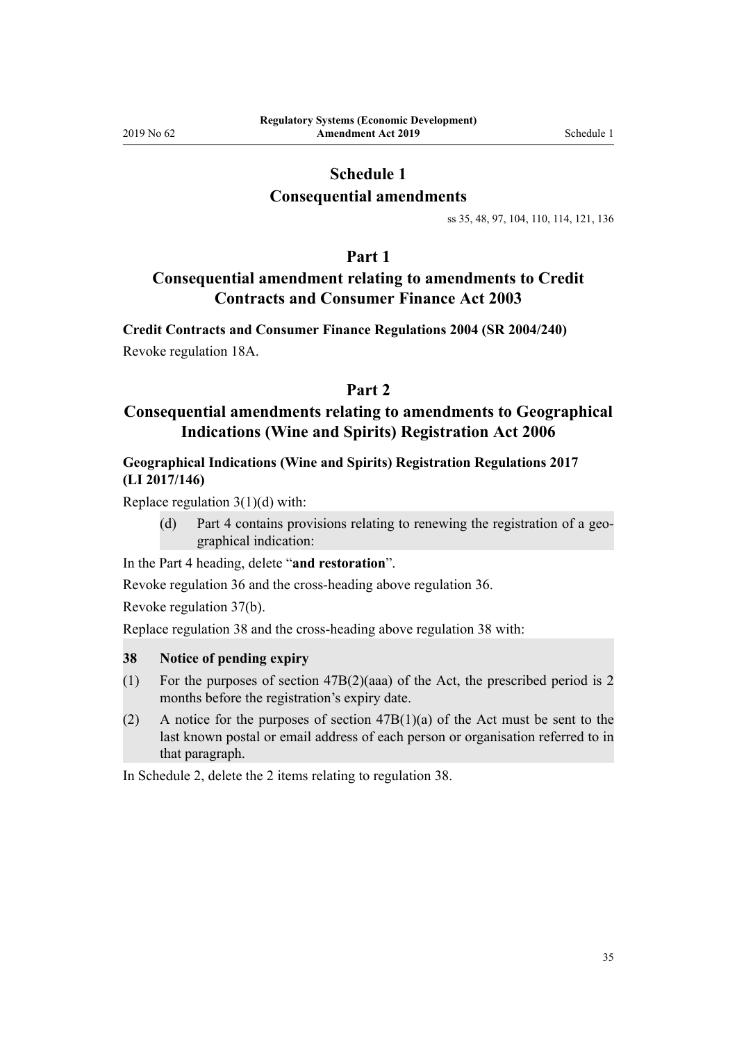# **Schedule 1**

# **Consequential amendments**

[ss 35,](#page-11-0) [48](#page-15-0), [97,](#page-25-0) [104,](#page-26-0) [110](#page-27-0), [114](#page-27-0), [121](#page-29-0), [136](#page-33-0)

# **Part 1**

# <span id="page-34-0"></span>**Consequential amendment relating to amendments to Credit Contracts and Consumer Finance Act 2003**

**Credit Contracts and Consumer Finance Regulations 2004 (SR 2004/240)** Revoke [regulation 18A.](http://legislation.govt.nz/pdflink.aspx?id=DLM6570114)

# **Part 2**

# **Consequential amendments relating to amendments to Geographical Indications (Wine and Spirits) Registration Act 2006**

# **Geographical Indications (Wine and Spirits) Registration Regulations 2017 (LI 2017/146)**

Replace regulation  $3(1)(d)$  with:

(d) Part 4 contains provisions relating to renewing the registration of a geographical indication:

In the [Part 4](http://legislation.govt.nz/pdflink.aspx?id=DLM7292105) heading, delete "**and restoration**".

Revoke [regulation 36](http://legislation.govt.nz/pdflink.aspx?id=DLM7293134) and the cross-heading above regulation 36.

Revoke [regulation 37\(b\).](http://legislation.govt.nz/pdflink.aspx?id=DLM7292419)

Replace [regulation 38](http://legislation.govt.nz/pdflink.aspx?id=DLM7292838) and the cross-heading above regulation 38 with:

### **38 Notice of pending expiry**

- (1) For the purposes of section 47B(2)(aaa) of the Act, the prescribed period is 2 months before the registration's expiry date.
- (2) A notice for the purposes of section  $47B(1)(a)$  of the Act must be sent to the last known postal or email address of each person or organisation referred to in that paragraph.

In [Schedule 2](http://legislation.govt.nz/pdflink.aspx?id=DLM7292825), delete the 2 items relating to regulation 38.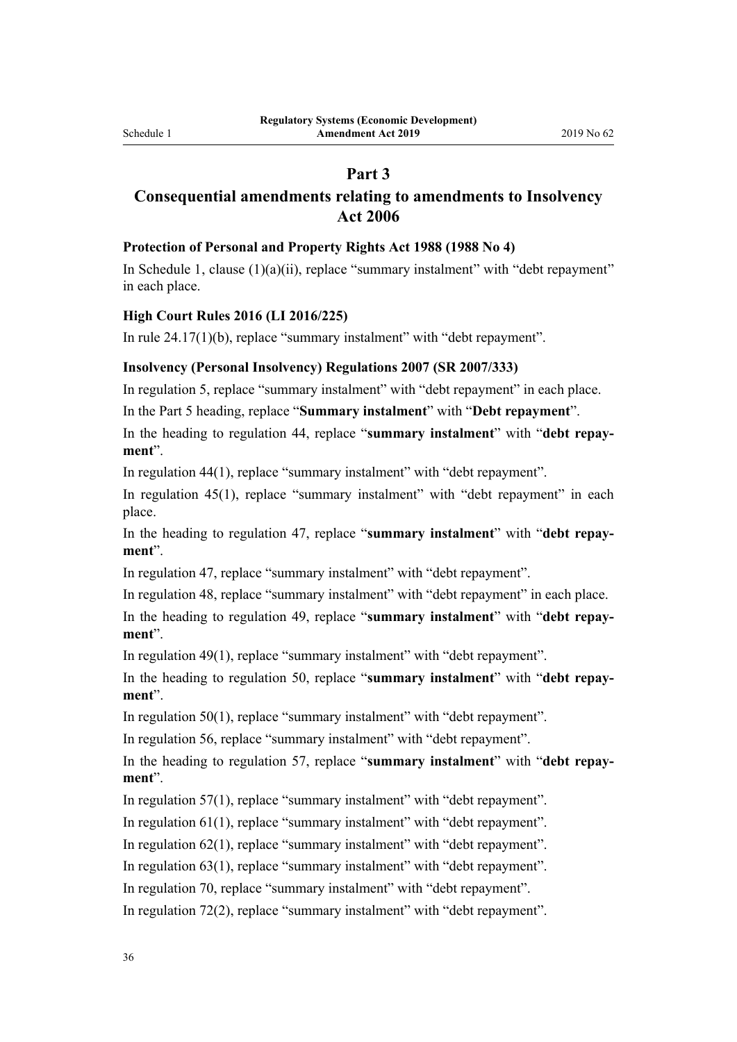# **Part 3**

# <span id="page-35-0"></span>**Consequential amendments relating to amendments to Insolvency Act 2006**

#### **Protection of Personal and Property Rights Act 1988 (1988 No 4)**

In [Schedule 1](http://legislation.govt.nz/pdflink.aspx?id=DLM128110), clause (1)(a)(ii), replace "summary instalment" with "debt repayment" in each place.

#### **High Court Rules 2016 (LI 2016/225)**

In [rule 24.17\(1\)\(b\)](http://legislation.govt.nz/pdflink.aspx?id=DLM6952657), replace "summary instalment" with "debt repayment".

#### **Insolvency (Personal Insolvency) Regulations 2007 (SR 2007/333)**

In [regulation 5,](http://legislation.govt.nz/pdflink.aspx?id=DLM981337) replace "summary instalment" with "debt repayment" in each place.

In the [Part 5](http://legislation.govt.nz/pdflink.aspx?id=DLM981387) heading, replace "**Summary instalment**" with "**Debt repayment**".

In the heading to [regulation 44](http://legislation.govt.nz/pdflink.aspx?id=DLM981388), replace "**summary instalment**" with "**debt repayment**".

In [regulation 44\(1\)](http://legislation.govt.nz/pdflink.aspx?id=DLM981388), replace "summary instalment" with "debt repayment".

In [regulation 45\(1\)](http://legislation.govt.nz/pdflink.aspx?id=DLM981389), replace "summary instalment" with "debt repayment" in each place.

In the heading to [regulation 47](http://legislation.govt.nz/pdflink.aspx?id=DLM981391), replace "**summary instalment**" with "**debt repayment**".

In [regulation 47,](http://legislation.govt.nz/pdflink.aspx?id=DLM981391) replace "summary instalment" with "debt repayment".

In [regulation 48,](http://legislation.govt.nz/pdflink.aspx?id=DLM981393) replace "summary instalment" with "debt repayment" in each place.

In the heading to [regulation 49](http://legislation.govt.nz/pdflink.aspx?id=DLM981394), replace "**summary instalment**" with "**debt repayment**".

In [regulation 49\(1\)](http://legislation.govt.nz/pdflink.aspx?id=DLM981394), replace "summary instalment" with "debt repayment".

In the heading to [regulation 50](http://legislation.govt.nz/pdflink.aspx?id=DLM981395), replace "**summary instalment**" with "**debt repayment**".

In [regulation 50\(1\)](http://legislation.govt.nz/pdflink.aspx?id=DLM981395), replace "summary instalment" with "debt repayment".

In [regulation 56,](http://legislation.govt.nz/pdflink.aspx?id=DLM981401) replace "summary instalment" with "debt repayment".

In the heading to [regulation 57](http://legislation.govt.nz/pdflink.aspx?id=DLM981402), replace "**summary instalment**" with "**debt repayment**".

In [regulation 57\(1\)](http://legislation.govt.nz/pdflink.aspx?id=DLM981402), replace "summary instalment" with "debt repayment".

In [regulation 61\(1\)](http://legislation.govt.nz/pdflink.aspx?id=DLM981407), replace "summary instalment" with "debt repayment".

In [regulation 62\(1\)](http://legislation.govt.nz/pdflink.aspx?id=DLM981408), replace "summary instalment" with "debt repayment".

In [regulation 63\(1\)](http://legislation.govt.nz/pdflink.aspx?id=DLM981409), replace "summary instalment" with "debt repayment".

In [regulation 70,](http://legislation.govt.nz/pdflink.aspx?id=DLM981418) replace "summary instalment" with "debt repayment".

In [regulation 72\(2\)](http://legislation.govt.nz/pdflink.aspx?id=DLM981420), replace "summary instalment" with "debt repayment".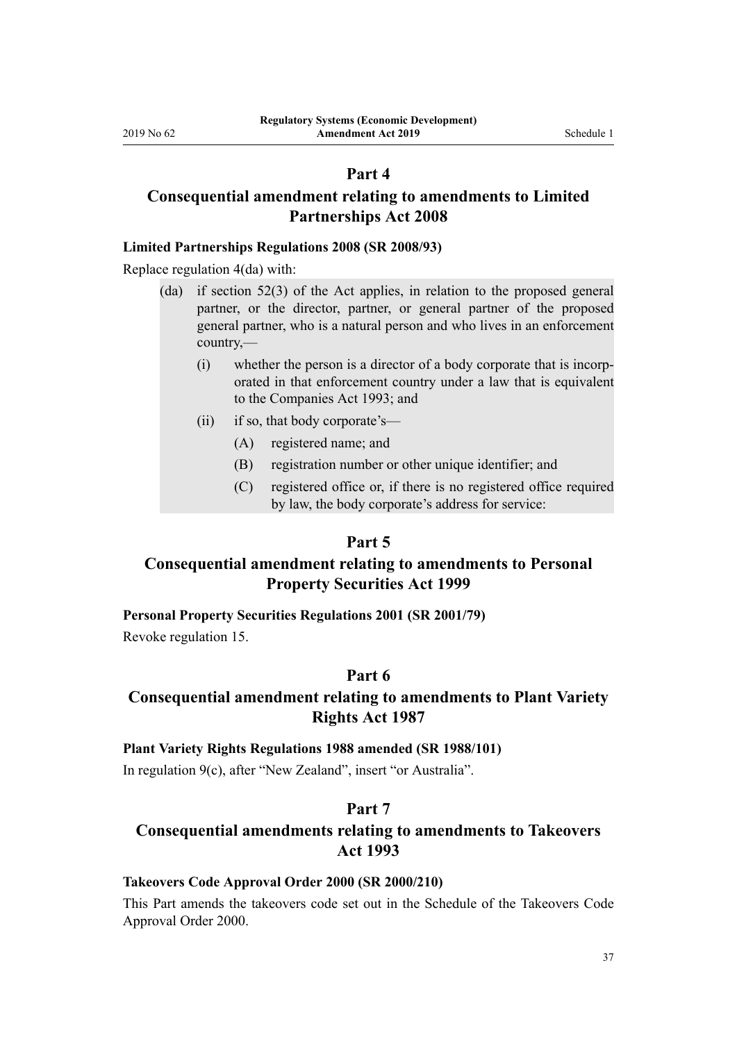# **Part 4**

# <span id="page-36-0"></span>**Consequential amendment relating to amendments to Limited Partnerships Act 2008**

#### **Limited Partnerships Regulations 2008 (SR 2008/93)**

Replace [regulation 4\(da\)](http://legislation.govt.nz/pdflink.aspx?id=DLM1218513) with:

- (da) if section 52(3) of the Act applies, in relation to the proposed general partner, or the director, partner, or general partner of the proposed general partner, who is a natural person and who lives in an enforcement country,—
	- (i) whether the person is a director of a body corporate that is incorporated in that enforcement country under a law that is equivalent to the Companies Act 1993; and
	- (ii) if so, that body corporate's—
		- (A) registered name; and
		- (B) registration number or other unique identifier; and
		- (C) registered office or, if there is no registered office required by law, the body corporate's address for service:

#### **Part 5**

# **Consequential amendment relating to amendments to Personal Property Securities Act 1999**

#### **Personal Property Securities Regulations 2001 (SR 2001/79)**

Revoke [regulation 15](http://legislation.govt.nz/pdflink.aspx?id=DLM26049).

# **Part 6**

# **Consequential amendment relating to amendments to Plant Variety Rights Act 1987**

#### **Plant Variety Rights Regulations 1988 amended (SR 1988/101)**

In [regulation 9\(c\),](http://legislation.govt.nz/pdflink.aspx?id=DLM124629) after "New Zealand", insert "or Australia".

# **Part 7**

# **Consequential amendments relating to amendments to Takeovers Act 1993**

#### **Takeovers Code Approval Order 2000 (SR 2000/210)**

This Part amends the takeovers code set out in the [Schedule](http://legislation.govt.nz/pdflink.aspx?id=DLM10106) of the Takeovers Code Approval Order 2000.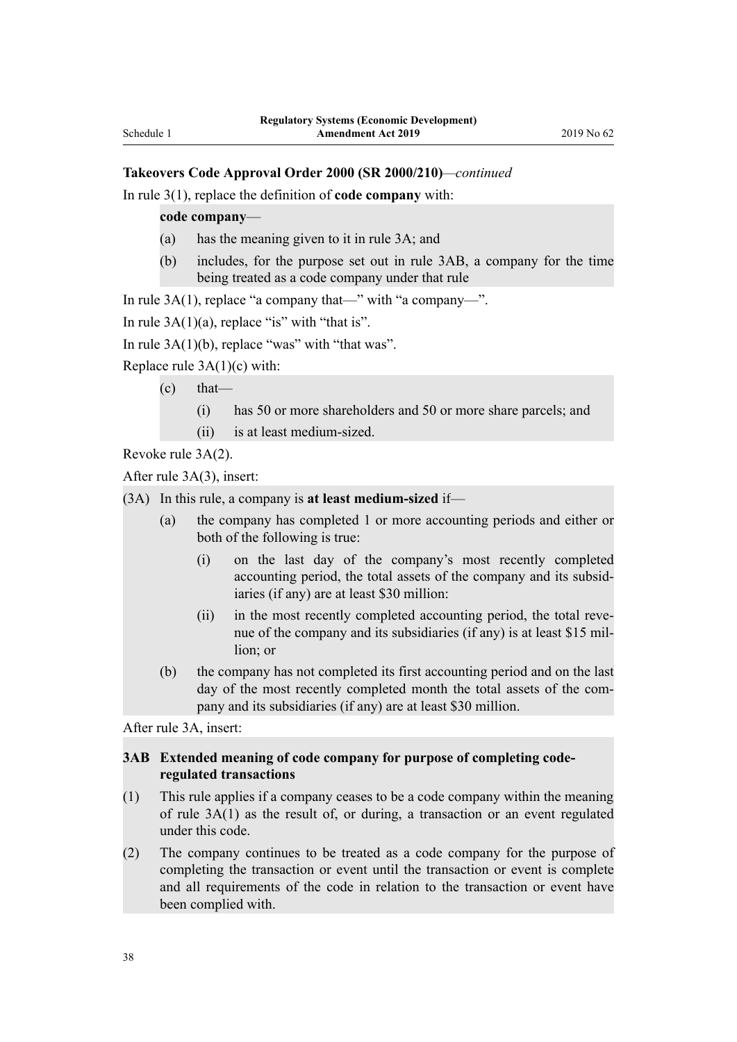### **Takeovers Code Approval Order 2000 (SR 2000/210)***—continued*

In [rule 3\(1\),](http://legislation.govt.nz/pdflink.aspx?id=DLM10113) replace the definition of **code company** with:

**code company**—

- (a) has the meaning given to it in rule 3A; and
- (b) includes, for the purpose set out in rule 3AB, a company for the time being treated as a code company under that rule

In [rule 3A\(1\),](http://legislation.govt.nz/pdflink.aspx?id=DLM4721704) replace "a company that—" with "a company—".

In rule  $3A(1)(a)$ , replace "is" with "that is".

In rule  $3A(1)(b)$ , replace "was" with "that was".

Replace [rule 3A\(1\)\(c\)](http://legislation.govt.nz/pdflink.aspx?id=DLM4721704) with:

- $(c)$  that—
	- (i) has 50 or more shareholders and 50 or more share parcels; and
	- (ii) is at least medium-sized.

Revoke [rule 3A\(2\)](http://legislation.govt.nz/pdflink.aspx?id=DLM4721704).

After [rule 3A\(3\),](http://legislation.govt.nz/pdflink.aspx?id=DLM4721704) insert:

- (3A) In this rule, a company is **at least medium-sized** if—
	- (a) the company has completed 1 or more accounting periods and either or both of the following is true:
		- (i) on the last day of the company's most recently completed accounting period, the total assets of the company and its subsidiaries (if any) are at least \$30 million:
		- (ii) in the most recently completed accounting period, the total revenue of the company and its subsidiaries (if any) is at least \$15 million; or
	- (b) the company has not completed its first accounting period and on the last day of the most recently completed month the total assets of the company and its subsidiaries (if any) are at least \$30 million.

After [rule 3A](http://legislation.govt.nz/pdflink.aspx?id=DLM4721704), insert:

### **3AB Extended meaning of code company for purpose of completing coderegulated transactions**

- (1) This rule applies if a company ceases to be a code company within the meaning of rule 3A(1) as the result of, or during, a transaction or an event regulated under this code.
- (2) The company continues to be treated as a code company for the purpose of completing the transaction or event until the transaction or event is complete and all requirements of the code in relation to the transaction or event have been complied with.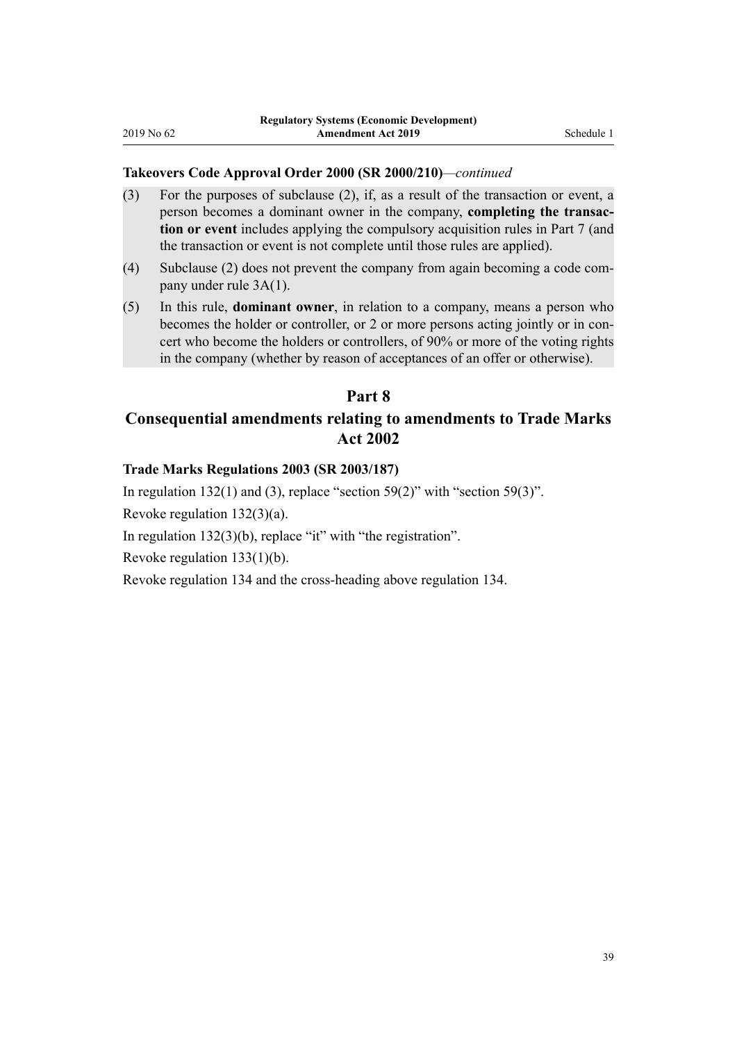### <span id="page-38-0"></span>**Takeovers Code Approval Order 2000 (SR 2000/210)***—continued*

- (3) For the purposes of subclause (2), if, as a result of the transaction or event, a person becomes a dominant owner in the company, **completing the transaction or event** includes applying the compulsory acquisition rules in Part 7 (and the transaction or event is not complete until those rules are applied).
- (4) Subclause (2) does not prevent the company from again becoming a code company under rule 3A(1).
- (5) In this rule, **dominant owner**, in relation to a company, means a person who becomes the holder or controller, or 2 or more persons acting jointly or in concert who become the holders or controllers, of 90% or more of the voting rights in the company (whether by reason of acceptances of an offer or otherwise).

# **Part 8**

# **Consequential amendments relating to amendments to Trade Marks Act 2002**

#### **Trade Marks Regulations 2003 (SR 2003/187)**

In [regulation 132\(1\) and \(3\),](http://legislation.govt.nz/pdflink.aspx?id=DLM202398) replace "section 59(2)" with "section 59(3)". Revoke [regulation 132\(3\)\(a\)](http://legislation.govt.nz/pdflink.aspx?id=DLM202398). In [regulation 132\(3\)\(b\)](http://legislation.govt.nz/pdflink.aspx?id=DLM202398), replace "it" with "the registration". Revoke [regulation 133\(1\)\(b\).](http://legislation.govt.nz/pdflink.aspx?id=DLM202399) Revoke [regulation 134](http://legislation.govt.nz/pdflink.aspx?id=DLM202801) and the cross-heading above regulation 134.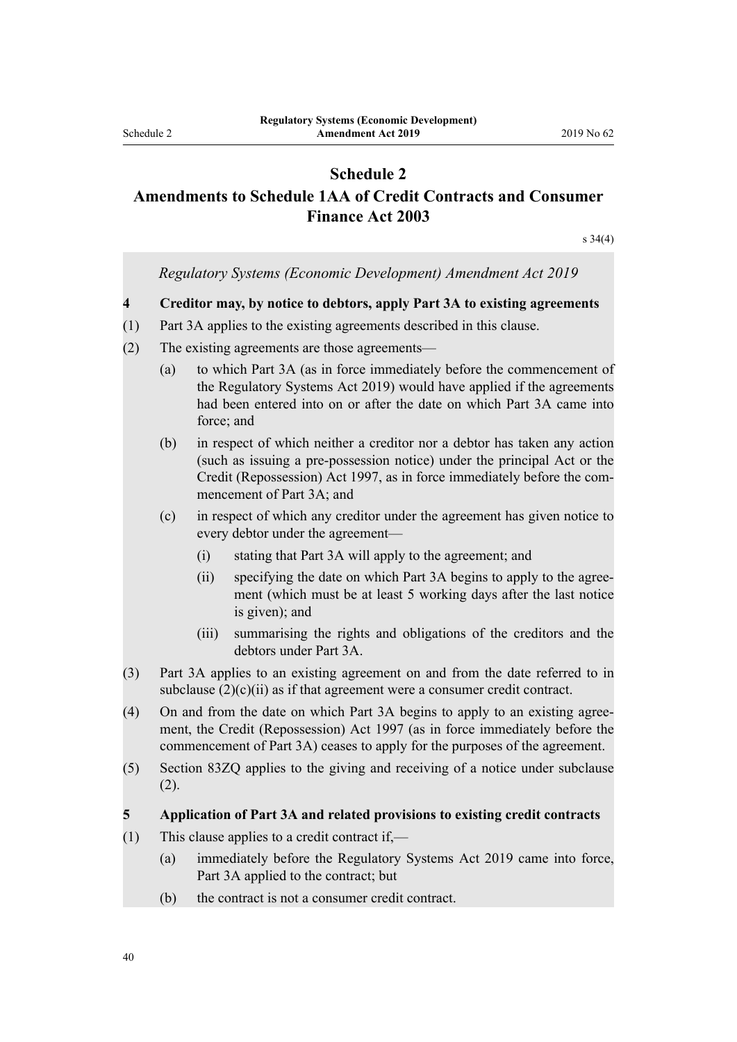# **Schedule 2**

# <span id="page-39-0"></span>**Amendments to Schedule 1AA of Credit Contracts and Consumer Finance Act 2003**

[s 34\(4\)](#page-11-0)

|                                                                                                                                                                                                                                             |                                                                          | Regulatory Systems (Economic Development) Amendment Act 2019                                                                                                                                                                                                 |  |  |
|---------------------------------------------------------------------------------------------------------------------------------------------------------------------------------------------------------------------------------------------|--------------------------------------------------------------------------|--------------------------------------------------------------------------------------------------------------------------------------------------------------------------------------------------------------------------------------------------------------|--|--|
|                                                                                                                                                                                                                                             | Creditor may, by notice to debtors, apply Part 3A to existing agreements |                                                                                                                                                                                                                                                              |  |  |
|                                                                                                                                                                                                                                             |                                                                          | Part 3A applies to the existing agreements described in this clause.                                                                                                                                                                                         |  |  |
|                                                                                                                                                                                                                                             | The existing agreements are those agreements—                            |                                                                                                                                                                                                                                                              |  |  |
| to which Part 3A (as in force immediately before the commencement of<br>(a)<br>the Regulatory Systems Act 2019) would have applied if the agreements<br>had been entered into on or after the date on which Part 3A came into<br>force; and |                                                                          |                                                                                                                                                                                                                                                              |  |  |
| (b)                                                                                                                                                                                                                                         |                                                                          | in respect of which neither a creditor nor a debtor has taken any action<br>(such as issuing a pre-possession notice) under the principal Act or the<br>Credit (Repossession) Act 1997, as in force immediately before the com-<br>mencement of Part 3A; and |  |  |
| (c)                                                                                                                                                                                                                                         |                                                                          | in respect of which any creditor under the agreement has given notice to<br>every debtor under the agreement-                                                                                                                                                |  |  |
|                                                                                                                                                                                                                                             | (i)                                                                      | stating that Part 3A will apply to the agreement; and                                                                                                                                                                                                        |  |  |
|                                                                                                                                                                                                                                             | (ii)                                                                     | specifying the date on which Part 3A begins to apply to the agree-<br>ment (which must be at least 5 working days after the last notice<br>is given); and                                                                                                    |  |  |
|                                                                                                                                                                                                                                             | (iii)                                                                    | summarising the rights and obligations of the creditors and the<br>debtors under Part 3A.                                                                                                                                                                    |  |  |
| Part 3A applies to an existing agreement on and from the date referred to in<br>subclause $(2)(c)(ii)$ as if that agreement were a consumer credit contract.                                                                                |                                                                          |                                                                                                                                                                                                                                                              |  |  |
| On and from the date on which Part 3A begins to apply to an existing agree-<br>ment, the Credit (Repossession) Act 1997 (as in force immediately before the<br>commencement of Part 3A) ceases to apply for the purposes of the agreement.  |                                                                          |                                                                                                                                                                                                                                                              |  |  |
| Section 83ZQ applies to the giving and receiving of a notice under subclause<br>(2).                                                                                                                                                        |                                                                          |                                                                                                                                                                                                                                                              |  |  |
|                                                                                                                                                                                                                                             |                                                                          | Application of Part 3A and related provisions to existing credit contracts                                                                                                                                                                                   |  |  |
|                                                                                                                                                                                                                                             | This clause applies to a credit contract if.—                            |                                                                                                                                                                                                                                                              |  |  |
| (a)                                                                                                                                                                                                                                         |                                                                          | immediately before the Regulatory Systems Act 2019 came into force,<br>Part 3A applied to the contract; but                                                                                                                                                  |  |  |
|                                                                                                                                                                                                                                             |                                                                          |                                                                                                                                                                                                                                                              |  |  |

(b) the contract is not a consumer credit contract.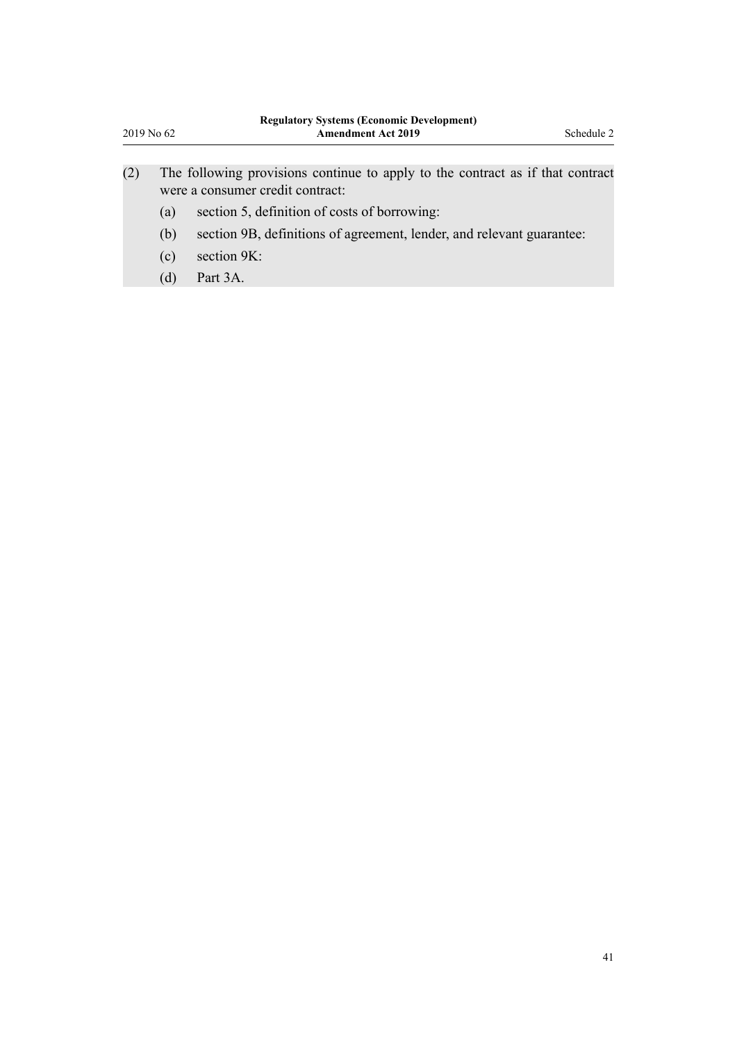| 2019 No 62 |                          | <b>Regulatory Systems (Economic Development)</b><br><b>Amendment Act 2019</b>                                                                                                                                                                                             |  |  |
|------------|--------------------------|---------------------------------------------------------------------------------------------------------------------------------------------------------------------------------------------------------------------------------------------------------------------------|--|--|
| (2)        | (a)<br>(b)<br>(c)<br>(d) | The following provisions continue to apply to the contract as if that contract<br>were a consumer credit contract:<br>section 5, definition of costs of borrowing:<br>section 9B, definitions of agreement, lender, and relevant guarantee:<br>section $9K$ :<br>Part 3A. |  |  |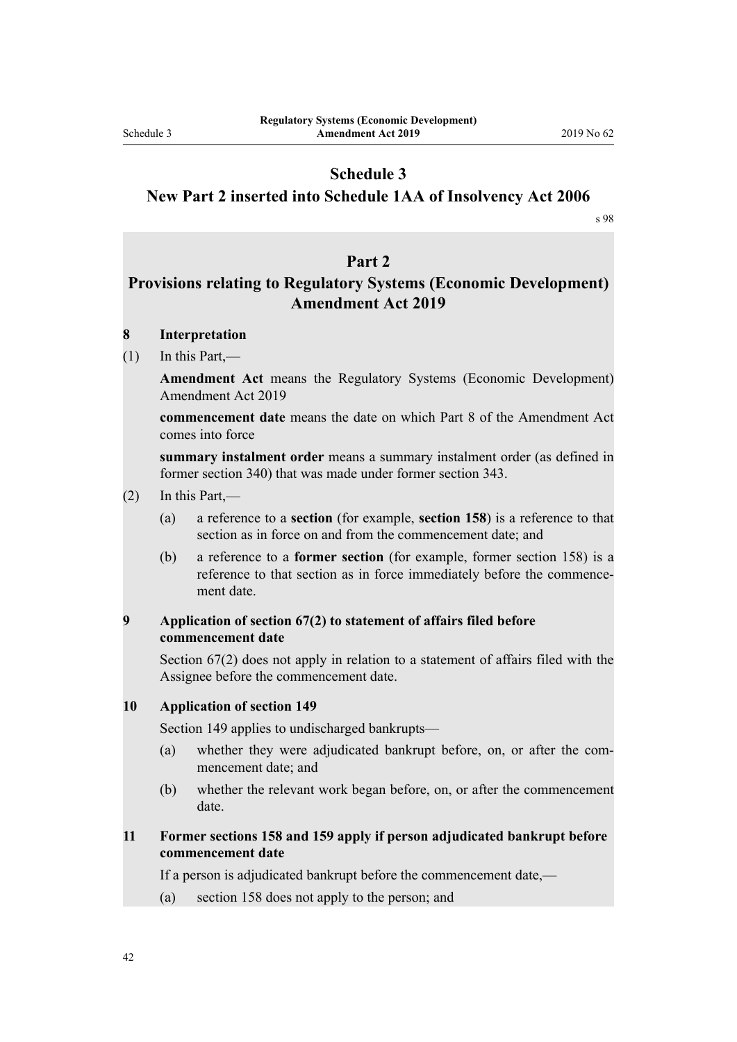# **Schedule 3**

### <span id="page-41-0"></span>**New Part 2 inserted into Schedule 1AA of Insolvency Act 2006**

[s 98](#page-25-0)

# **Part 2**

# **Provisions relating to Regulatory Systems (Economic Development) Amendment Act 2019**

### **8 Interpretation**

 $(1)$  In this Part,—

**Amendment Act** means the Regulatory Systems (Economic Development) Amendment Act 2019

**commencement date** means the date on which Part 8 of the Amendment Act comes into force

**summary instalment order** means a summary instalment order (as defined in former section 340) that was made under former section 343.

- (2) In this Part,—
	- (a) a reference to a **section** (for example, **section 158**) is a reference to that section as in force on and from the commencement date; and
	- (b) a reference to a **former section** (for example, former section 158) is a reference to that section as in force immediately before the commencement date.

#### **9 Application of section 67(2) to statement of affairs filed before commencement date**

Section 67(2) does not apply in relation to a statement of affairs filed with the Assignee before the commencement date.

#### **10 Application of section 149**

Section 149 applies to undischarged bankrupts—

- (a) whether they were adjudicated bankrupt before, on, or after the commencement date; and
- (b) whether the relevant work began before, on, or after the commencement date.

### **11 Former sections 158 and 159 apply if person adjudicated bankrupt before commencement date**

If a person is adjudicated bankrupt before the commencement date,—

(a) section 158 does not apply to the person; and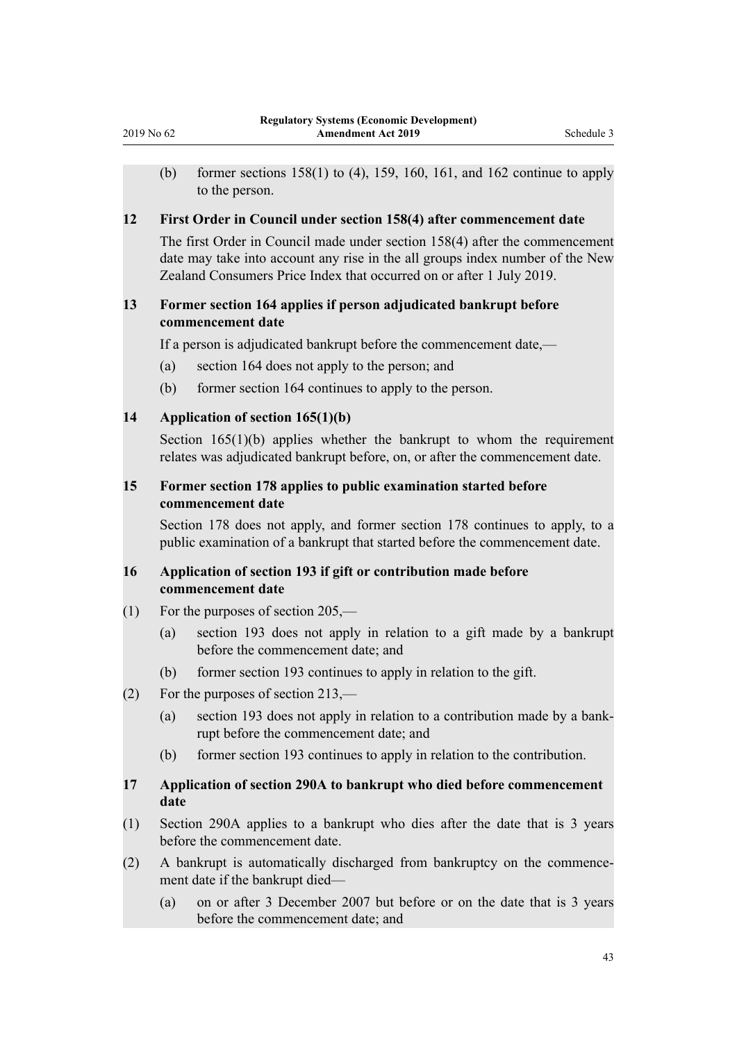(b) former sections  $158(1)$  to (4), 159, 160, 161, and 162 continue to apply to the person.

#### **12 First Order in Council under section 158(4) after commencement date**

The first Order in Council made under section 158(4) after the commencement date may take into account any rise in the all groups index number of the New Zealand Consumers Price Index that occurred on or after 1 July 2019.

# **13 Former section 164 applies if person adjudicated bankrupt before commencement date**

If a person is adjudicated bankrupt before the commencement date,—

- (a) section 164 does not apply to the person; and
- (b) former section 164 continues to apply to the person.

```
14 Application of section 165(1)(b)
```
Section  $165(1)(b)$  applies whether the bankrupt to whom the requirement relates was adjudicated bankrupt before, on, or after the commencement date.

# **15 Former section 178 applies to public examination started before commencement date**

Section 178 does not apply, and former section 178 continues to apply, to a public examination of a bankrupt that started before the commencement date.

# **16 Application of section 193 if gift or contribution made before commencement date**

- (1) For the purposes of section 205,—
	- (a) section 193 does not apply in relation to a gift made by a bankrupt before the commencement date; and
	- (b) former section 193 continues to apply in relation to the gift.
- (2) For the purposes of section 213,—
	- (a) section 193 does not apply in relation to a contribution made by a bankrupt before the commencement date; and
	- (b) former section 193 continues to apply in relation to the contribution.

### **17 Application of section 290A to bankrupt who died before commencement date**

- (1) Section 290A applies to a bankrupt who dies after the date that is 3 years before the commencement date
- (2) A bankrupt is automatically discharged from bankruptcy on the commencement date if the bankrupt died—
	- (a) on or after 3 December 2007 but before or on the date that is 3 years before the commencement date; and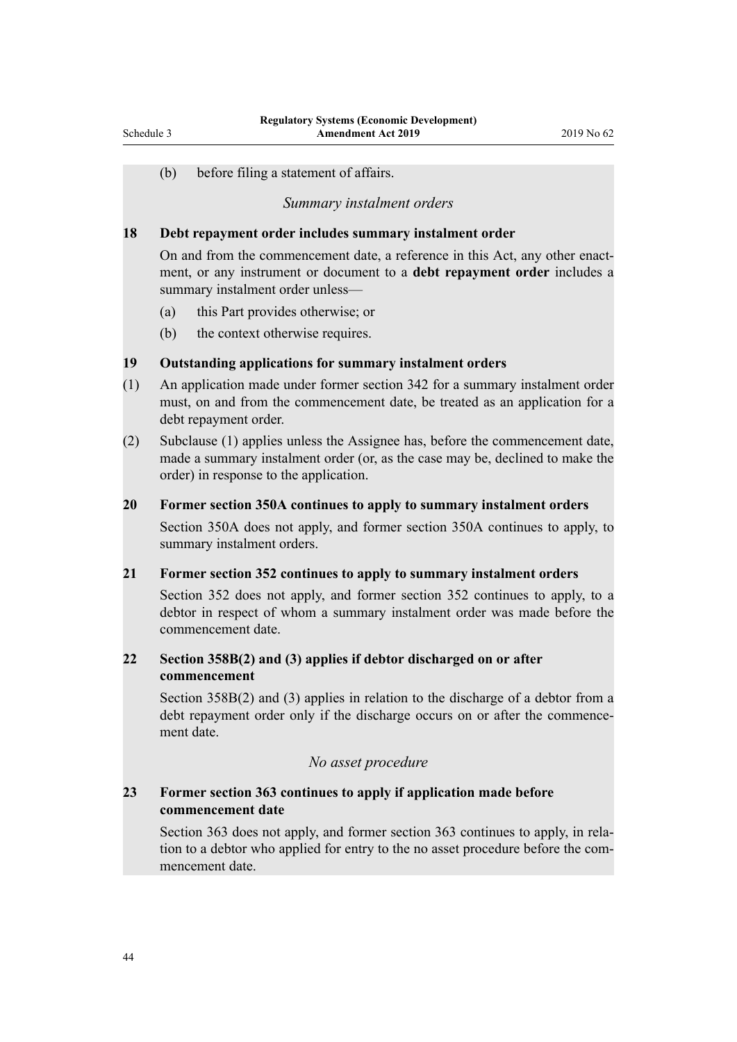(b) before filing a statement of affairs.

#### *Summary instalment orders*

#### **18 Debt repayment order includes summary instalment order**

On and from the commencement date, a reference in this Act, any other enactment, or any instrument or document to a **debt repayment order** includes a summary instalment order unless—

- (a) this Part provides otherwise; or
- (b) the context otherwise requires.

### **19 Outstanding applications for summary instalment orders**

- (1) An application made under former section 342 for a summary instalment order must, on and from the commencement date, be treated as an application for a debt repayment order.
- (2) Subclause (1) applies unless the Assignee has, before the commencement date, made a summary instalment order (or, as the case may be, declined to make the order) in response to the application.

#### **20 Former section 350A continues to apply to summary instalment orders**

Section 350A does not apply, and former section 350A continues to apply, to summary instalment orders.

#### **21 Former section 352 continues to apply to summary instalment orders**

Section 352 does not apply, and former section 352 continues to apply, to a debtor in respect of whom a summary instalment order was made before the commencement date.

# **22 Section 358B(2) and (3) applies if debtor discharged on or after commencement**

Section 358B(2) and (3) applies in relation to the discharge of a debtor from a debt repayment order only if the discharge occurs on or after the commencement date.

#### *No asset procedure*

# **23 Former section 363 continues to apply if application made before commencement date**

Section 363 does not apply, and former section 363 continues to apply, in relation to a debtor who applied for entry to the no asset procedure before the commencement date.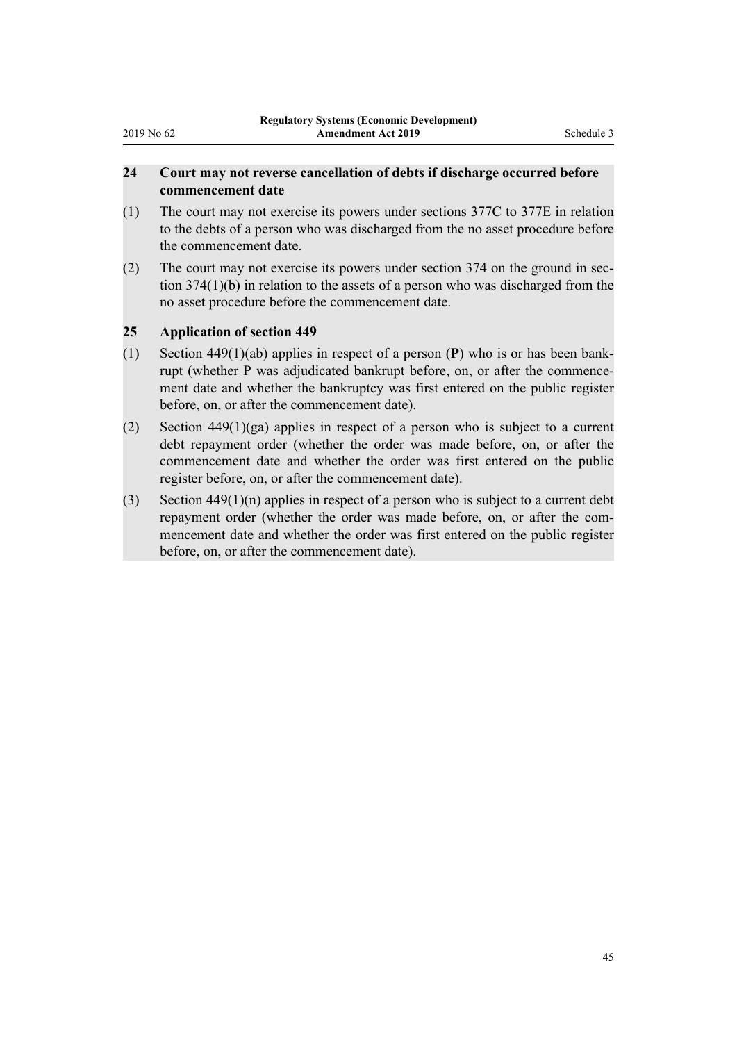# **24 Court may not reverse cancellation of debts if discharge occurred before commencement date**

- (1) The court may not exercise its powers under sections 377C to 377E in relation to the debts of a person who was discharged from the no asset procedure before the commencement date.
- (2) The court may not exercise its powers under section 374 on the ground in section 374(1)(b) in relation to the assets of a person who was discharged from the no asset procedure before the commencement date.

# **25 Application of section 449**

- (1) Section 449(1)(ab) applies in respect of a person (**P**) who is or has been bankrupt (whether P was adjudicated bankrupt before, on, or after the commencement date and whether the bankruptcy was first entered on the public register before, on, or after the commencement date).
- (2) Section 449(1)(ga) applies in respect of a person who is subject to a current debt repayment order (whether the order was made before, on, or after the commencement date and whether the order was first entered on the public register before, on, or after the commencement date).
- (3) Section  $449(1)(n)$  applies in respect of a person who is subject to a current debt repayment order (whether the order was made before, on, or after the commencement date and whether the order was first entered on the public register before, on, or after the commencement date).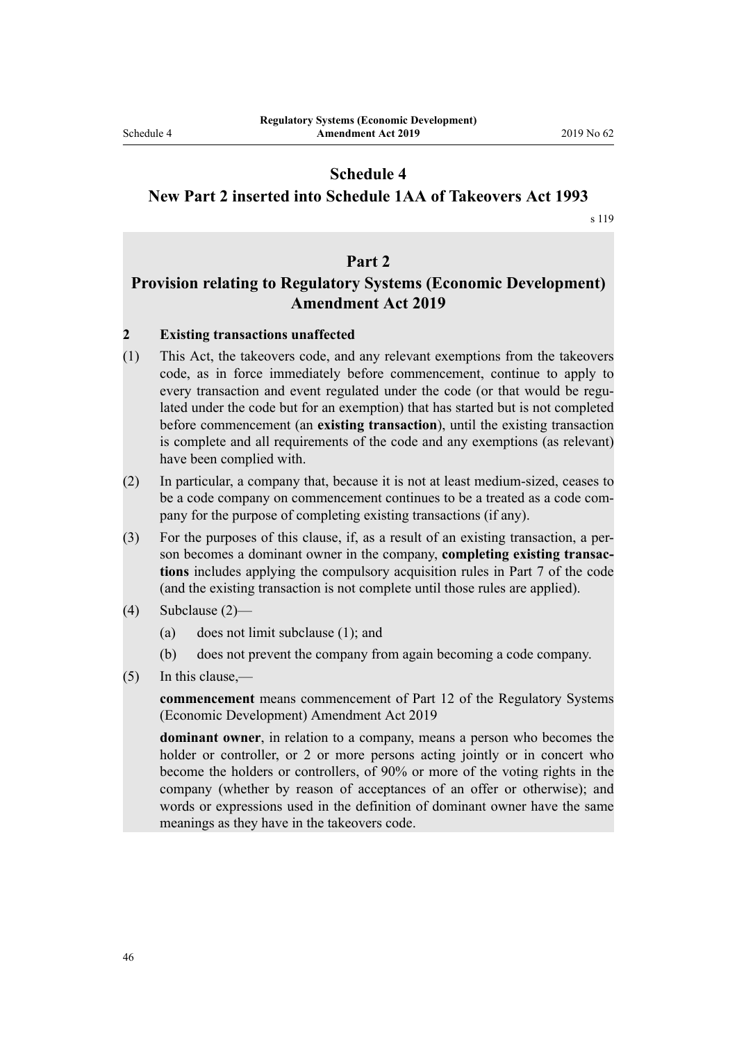# **Schedule 4**

### <span id="page-45-0"></span>**New Part 2 inserted into Schedule 1AA of Takeovers Act 1993**

[s 119](#page-29-0)

# **Part 2**

# **Provision relating to Regulatory Systems (Economic Development) Amendment Act 2019**

### **2 Existing transactions unaffected**

- (1) This Act, the takeovers code, and any relevant exemptions from the takeovers code, as in force immediately before commencement, continue to apply to every transaction and event regulated under the code (or that would be regulated under the code but for an exemption) that has started but is not completed before commencement (an **existing transaction**), until the existing transaction is complete and all requirements of the code and any exemptions (as relevant) have been complied with.
- (2) In particular, a company that, because it is not at least medium-sized, ceases to be a code company on commencement continues to be a treated as a code company for the purpose of completing existing transactions (if any).
- (3) For the purposes of this clause, if, as a result of an existing transaction, a person becomes a dominant owner in the company, **completing existing transactions** includes applying the compulsory acquisition rules in Part 7 of the code (and the existing transaction is not complete until those rules are applied).
- (4) Subclause (2)—
	- (a) does not limit subclause (1); and
	- (b) does not prevent the company from again becoming a code company.
- (5) In this clause,—

**commencement** means commencement of Part 12 of the Regulatory Systems (Economic Development) Amendment Act 2019

**dominant owner**, in relation to a company, means a person who becomes the holder or controller, or 2 or more persons acting jointly or in concert who become the holders or controllers, of 90% or more of the voting rights in the company (whether by reason of acceptances of an offer or otherwise); and words or expressions used in the definition of dominant owner have the same meanings as they have in the takeovers code.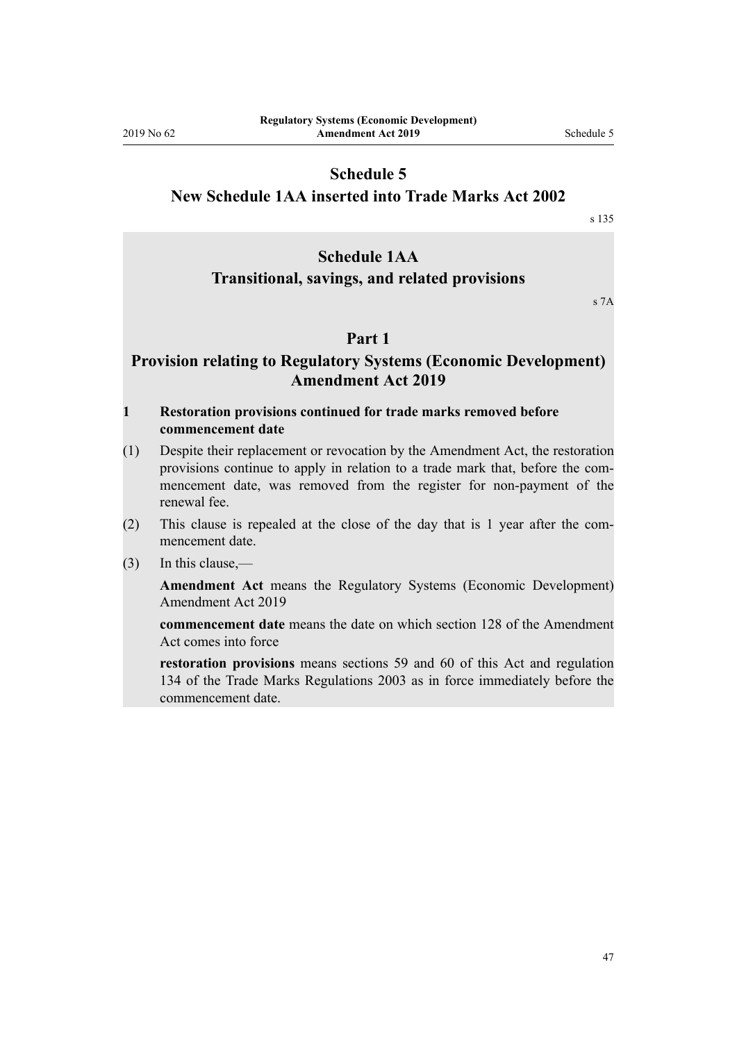# **Schedule 5**

### <span id="page-46-0"></span>**New Schedule 1AA inserted into Trade Marks Act 2002**

[s 135](#page-33-0)

# **Schedule 1AA**

# **Transitional, savings, and related provisions**

s 7A

### **Part 1**

# **Provision relating to Regulatory Systems (Economic Development) Amendment Act 2019**

#### **1 Restoration provisions continued for trade marks removed before commencement date**

- (1) Despite their replacement or revocation by the Amendment Act, the restoration provisions continue to apply in relation to a trade mark that, before the commencement date, was removed from the register for non-payment of the renewal fee.
- (2) This clause is repealed at the close of the day that is 1 year after the commencement date.
- (3) In this clause,—

**Amendment Act** means the Regulatory Systems (Economic Development) Amendment Act 2019

**commencement date** means the date on which section 128 of the Amendment Act comes into force

**restoration provisions** means sections 59 and 60 of this Act and regulation 134 of the Trade Marks Regulations 2003 as in force immediately before the commencement date.